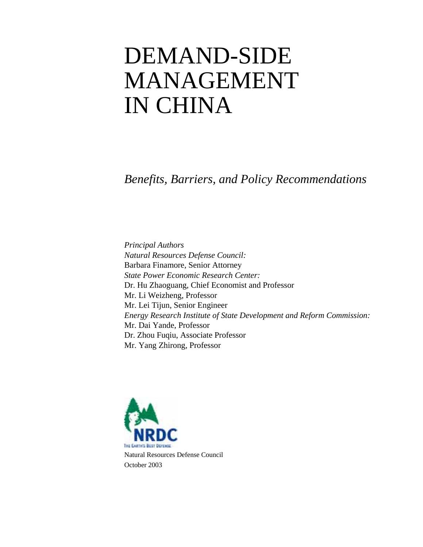# DEMAND-SIDE MANAGEMENT IN CHINA

*Benefits, Barriers, and Policy Recommendations* 

*Principal Authors Natural Resources Defense Council:*  Barbara Finamore, Senior Attorney *State Power Economic Research Center:*  Dr. Hu Zhaoguang, Chief Economist and Professor Mr. Li Weizheng, Professor Mr. Lei Tijun, Senior Engineer *Energy Research Institute of State Development and Reform Commission:*  Mr. Dai Yande, Professor Dr. Zhou Fuqiu, Associate Professor Mr. Yang Zhirong, Professor

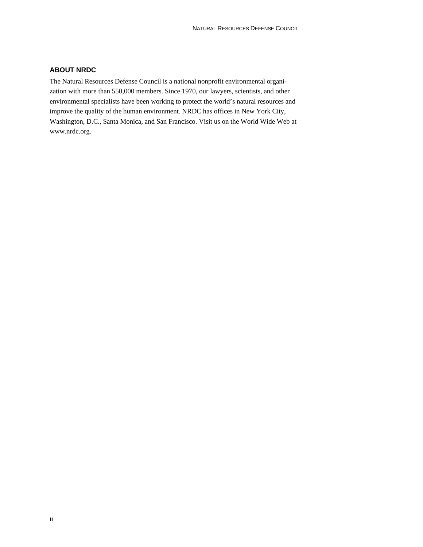## **ABOUT NRDC**

The Natural Resources Defense Council is a national nonprofit environmental organization with more than 550,000 members. Since 1970, our lawyers, scientists, and other environmental specialists have been working to protect the world's natural resources and improve the quality of the human environment. NRDC has offices in New York City, Washington, D.C., Santa Monica, and San Francisco. Visit us on the World Wide Web at www.nrdc.org.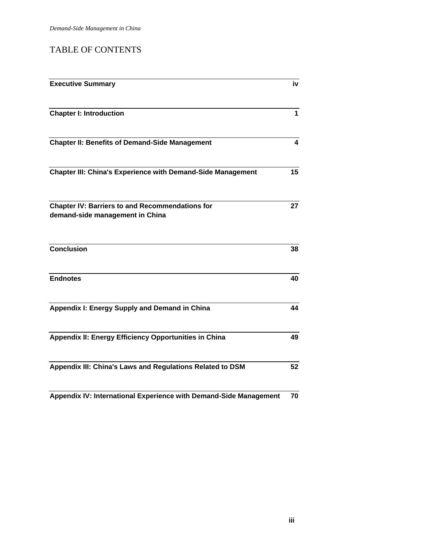## TABLE OF CONTENTS

| <b>Executive Summary</b>                                                                  | iv           |
|-------------------------------------------------------------------------------------------|--------------|
| <b>Chapter I: Introduction</b>                                                            | $\mathbf{1}$ |
| <b>Chapter II: Benefits of Demand-Side Management</b>                                     | 4            |
| <b>Chapter III: China's Experience with Demand-Side Management</b>                        | 15           |
| <b>Chapter IV: Barriers to and Recommendations for</b><br>demand-side management in China | 27           |
| <b>Conclusion</b>                                                                         | 38           |
| <b>Endnotes</b>                                                                           | 40           |
| Appendix I: Energy Supply and Demand in China                                             | 44           |
| Appendix II: Energy Efficiency Opportunities in China                                     | 49           |
| Appendix III: China's Laws and Regulations Related to DSM                                 | 52           |
| Appendix IV: International Experience with Demand-Side Management                         | 70           |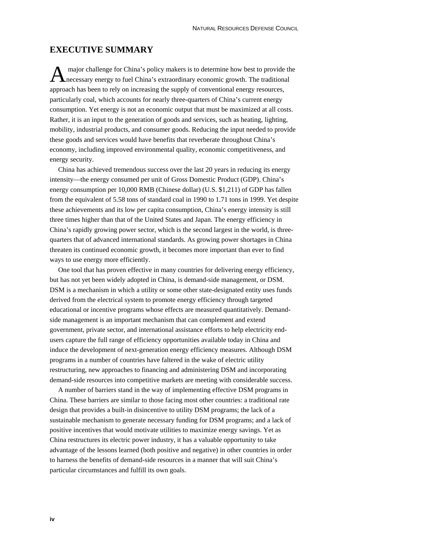## **EXECUTIVE SUMMARY**

 major challenge for China's policy makers is to determine how best to provide the A major challenge for China's policy makers is to determine how best to provide the necessary energy to fuel China's extraordinary economic growth. The traditional approach has been to rely on increasing the supply of conventional energy resources, particularly coal, which accounts for nearly three-quarters of China's current energy consumption. Yet energy is not an economic output that must be maximized at all costs. Rather, it is an input to the generation of goods and services, such as heating, lighting, mobility, industrial products, and consumer goods. Reducing the input needed to provide these goods and services would have benefits that reverberate throughout China's economy, including improved environmental quality, economic competitiveness, and energy security.

China has achieved tremendous success over the last 20 years in reducing its energy intensity—the energy consumed per unit of Gross Domestic Product (GDP). China's energy consumption per 10,000 RMB (Chinese dollar) (U.S. \$1,211) of GDP has fallen from the equivalent of 5.58 tons of standard coal in 1990 to 1.71 tons in 1999. Yet despite these achievements and its low per capita consumption, China's energy intensity is still three times higher than that of the United States and Japan. The energy efficiency in China's rapidly growing power sector, which is the second largest in the world, is threequarters that of advanced international standards. As growing power shortages in China threaten its continued economic growth, it becomes more important than ever to find ways to use energy more efficiently.

One tool that has proven effective in many countries for delivering energy efficiency, but has not yet been widely adopted in China, is demand-side management, or DSM. DSM is a mechanism in which a utility or some other state-designated entity uses funds derived from the electrical system to promote energy efficiency through targeted educational or incentive programs whose effects are measured quantitatively. Demandside management is an important mechanism that can complement and extend government, private sector, and international assistance efforts to help electricity endusers capture the full range of efficiency opportunities available today in China and induce the development of next-generation energy efficiency measures. Although DSM programs in a number of countries have faltered in the wake of electric utility restructuring, new approaches to financing and administering DSM and incorporating demand-side resources into competitive markets are meeting with considerable success.

A number of barriers stand in the way of implementing effective DSM programs in China. These barriers are similar to those facing most other countries: a traditional rate design that provides a built-in disincentive to utility DSM programs; the lack of a sustainable mechanism to generate necessary funding for DSM programs; and a lack of positive incentives that would motivate utilities to maximize energy savings. Yet as China restructures its electric power industry, it has a valuable opportunity to take advantage of the lessons learned (both positive and negative) in other countries in order to harness the benefits of demand-side resources in a manner that will suit China's particular circumstances and fulfill its own goals.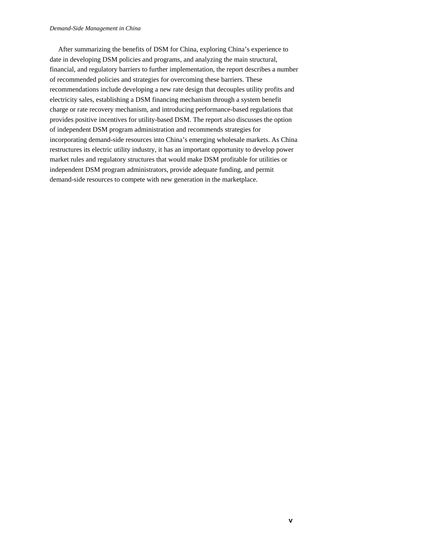#### *Demand-Side Management in China*

After summarizing the benefits of DSM for China, exploring China's experience to date in developing DSM policies and programs, and analyzing the main structural, financial, and regulatory barriers to further implementation, the report describes a number of recommended policies and strategies for overcoming these barriers. These recommendations include developing a new rate design that decouples utility profits and electricity sales, establishing a DSM financing mechanism through a system benefit charge or rate recovery mechanism, and introducing performance-based regulations that provides positive incentives for utility-based DSM. The report also discusses the option of independent DSM program administration and recommends strategies for incorporating demand-side resources into China's emerging wholesale markets. As China restructures its electric utility industry, it has an important opportunity to develop power market rules and regulatory structures that would make DSM profitable for utilities or independent DSM program administrators, provide adequate funding, and permit demand-side resources to compete with new generation in the marketplace.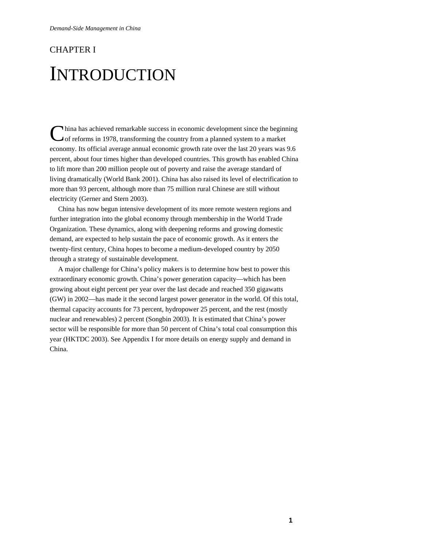## CHAPTER I INTRODUCTION

China has achieved remarkable success in economic development since the beginning of reforms in 1978, transforming the country from a planned system to a market of reforms in 1978, transforming the country from a planned system to a market economy. Its official average annual economic growth rate over the last 20 years was 9.6 percent, about four times higher than developed countries. This growth has enabled China to lift more than 200 million people out of poverty and raise the average standard of living dramatically (World Bank 2001). China has also raised its level of electrification to more than 93 percent, although more than 75 million rural Chinese are still without electricity (Gerner and Stern 2003).

China has now begun intensive development of its more remote western regions and further integration into the global economy through membership in the World Trade Organization. These dynamics, along with deepening reforms and growing domestic demand, are expected to help sustain the pace of economic growth. As it enters the twenty-first century, China hopes to become a medium-developed country by 2050 through a strategy of sustainable development.

A major challenge for China's policy makers is to determine how best to power this extraordinary economic growth. China's power generation capacity—which has been growing about eight percent per year over the last decade and reached 350 gigawatts (GW) in 2002—has made it the second largest power generator in the world. Of this total, thermal capacity accounts for 73 percent, hydropower 25 percent, and the rest (mostly nuclear and renewables) 2 percent (Songbin 2003). It is estimated that China's power sector will be responsible for more than 50 percent of China's total coal consumption this year (HKTDC 2003). See Appendix I for more details on energy supply and demand in China.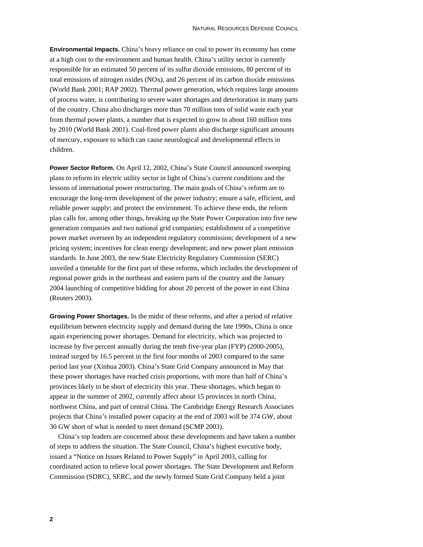**Environmental Impacts.** China's heavy reliance on coal to power its economy has come at a high cost to the environment and human health. China's utility sector is currently responsible for an estimated 50 percent of its sulfur dioxide emissions, 80 percent of its total emissions of nitrogen oxides (NOx), and 26 percent of its carbon dioxide emissions (World Bank 2001; RAP 2002). Thermal power generation, which requires large amounts of process water, is contributing to severe water shortages and deterioration in many parts of the country. China also discharges more than 70 million tons of solid waste each year from thermal power plants, a number that is expected to grow to about 160 million tons by 2010 (World Bank 2001). Coal-fired power plants also discharge significant amounts of mercury, exposure to which can cause neurological and developmental effects in children.

**Power Sector Reform.** On April 12, 2002, China's State Council announced sweeping plans to reform its electric utility sector in light of China's current conditions and the lessons of international power restructuring. The main goals of China's reform are to encourage the long-term development of the power industry; ensure a safe, efficient, and reliable power supply; and protect the environment. To achieve these ends, the reform plan calls for, among other things, breaking up the State Power Corporation into five new generation companies and two national grid companies; establishment of a competitive power market overseen by an independent regulatory commission; development of a new pricing system; incentives for clean energy development; and new power plant emission standards. In June 2003, the new State Electricity Regulatory Commission (SERC) unveiled a timetable for the first part of these reforms, which includes the development of regional power grids in the northeast and eastern parts of the country and the January 2004 launching of competitive bidding for about 20 percent of the power in east China (Reuters 2003).

**Growing Power Shortages.** In the midst of these reforms, and after a period of relative equilibrium between electricity supply and demand during the late 1990s, China is once again experiencing power shortages. Demand for electricity, which was projected to increase by five percent annually during the tenth five-year plan (FYP) (2000-2005), instead surged by 16.5 percent in the first four months of 2003 compared to the same period last year (Xinhua 2003). China's State Grid Company announced in May that these power shortages have reached crisis proportions, with more than half of China's provinces likely to be short of electricity this year. These shortages, which began to appear in the summer of 2002, currently affect about 15 provinces in north China, northwest China, and part of central China. The Cambridge Energy Research Associates projects that China's installed power capacity at the end of 2003 will be 374 GW, about 30 GW short of what is needed to meet demand (SCMP 2003).

China's top leaders are concerned about these developments and have taken a number of steps to address the situation. The State Council, China's highest executive body, issued a "Notice on Issues Related to Power Supply" in April 2003, calling for coordinated action to relieve local power shortages. The State Development and Reform Commission (SDRC), SERC, and the newly formed State Grid Company held a joint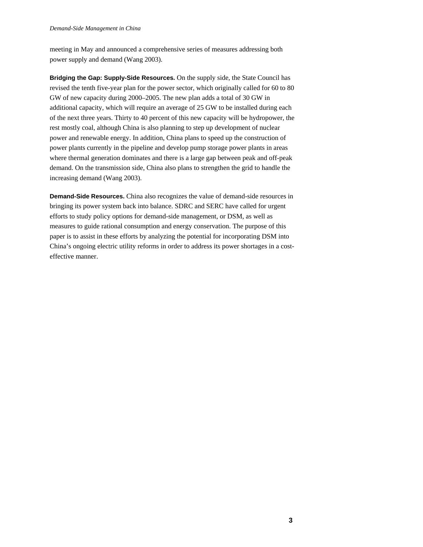meeting in May and announced a comprehensive series of measures addressing both power supply and demand (Wang 2003).

**Bridging the Gap: Supply-Side Resources.** On the supply side, the State Council has revised the tenth five-year plan for the power sector, which originally called for 60 to 80 GW of new capacity during 2000–2005. The new plan adds a total of 30 GW in additional capacity, which will require an average of 25 GW to be installed during each of the next three years. Thirty to 40 percent of this new capacity will be hydropower, the rest mostly coal, although China is also planning to step up development of nuclear power and renewable energy. In addition, China plans to speed up the construction of power plants currently in the pipeline and develop pump storage power plants in areas where thermal generation dominates and there is a large gap between peak and off-peak demand. On the transmission side, China also plans to strengthen the grid to handle the increasing demand (Wang 2003).

**Demand-Side Resources.** China also recognizes the value of demand-side resources in bringing its power system back into balance. SDRC and SERC have called for urgent efforts to study policy options for demand-side management, or DSM, as well as measures to guide rational consumption and energy conservation. The purpose of this paper is to assist in these efforts by analyzing the potential for incorporating DSM into China's ongoing electric utility reforms in order to address its power shortages in a costeffective manner.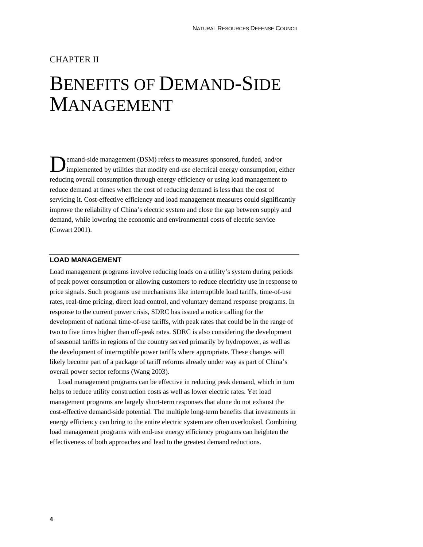## CHAPTER II

## BENEFITS OF DEMAND-SIDE MANAGEMENT

emand-side management (DSM) refers to measures sponsored, funded, and/or **D**emand-side management (DSM) refers to measures sponsored, funded, and/or implemented by utilities that modify end-use electrical energy consumption, either reducing overall consumption through energy efficiency or using load management to reduce demand at times when the cost of reducing demand is less than the cost of servicing it. Cost-effective efficiency and load management measures could significantly improve the reliability of China's electric system and close the gap between supply and demand, while lowering the economic and environmental costs of electric service (Cowart 2001).

### **LOAD MANAGEMENT**

Load management programs involve reducing loads on a utility's system during periods of peak power consumption or allowing customers to reduce electricity use in response to price signals. Such programs use mechanisms like interruptible load tariffs, time-of-use rates, real-time pricing, direct load control, and voluntary demand response programs. In response to the current power crisis, SDRC has issued a notice calling for the development of national time-of-use tariffs, with peak rates that could be in the range of two to five times higher than off-peak rates. SDRC is also considering the development of seasonal tariffs in regions of the country served primarily by hydropower, as well as the development of interruptible power tariffs where appropriate. These changes will likely become part of a package of tariff reforms already under way as part of China's overall power sector reforms (Wang 2003).

Load management programs can be effective in reducing peak demand, which in turn helps to reduce utility construction costs as well as lower electric rates. Yet load management programs are largely short-term responses that alone do not exhaust the cost-effective demand-side potential. The multiple long-term benefits that investments in energy efficiency can bring to the entire electric system are often overlooked. Combining load management programs with end-use energy efficiency programs can heighten the effectiveness of both approaches and lead to the greatest demand reductions.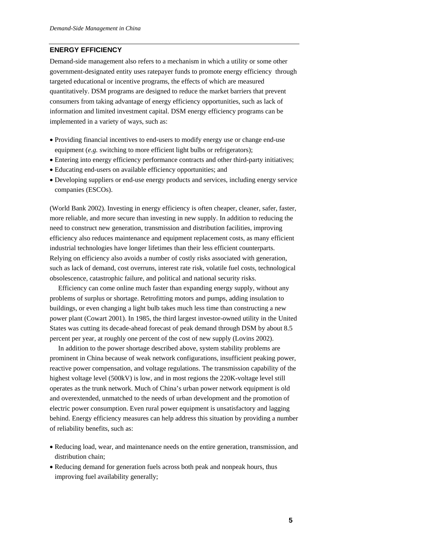## **ENERGY EFFICIENCY**

Demand-side management also refers to a mechanism in which a utility or some other government-designated entity uses ratepayer funds to promote energy efficiency through targeted educational or incentive programs, the effects of which are measured quantitatively. DSM programs are designed to reduce the market barriers that prevent consumers from taking advantage of energy efficiency opportunities, such as lack of information and limited investment capital. DSM energy efficiency programs can be implemented in a variety of ways, such as:

- Providing financial incentives to end-users to modify energy use or change end-use equipment (*e.g.* switching to more efficient light bulbs or refrigerators);
- Entering into energy efficiency performance contracts and other third-party initiatives;
- Educating end-users on available efficiency opportunities; and
- Developing suppliers or end-use energy products and services, including energy service companies (ESCOs).

(World Bank 2002). Investing in energy efficiency is often cheaper, cleaner, safer, faster, more reliable, and more secure than investing in new supply. In addition to reducing the need to construct new generation, transmission and distribution facilities, improving efficiency also reduces maintenance and equipment replacement costs, as many efficient industrial technologies have longer lifetimes than their less efficient counterparts. Relying on efficiency also avoids a number of costly risks associated with generation, such as lack of demand, cost overruns, interest rate risk, volatile fuel costs, technological obsolescence, catastrophic failure, and political and national security risks.

Efficiency can come online much faster than expanding energy supply, without any problems of surplus or shortage. Retrofitting motors and pumps, adding insulation to buildings, or even changing a light bulb takes much less time than constructing a new power plant (Cowart 2001). In 1985, the third largest investor-owned utility in the United States was cutting its decade-ahead forecast of peak demand through DSM by about 8.5 percent per year, at roughly one percent of the cost of new supply (Lovins 2002).

In addition to the power shortage described above, system stability problems are prominent in China because of weak network configurations, insufficient peaking power, reactive power compensation, and voltage regulations. The transmission capability of the highest voltage level (500kV) is low, and in most regions the 220K-voltage level still operates as the trunk network. Much of China's urban power network equipment is old and overextended, unmatched to the needs of urban development and the promotion of electric power consumption. Even rural power equipment is unsatisfactory and lagging behind. Energy efficiency measures can help address this situation by providing a number of reliability benefits, such as:

- Reducing load, wear, and maintenance needs on the entire generation, transmission, and distribution chain;
- Reducing demand for generation fuels across both peak and nonpeak hours, thus improving fuel availability generally;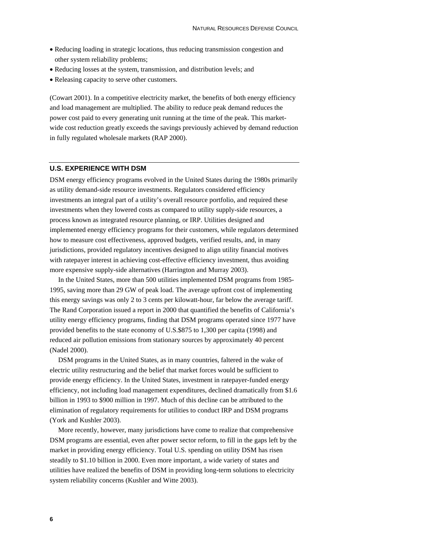- Reducing loading in strategic locations, thus reducing transmission congestion and other system reliability problems;
- Reducing losses at the system, transmission, and distribution levels; and
- Releasing capacity to serve other customers.

(Cowart 2001). In a competitive electricity market, the benefits of both energy efficiency and load management are multiplied. The ability to reduce peak demand reduces the power cost paid to every generating unit running at the time of the peak. This marketwide cost reduction greatly exceeds the savings previously achieved by demand reduction in fully regulated wholesale markets (RAP 2000).

## **U.S. EXPERIENCE WITH DSM**

DSM energy efficiency programs evolved in the United States during the 1980s primarily as utility demand-side resource investments. Regulators considered efficiency investments an integral part of a utility's overall resource portfolio, and required these investments when they lowered costs as compared to utility supply-side resources, a process known as integrated resource planning, or IRP. Utilities designed and implemented energy efficiency programs for their customers, while regulators determined how to measure cost effectiveness, approved budgets, verified results, and, in many jurisdictions, provided regulatory incentives designed to align utility financial motives with ratepayer interest in achieving cost-effective efficiency investment, thus avoiding more expensive supply-side alternatives (Harrington and Murray 2003).

In the United States, more than 500 utilities implemented DSM programs from 1985- 1995, saving more than 29 GW of peak load. The average upfront cost of implementing this energy savings was only 2 to 3 cents per kilowatt-hour, far below the average tariff. The Rand Corporation issued a report in 2000 that quantified the benefits of California's utility energy efficiency programs, finding that DSM programs operated since 1977 have provided benefits to the state economy of U.S.\$875 to 1,300 per capita (1998) and reduced air pollution emissions from stationary sources by approximately 40 percent (Nadel 2000).

DSM programs in the United States, as in many countries, faltered in the wake of electric utility restructuring and the belief that market forces would be sufficient to provide energy efficiency. In the United States, investment in ratepayer-funded energy efficiency, not including load management expenditures, declined dramatically from \$1.6 billion in 1993 to \$900 million in 1997. Much of this decline can be attributed to the elimination of regulatory requirements for utilities to conduct IRP and DSM programs (York and Kushler 2003).

More recently, however, many jurisdictions have come to realize that comprehensive DSM programs are essential, even after power sector reform, to fill in the gaps left by the market in providing energy efficiency. Total U.S. spending on utility DSM has risen steadily to \$1.10 billion in 2000. Even more important, a wide variety of states and utilities have realized the benefits of DSM in providing long-term solutions to electricity system reliability concerns (Kushler and Witte 2003).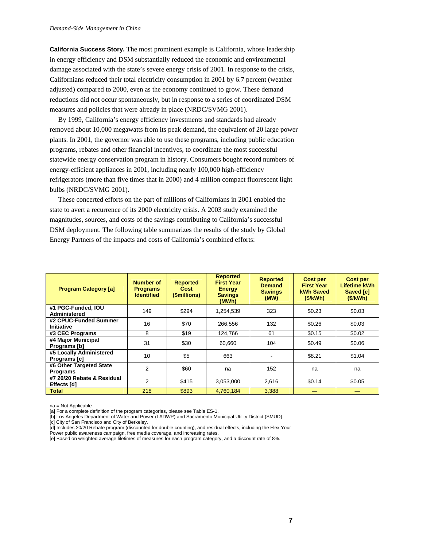**California Success Story.** The most prominent example is California, whose leadership in energy efficiency and DSM substantially reduced the economic and environmental damage associated with the state's severe energy crisis of 2001. In response to the crisis, Californians reduced their total electricity consumption in 2001 by 6.7 percent (weather adjusted) compared to 2000, even as the economy continued to grow. These demand reductions did not occur spontaneously, but in response to a series of coordinated DSM measures and policies that were already in place (NRDC/SVMG 2001).

By 1999, California's energy efficiency investments and standards had already removed about 10,000 megawatts from its peak demand, the equivalent of 20 large power plants. In 2001, the governor was able to use these programs, including public education programs, rebates and other financial incentives, to coordinate the most successful statewide energy conservation program in history. Consumers bought record numbers of energy-efficient appliances in 2001, including nearly 100,000 high-efficiency refrigerators (more than five times that in 2000) and 4 million compact fluorescent light bulbs (NRDC/SVMG 2001).

These concerted efforts on the part of millions of Californians in 2001 enabled the state to avert a recurrence of its 2000 electricity crisis. A 2003 study examined the magnitudes, sources, and costs of the savings contributing to California's successful DSM deployment. The following table summarizes the results of the study by Global Energy Partners of the impacts and costs of California's combined efforts:

| <b>Program Category [a]</b>                | <b>Number of</b><br><b>Programs</b><br><b>Identified</b> | <b>Reported</b><br>Cost<br>(\$millions) | <b>Reported</b><br><b>First Year</b><br><b>Energy</b><br><b>Savings</b><br>(MWh) | <b>Reported</b><br><b>Demand</b><br><b>Savings</b><br>(MW) | <b>Cost per</b><br><b>First Year</b><br><b>kWh Saved</b><br>(S/KWh) | <b>Cost per</b><br>Lifetime kWh<br>Saved [e]<br>(S/KWh) |
|--------------------------------------------|----------------------------------------------------------|-----------------------------------------|----------------------------------------------------------------------------------|------------------------------------------------------------|---------------------------------------------------------------------|---------------------------------------------------------|
| #1 PGC-Funded, IOU<br>Administered         | 149                                                      | \$294                                   | 1,254,539                                                                        | 323                                                        | \$0.23                                                              | \$0.03                                                  |
| #2 CPUC-Funded Summer<br><b>Initiative</b> | 16                                                       | \$70                                    | 266.556                                                                          | 132                                                        | \$0.26                                                              | \$0.03                                                  |
| #3 CEC Programs                            | 8                                                        | \$19                                    | 124.766                                                                          | 61                                                         | \$0.15                                                              | \$0.02                                                  |
| #4 Major Municipal<br>Programs [b]         | 31                                                       | \$30                                    | 60.660                                                                           | 104                                                        | \$0.49                                                              | \$0.06                                                  |
| #5 Locally Administered<br>Programs [c]    | 10                                                       | \$5                                     | 663                                                                              | ٠                                                          | \$8.21                                                              | \$1.04                                                  |
| #6 Other Targeted State<br><b>Programs</b> | 2                                                        | \$60                                    | na                                                                               | 152                                                        | na                                                                  | na                                                      |
| #7 20/20 Rebate & Residual<br>Effects [d]  | 2                                                        | \$415                                   | 3,053,000                                                                        | 2,616                                                      | \$0.14                                                              | \$0.05                                                  |
| <b>Total</b>                               | 218                                                      | \$893                                   | 4,760,184                                                                        | 3,388                                                      |                                                                     |                                                         |

na = Not Applicable

[a] For a complete definition of the program categories, please see Table ES-1.

[b] Los Angeles Department of Water and Power (LADWP) and Sacramento Municipal Utility District (SMUD).

[c] City of San Francisco and City of Berkeley.

[d] Includes 20/20 Rebate program (discounted for double counting), and residual effects, including the Flex Your

Power public awareness campaign, free media coverage, and increasing rates.

[e] Based on weighted average lifetimes of measures for each program category, and a discount rate of 8%.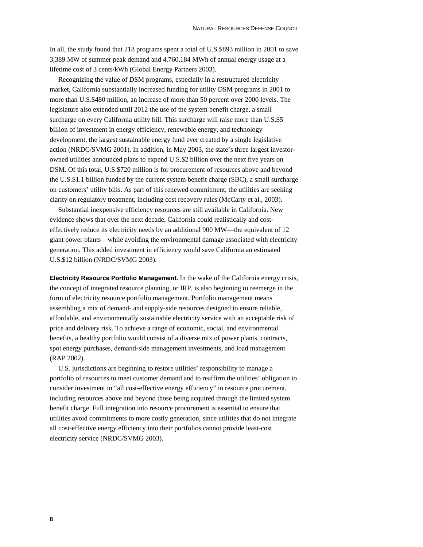In all, the study found that 218 programs spent a total of U.S.\$893 million in 2001 to save 3,389 MW of summer peak demand and 4,760,184 MWh of annual energy usage at a lifetime cost of 3 cents/kWh (Global Energy Partners 2003).

Recognizing the value of DSM programs, especially in a restructured electricity market, California substantially increased funding for utility DSM programs in 2001 to more than U.S.\$480 million, an increase of more than 50 percent over 2000 levels. The legislature also extended until 2012 the use of the system benefit charge, a small surcharge on every California utility bill. This surcharge will raise more than U.S.\$5 billion of investment in energy efficiency, renewable energy, and technology development, the largest sustainable energy fund ever created by a single legislative action (NRDC/SVMG 2001). In addition, in May 2003, the state's three largest investorowned utilities announced plans to expend U.S.\$2 billion over the next five years on DSM. Of this total, U.S.\$720 million is for procurement of resources above and beyond the U.S.\$1.1 billion funded by the current system benefit charge (SBC), a small surcharge on customers' utility bills. As part of this renewed commitment, the utilities are seeking clarity on regulatory treatment, including cost recovery rules (McCarty et al., 2003).

Substantial inexpensive efficiency resources are still available in California. New evidence shows that over the next decade, California could realistically and costeffectively reduce its electricity needs by an additional 900 MW—the equivalent of 12 giant power plants—while avoiding the environmental damage associated with electricity generation. This added investment in efficiency would save California an estimated U.S.\$12 billion (NRDC/SVMG 2003).

**Electricity Resource Portfolio Management.** In the wake of the California energy crisis, the concept of integrated resource planning, or IRP, is also beginning to reemerge in the form of electricity resource portfolio management. Portfolio management means assembling a mix of demand- and supply-side resources designed to ensure reliable, affordable, and environmentally sustainable electricity service with an acceptable risk of price and delivery risk. To achieve a range of economic, social, and environmental benefits, a healthy portfolio would consist of a diverse mix of power plants, contracts, spot energy purchases, demand-side management investments, and load management (RAP 2002).

U.S. jurisdictions are beginning to restore utilities' responsibility to manage a portfolio of resources to meet customer demand and to reaffirm the utilities' obligation to consider investment in "all cost-effective energy efficiency" in resource procurement, including resources above and beyond those being acquired through the limited system benefit charge. Full integration into resource procurement is essential to ensure that utilities avoid commitments to more costly generation, since utilities that do not integrate all cost-effective energy efficiency into their portfolios cannot provide least-cost electricity service (NRDC/SVMG 2003).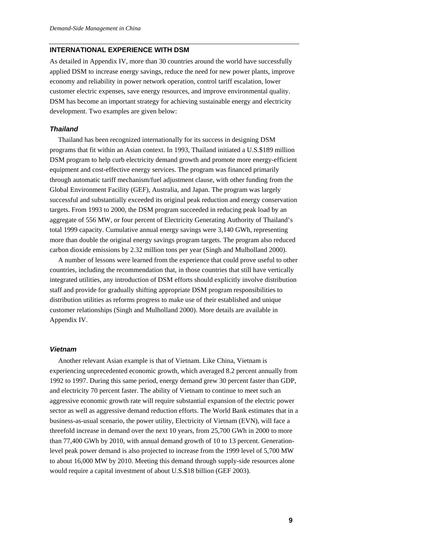## **INTERNATIONAL EXPERIENCE WITH DSM**

As detailed in Appendix IV, more than 30 countries around the world have successfully applied DSM to increase energy savings, reduce the need for new power plants, improve economy and reliability in power network operation, control tariff escalation, lower customer electric expenses, save energy resources, and improve environmental quality. DSM has become an important strategy for achieving sustainable energy and electricity development. Two examples are given below:

## *Thailand*

Thailand has been recognized internationally for its success in designing DSM programs that fit within an Asian context. In 1993, Thailand initiated a U.S.\$189 million DSM program to help curb electricity demand growth and promote more energy-efficient equipment and cost-effective energy services. The program was financed primarily through automatic tariff mechanism/fuel adjustment clause, with other funding from the Global Environment Facility (GEF), Australia, and Japan. The program was largely successful and substantially exceeded its original peak reduction and energy conservation targets. From 1993 to 2000, the DSM program succeeded in reducing peak load by an aggregate of 556 MW, or four percent of Electricity Generating Authority of Thailand's total 1999 capacity. Cumulative annual energy savings were 3,140 GWh, representing more than double the original energy savings program targets. The program also reduced carbon dioxide emissions by 2.32 million tons per year (Singh and Mulholland 2000).

A number of lessons were learned from the experience that could prove useful to other countries, including the recommendation that, in those countries that still have vertically integrated utilities, any introduction of DSM efforts should explicitly involve distribution staff and provide for gradually shifting appropriate DSM program responsibilities to distribution utilities as reforms progress to make use of their established and unique customer relationships (Singh and Mulholland 2000). More details are available in Appendix IV.

## *Vietnam*

Another relevant Asian example is that of Vietnam. Like China, Vietnam is experiencing unprecedented economic growth, which averaged 8.2 percent annually from 1992 to 1997. During this same period, energy demand grew 30 percent faster than GDP, and electricity 70 percent faster. The ability of Vietnam to continue to meet such an aggressive economic growth rate will require substantial expansion of the electric power sector as well as aggressive demand reduction efforts. The World Bank estimates that in a business-as-usual scenario, the power utility, Electricity of Vietnam (EVN), will face a threefold increase in demand over the next 10 years, from 25,700 GWh in 2000 to more than 77,400 GWh by 2010, with annual demand growth of 10 to 13 percent. Generationlevel peak power demand is also projected to increase from the 1999 level of 5,700 MW to about 16,000 MW by 2010. Meeting this demand through supply-side resources alone would require a capital investment of about U.S.\$18 billion (GEF 2003).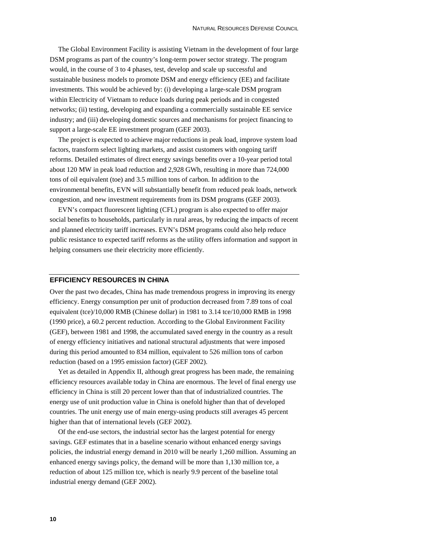The Global Environment Facility is assisting Vietnam in the development of four large DSM programs as part of the country's long-term power sector strategy. The program would, in the course of 3 to 4 phases, test, develop and scale up successful and sustainable business models to promote DSM and energy efficiency (EE) and facilitate investments. This would be achieved by: (i) developing a large-scale DSM program within Electricity of Vietnam to reduce loads during peak periods and in congested networks; (ii) testing, developing and expanding a commercially sustainable EE service industry; and (iii) developing domestic sources and mechanisms for project financing to support a large-scale EE investment program (GEF 2003).

The project is expected to achieve major reductions in peak load, improve system load factors, transform select lighting markets, and assist customers with ongoing tariff reforms. Detailed estimates of direct energy savings benefits over a 10-year period total about 120 MW in peak load reduction and 2,928 GWh, resulting in more than 724,000 tons of oil equivalent (toe) and 3.5 million tons of carbon. In addition to the environmental benefits, EVN will substantially benefit from reduced peak loads, network congestion, and new investment requirements from its DSM programs (GEF 2003).

EVN's compact fluorescent lighting (CFL) program is also expected to offer major social benefits to households, particularly in rural areas, by reducing the impacts of recent and planned electricity tariff increases. EVN's DSM programs could also help reduce public resistance to expected tariff reforms as the utility offers information and support in helping consumers use their electricity more efficiently.

## **EFFICIENCY RESOURCES IN CHINA**

Over the past two decades, China has made tremendous progress in improving its energy efficiency. Energy consumption per unit of production decreased from 7.89 tons of coal equivalent (tce)/10,000 RMB (Chinese dollar) in 1981 to 3.14 tce/10,000 RMB in 1998 (1990 price), a 60.2 percent reduction. According to the Global Environment Facility (GEF), between 1981 and 1998, the accumulated saved energy in the country as a result of energy efficiency initiatives and national structural adjustments that were imposed during this period amounted to 834 million, equivalent to 526 million tons of carbon reduction (based on a 1995 emission factor) (GEF 2002).

Yet as detailed in Appendix II, although great progress has been made, the remaining efficiency resources available today in China are enormous. The level of final energy use efficiency in China is still 20 percent lower than that of industrialized countries. The energy use of unit production value in China is onefold higher than that of developed countries. The unit energy use of main energy-using products still averages 45 percent higher than that of international levels (GEF 2002).

Of the end-use sectors, the industrial sector has the largest potential for energy savings. GEF estimates that in a baseline scenario without enhanced energy savings policies, the industrial energy demand in 2010 will be nearly 1,260 million. Assuming an enhanced energy savings policy, the demand will be more than 1,130 million tce, a reduction of about 125 million tce, which is nearly 9.9 percent of the baseline total industrial energy demand (GEF 2002).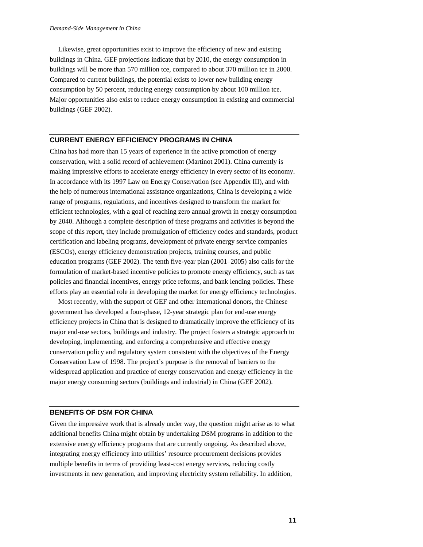Likewise, great opportunities exist to improve the efficiency of new and existing buildings in China. GEF projections indicate that by 2010, the energy consumption in buildings will be more than 570 million tce, compared to about 370 million tce in 2000. Compared to current buildings, the potential exists to lower new building energy consumption by 50 percent, reducing energy consumption by about 100 million tce. Major opportunities also exist to reduce energy consumption in existing and commercial buildings (GEF 2002).

## **CURRENT ENERGY EFFICIENCY PROGRAMS IN CHINA**

China has had more than 15 years of experience in the active promotion of energy conservation, with a solid record of achievement (Martinot 2001). China currently is making impressive efforts to accelerate energy efficiency in every sector of its economy. In accordance with its 1997 Law on Energy Conservation (see Appendix III), and with the help of numerous international assistance organizations, China is developing a wide range of programs, regulations, and incentives designed to transform the market for efficient technologies, with a goal of reaching zero annual growth in energy consumption by 2040. Although a complete description of these programs and activities is beyond the scope of this report, they include promulgation of efficiency codes and standards, product certification and labeling programs, development of private energy service companies (ESCOs), energy efficiency demonstration projects, training courses, and public education programs (GEF 2002). The tenth five-year plan (2001–2005) also calls for the formulation of market-based incentive policies to promote energy efficiency, such as tax policies and financial incentives, energy price reforms, and bank lending policies. These efforts play an essential role in developing the market for energy efficiency technologies.

Most recently, with the support of GEF and other international donors, the Chinese government has developed a four-phase, 12-year strategic plan for end-use energy efficiency projects in China that is designed to dramatically improve the efficiency of its major end-use sectors, buildings and industry. The project fosters a strategic approach to developing, implementing, and enforcing a comprehensive and effective energy conservation policy and regulatory system consistent with the objectives of the Energy Conservation Law of 1998. The project's purpose is the removal of barriers to the widespread application and practice of energy conservation and energy efficiency in the major energy consuming sectors (buildings and industrial) in China (GEF 2002).

### **BENEFITS OF DSM FOR CHINA**

Given the impressive work that is already under way, the question might arise as to what additional benefits China might obtain by undertaking DSM programs in addition to the extensive energy efficiency programs that are currently ongoing. As described above, integrating energy efficiency into utilities' resource procurement decisions provides multiple benefits in terms of providing least-cost energy services, reducing costly investments in new generation, and improving electricity system reliability. In addition,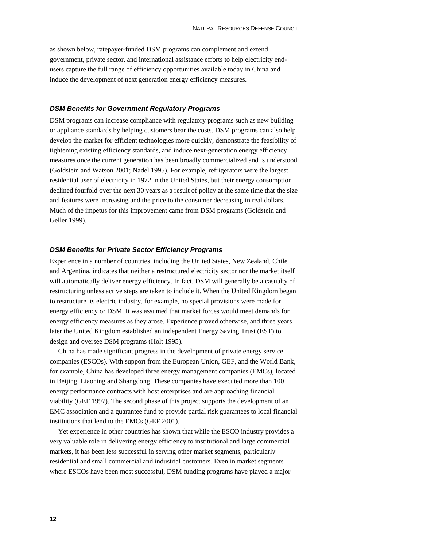as shown below, ratepayer-funded DSM programs can complement and extend government, private sector, and international assistance efforts to help electricity endusers capture the full range of efficiency opportunities available today in China and induce the development of next generation energy efficiency measures.

#### *DSM Benefits for Government Regulatory Programs*

DSM programs can increase compliance with regulatory programs such as new building or appliance standards by helping customers bear the costs. DSM programs can also help develop the market for efficient technologies more quickly, demonstrate the feasibility of tightening existing efficiency standards, and induce next-generation energy efficiency measures once the current generation has been broadly commercialized and is understood (Goldstein and Watson 2001; Nadel 1995). For example, refrigerators were the largest residential user of electricity in 1972 in the United States, but their energy consumption declined fourfold over the next 30 years as a result of policy at the same time that the size and features were increasing and the price to the consumer decreasing in real dollars. Much of the impetus for this improvement came from DSM programs (Goldstein and Geller 1999).

## *DSM Benefits for Private Sector Efficiency Programs*

Experience in a number of countries, including the United States, New Zealand, Chile and Argentina, indicates that neither a restructured electricity sector nor the market itself will automatically deliver energy efficiency. In fact, DSM will generally be a casualty of restructuring unless active steps are taken to include it. When the United Kingdom began to restructure its electric industry, for example, no special provisions were made for energy efficiency or DSM. It was assumed that market forces would meet demands for energy efficiency measures as they arose. Experience proved otherwise, and three years later the United Kingdom established an independent Energy Saving Trust (EST) to design and oversee DSM programs (Holt 1995).

China has made significant progress in the development of private energy service companies (ESCOs). With support from the European Union, GEF, and the World Bank, for example, China has developed three energy management companies (EMCs), located in Beijing, Liaoning and Shangdong. These companies have executed more than 100 energy performance contracts with host enterprises and are approaching financial viability (GEF 1997). The second phase of this project supports the development of an EMC association and a guarantee fund to provide partial risk guarantees to local financial institutions that lend to the EMCs (GEF 2001).

Yet experience in other countries has shown that while the ESCO industry provides a very valuable role in delivering energy efficiency to institutional and large commercial markets, it has been less successful in serving other market segments, particularly residential and small commercial and industrial customers. Even in market segments where ESCOs have been most successful, DSM funding programs have played a major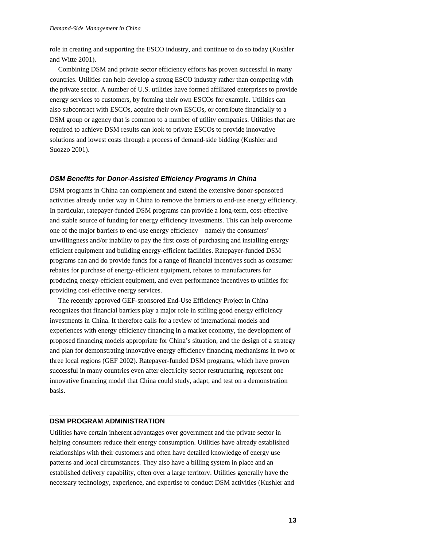role in creating and supporting the ESCO industry, and continue to do so today (Kushler and Witte 2001).

Combining DSM and private sector efficiency efforts has proven successful in many countries. Utilities can help develop a strong ESCO industry rather than competing with the private sector. A number of U.S. utilities have formed affiliated enterprises to provide energy services to customers, by forming their own ESCOs for example. Utilities can also subcontract with ESCOs, acquire their own ESCOs, or contribute financially to a DSM group or agency that is common to a number of utility companies. Utilities that are required to achieve DSM results can look to private ESCOs to provide innovative solutions and lowest costs through a process of demand-side bidding (Kushler and Suozzo 2001).

### *DSM Benefits for Donor-Assisted Efficiency Programs in China*

DSM programs in China can complement and extend the extensive donor-sponsored activities already under way in China to remove the barriers to end-use energy efficiency. In particular, ratepayer-funded DSM programs can provide a long-term, cost-effective and stable source of funding for energy efficiency investments. This can help overcome one of the major barriers to end-use energy efficiency—namely the consumers' unwillingness and/or inability to pay the first costs of purchasing and installing energy efficient equipment and building energy-efficient facilities. Ratepayer-funded DSM programs can and do provide funds for a range of financial incentives such as consumer rebates for purchase of energy-efficient equipment, rebates to manufacturers for producing energy-efficient equipment, and even performance incentives to utilities for providing cost-effective energy services.

The recently approved GEF-sponsored End-Use Efficiency Project in China recognizes that financial barriers play a major role in stifling good energy efficiency investments in China. It therefore calls for a review of international models and experiences with energy efficiency financing in a market economy, the development of proposed financing models appropriate for China's situation, and the design of a strategy and plan for demonstrating innovative energy efficiency financing mechanisms in two or three local regions (GEF 2002). Ratepayer-funded DSM programs, which have proven successful in many countries even after electricity sector restructuring, represent one innovative financing model that China could study, adapt, and test on a demonstration basis.

## **DSM PROGRAM ADMINISTRATION**

Utilities have certain inherent advantages over government and the private sector in helping consumers reduce their energy consumption. Utilities have already established relationships with their customers and often have detailed knowledge of energy use patterns and local circumstances. They also have a billing system in place and an established delivery capability, often over a large territory. Utilities generally have the necessary technology, experience, and expertise to conduct DSM activities (Kushler and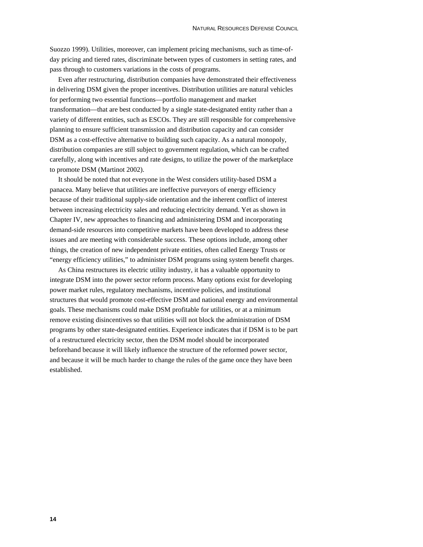Suozzo 1999). Utilities, moreover, can implement pricing mechanisms, such as time-ofday pricing and tiered rates, discriminate between types of customers in setting rates, and pass through to customers variations in the costs of programs.

Even after restructuring, distribution companies have demonstrated their effectiveness in delivering DSM given the proper incentives. Distribution utilities are natural vehicles for performing two essential functions—portfolio management and market transformation—that are best conducted by a single state-designated entity rather than a variety of different entities, such as ESCOs. They are still responsible for comprehensive planning to ensure sufficient transmission and distribution capacity and can consider DSM as a cost-effective alternative to building such capacity. As a natural monopoly, distribution companies are still subject to government regulation, which can be crafted carefully, along with incentives and rate designs, to utilize the power of the marketplace to promote DSM (Martinot 2002).

It should be noted that not everyone in the West considers utility-based DSM a panacea. Many believe that utilities are ineffective purveyors of energy efficiency because of their traditional supply-side orientation and the inherent conflict of interest between increasing electricity sales and reducing electricity demand. Yet as shown in Chapter IV, new approaches to financing and administering DSM and incorporating demand-side resources into competitive markets have been developed to address these issues and are meeting with considerable success. These options include, among other things, the creation of new independent private entities, often called Energy Trusts or "energy efficiency utilities," to administer DSM programs using system benefit charges.

As China restructures its electric utility industry, it has a valuable opportunity to integrate DSM into the power sector reform process. Many options exist for developing power market rules, regulatory mechanisms, incentive policies, and institutional structures that would promote cost-effective DSM and national energy and environmental goals. These mechanisms could make DSM profitable for utilities, or at a minimum remove existing disincentives so that utilities will not block the administration of DSM programs by other state-designated entities. Experience indicates that if DSM is to be part of a restructured electricity sector, then the DSM model should be incorporated beforehand because it will likely influence the structure of the reformed power sector, and because it will be much harder to change the rules of the game once they have been established.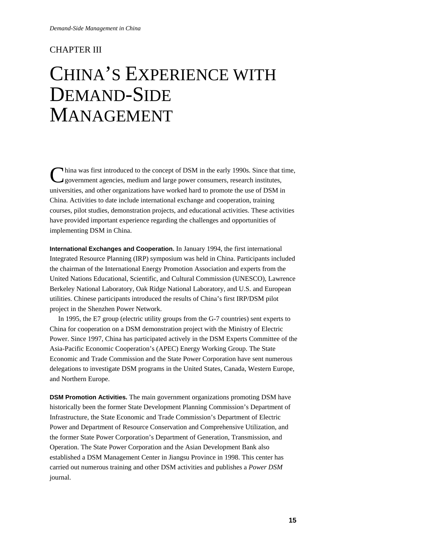## CHAPTER III

## CHINA'S EXPERIENCE WITH DEMAND-SIDE MANAGEMENT

hina was first introduced to the concept of DSM in the early 1990s. Since that time, government agencies, medium and large power consumers, research institutes, universities, and other organizations have worked hard to promote the use of DSM in China. Activities to date include international exchange and cooperation, training courses, pilot studies, demonstration projects, and educational activities. These activities have provided important experience regarding the challenges and opportunities of implementing DSM in China. C

**International Exchanges and Cooperation.** In January 1994, the first international Integrated Resource Planning (IRP) symposium was held in China. Participants included the chairman of the International Energy Promotion Association and experts from the United Nations Educational, Scientific, and Cultural Commission (UNESCO), Lawrence Berkeley National Laboratory, Oak Ridge National Laboratory, and U.S. and European utilities. Chinese participants introduced the results of China's first IRP/DSM pilot project in the Shenzhen Power Network.

In 1995, the E7 group (electric utility groups from the G-7 countries) sent experts to China for cooperation on a DSM demonstration project with the Ministry of Electric Power. Since 1997, China has participated actively in the DSM Experts Committee of the Asia-Pacific Economic Cooperation's (APEC) Energy Working Group. The State Economic and Trade Commission and the State Power Corporation have sent numerous delegations to investigate DSM programs in the United States, Canada, Western Europe, and Northern Europe.

**DSM Promotion Activities.** The main government organizations promoting DSM have historically been the former State Development Planning Commission's Department of Infrastructure, the State Economic and Trade Commission's Department of Electric Power and Department of Resource Conservation and Comprehensive Utilization, and the former State Power Corporation's Department of Generation, Transmission, and Operation. The State Power Corporation and the Asian Development Bank also established a DSM Management Center in Jiangsu Province in 1998. This center has carried out numerous training and other DSM activities and publishes a *Power DSM* journal.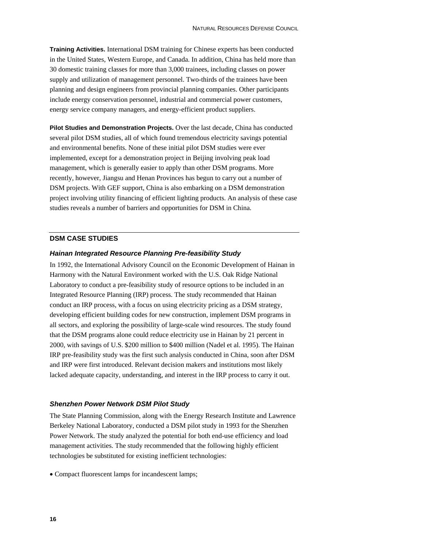**Training Activities.** International DSM training for Chinese experts has been conducted in the United States, Western Europe, and Canada. In addition, China has held more than 30 domestic training classes for more than 3,000 trainees, including classes on power supply and utilization of management personnel. Two-thirds of the trainees have been planning and design engineers from provincial planning companies. Other participants include energy conservation personnel, industrial and commercial power customers, energy service company managers, and energy-efficient product suppliers.

**Pilot Studies and Demonstration Projects.** Over the last decade, China has conducted several pilot DSM studies, all of which found tremendous electricity savings potential and environmental benefits. None of these initial pilot DSM studies were ever implemented, except for a demonstration project in Beijing involving peak load management, which is generally easier to apply than other DSM programs. More recently, however, Jiangsu and Henan Provinces has begun to carry out a number of DSM projects. With GEF support, China is also embarking on a DSM demonstration project involving utility financing of efficient lighting products. An analysis of these case studies reveals a number of barriers and opportunities for DSM in China.

## **DSM CASE STUDIES**

## *Hainan Integrated Resource Planning Pre-feasibility Study*

In 1992, the International Advisory Council on the Economic Development of Hainan in Harmony with the Natural Environment worked with the U.S. Oak Ridge National Laboratory to conduct a pre-feasibility study of resource options to be included in an Integrated Resource Planning (IRP) process. The study recommended that Hainan conduct an IRP process, with a focus on using electricity pricing as a DSM strategy, developing efficient building codes for new construction, implement DSM programs in all sectors, and exploring the possibility of large-scale wind resources. The study found that the DSM programs alone could reduce electricity use in Hainan by 21 percent in 2000, with savings of U.S. \$200 million to \$400 million (Nadel et al. 1995). The Hainan IRP pre-feasibility study was the first such analysis conducted in China, soon after DSM and IRP were first introduced. Relevant decision makers and institutions most likely lacked adequate capacity, understanding, and interest in the IRP process to carry it out.

#### *Shenzhen Power Network DSM Pilot Study*

The State Planning Commission, along with the Energy Research Institute and Lawrence Berkeley National Laboratory, conducted a DSM pilot study in 1993 for the Shenzhen Power Network. The study analyzed the potential for both end-use efficiency and load management activities. The study recommended that the following highly efficient technologies be substituted for existing inefficient technologies:

• Compact fluorescent lamps for incandescent lamps;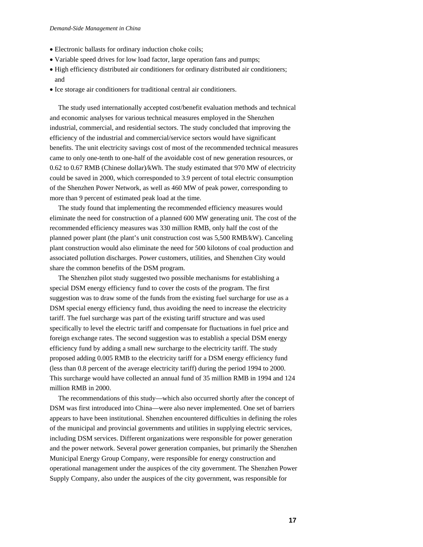- Electronic ballasts for ordinary induction choke coils;
- Variable speed drives for low load factor, large operation fans and pumps;
- High efficiency distributed air conditioners for ordinary distributed air conditioners; and
- Ice storage air conditioners for traditional central air conditioners.

The study used internationally accepted cost/benefit evaluation methods and technical and economic analyses for various technical measures employed in the Shenzhen industrial, commercial, and residential sectors. The study concluded that improving the efficiency of the industrial and commercial/service sectors would have significant benefits. The unit electricity savings cost of most of the recommended technical measures came to only one-tenth to one-half of the avoidable cost of new generation resources, or 0.62 to 0.67 RMB (Chinese dollar)/kWh. The study estimated that 970 MW of electricity could be saved in 2000, which corresponded to 3.9 percent of total electric consumption of the Shenzhen Power Network, as well as 460 MW of peak power, corresponding to more than 9 percent of estimated peak load at the time.

The study found that implementing the recommended efficiency measures would eliminate the need for construction of a planned 600 MW generating unit. The cost of the recommended efficiency measures was 330 million RMB, only half the cost of the planned power plant (the plant's unit construction cost was 5,500 RMB/kW). Canceling plant construction would also eliminate the need for 500 kilotons of coal production and associated pollution discharges. Power customers, utilities, and Shenzhen City would share the common benefits of the DSM program.

The Shenzhen pilot study suggested two possible mechanisms for establishing a special DSM energy efficiency fund to cover the costs of the program. The first suggestion was to draw some of the funds from the existing fuel surcharge for use as a DSM special energy efficiency fund, thus avoiding the need to increase the electricity tariff. The fuel surcharge was part of the existing tariff structure and was used specifically to level the electric tariff and compensate for fluctuations in fuel price and foreign exchange rates. The second suggestion was to establish a special DSM energy efficiency fund by adding a small new surcharge to the electricity tariff. The study proposed adding 0.005 RMB to the electricity tariff for a DSM energy efficiency fund (less than 0.8 percent of the average electricity tariff) during the period 1994 to 2000. This surcharge would have collected an annual fund of 35 million RMB in 1994 and 124 million RMB in 2000.

The recommendations of this study—which also occurred shortly after the concept of DSM was first introduced into China—were also never implemented. One set of barriers appears to have been institutional. Shenzhen encountered difficulties in defining the roles of the municipal and provincial governments and utilities in supplying electric services, including DSM services. Different organizations were responsible for power generation and the power network. Several power generation companies, but primarily the Shenzhen Municipal Energy Group Company, were responsible for energy construction and operational management under the auspices of the city government. The Shenzhen Power Supply Company, also under the auspices of the city government, was responsible for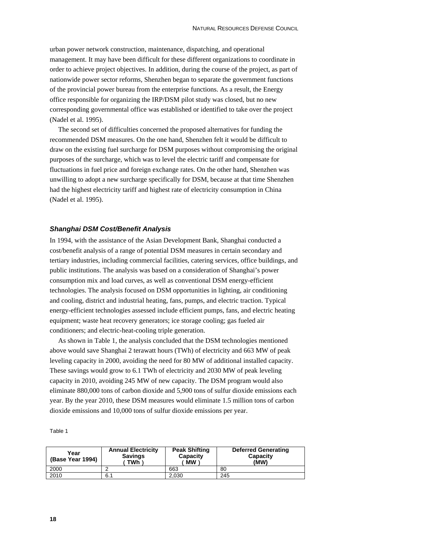urban power network construction, maintenance, dispatching, and operational management. It may have been difficult for these different organizations to coordinate in order to achieve project objectives. In addition, during the course of the project, as part of nationwide power sector reforms, Shenzhen began to separate the government functions of the provincial power bureau from the enterprise functions. As a result, the Energy office responsible for organizing the IRP/DSM pilot study was closed, but no new corresponding governmental office was established or identified to take over the project (Nadel et al. 1995).

The second set of difficulties concerned the proposed alternatives for funding the recommended DSM measures. On the one hand, Shenzhen felt it would be difficult to draw on the existing fuel surcharge for DSM purposes without compromising the original purposes of the surcharge, which was to level the electric tariff and compensate for fluctuations in fuel price and foreign exchange rates. On the other hand, Shenzhen was unwilling to adopt a new surcharge specifically for DSM, because at that time Shenzhen had the highest electricity tariff and highest rate of electricity consumption in China (Nadel et al. 1995).

## *Shanghai DSM Cost/Benefit Analysis*

In 1994, with the assistance of the Asian Development Bank, Shanghai conducted a cost/benefit analysis of a range of potential DSM measures in certain secondary and tertiary industries, including commercial facilities, catering services, office buildings, and public institutions. The analysis was based on a consideration of Shanghai's power consumption mix and load curves, as well as conventional DSM energy-efficient technologies. The analysis focused on DSM opportunities in lighting, air conditioning and cooling, district and industrial heating, fans, pumps, and electric traction. Typical energy-efficient technologies assessed include efficient pumps, fans, and electric heating equipment; waste heat recovery generators; ice storage cooling; gas fueled air conditioners; and electric-heat-cooling triple generation.

As shown in Table 1, the analysis concluded that the DSM technologies mentioned above would save Shanghai 2 terawatt hours (TWh) of electricity and 663 MW of peak leveling capacity in 2000, avoiding the need for 80 MW of additional installed capacity. These savings would grow to 6.1 TWh of electricity and 2030 MW of peak leveling capacity in 2010, avoiding 245 MW of new capacity. The DSM program would also eliminate 880,000 tons of carbon dioxide and 5,900 tons of sulfur dioxide emissions each year. By the year 2010, these DSM measures would eliminate 1.5 million tons of carbon dioxide emissions and 10,000 tons of sulfur dioxide emissions per year.

| ш<br>11 | ı |  |
|---------|---|--|
|---------|---|--|

| Year<br>(Base Year 1994) | <b>Annual Electricity</b><br><b>Savings</b><br>TWh | <b>Peak Shifting</b><br>Capacity<br>МW | <b>Deferred Generating</b><br>Capacity<br>(MW) |
|--------------------------|----------------------------------------------------|----------------------------------------|------------------------------------------------|
| 2000                     |                                                    | 663                                    | 80                                             |
| 2010                     | 6.1                                                | 2.030                                  | 245                                            |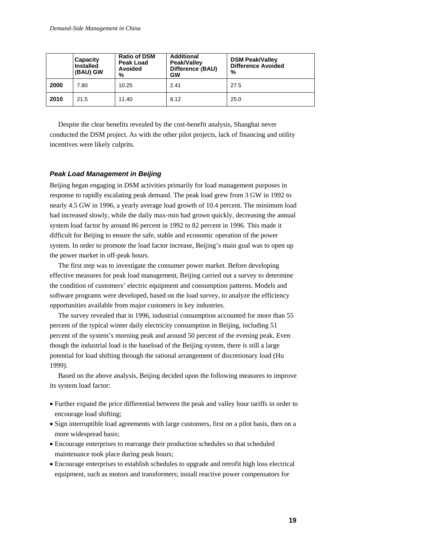|      | Capacity<br><b>Installed</b><br>(BAU) GW | <b>Ratio of DSM</b><br><b>Peak Load</b><br><b>Avoided</b><br>% | <b>Additional</b><br>Peak/Valley<br>Difference (BAU)<br>GW | <b>DSM Peak/Valley</b><br><b>Difference Avoided</b><br>% |
|------|------------------------------------------|----------------------------------------------------------------|------------------------------------------------------------|----------------------------------------------------------|
| 2000 | 7.80                                     | 10.25                                                          | 2.41                                                       | 27.5                                                     |
| 2010 | 21.5                                     | 11.40                                                          | 8.12                                                       | 25.0                                                     |

Despite the clear benefits revealed by the cost-benefit analysis, Shanghai never conducted the DSM project. As with the other pilot projects, lack of financing and utility incentives were likely culprits.

### *Peak Load Management in Beijing*

Beijing began engaging in DSM activities primarily for load management purposes in response to rapidly escalating peak demand. The peak load grew from 3 GW in 1992 to nearly 4.5 GW in 1996, a yearly average load growth of 10.4 percent. The minimum load had increased slowly, while the daily max-min had grown quickly, decreasing the annual system load factor by around 86 percent in 1992 to 82 percent in 1996. This made it difficult for Beijing to ensure the safe, stable and economic operation of the power system. In order to promote the load factor increase, Beijing's main goal was to open up the power market in off-peak hours.

The first step was to investigate the consumer power market. Before developing effective measures for peak load management, Beijing carried out a survey to determine the condition of customers' electric equipment and consumption patterns. Models and software programs were developed, based on the load survey, to analyze the efficiency opportunities available from major customers in key industries.

The survey revealed that in 1996, industrial consumption accounted for more than 55 percent of the typical winter daily electricity consumption in Beijing, including 51 percent of the system's morning peak and around 50 percent of the evening peak. Even though the industrial load is the baseload of the Beijing system, there is still a large potential for load shifting through the rational arrangement of discretionary load (Hu 1999).

Based on the above analysis, Beijing decided upon the following measures to improve its system load factor:

- Further expand the price differential between the peak and valley hour tariffs in order to encourage load shifting;
- Sign interruptible load agreements with large customers, first on a pilot basis, then on a more widespread basis;
- Encourage enterprises to rearrange their production schedules so that scheduled maintenance took place during peak hours;
- Encourage enterprises to establish schedules to upgrade and retrofit high loss electrical equipment, such as motors and transformers; install reactive power compensators for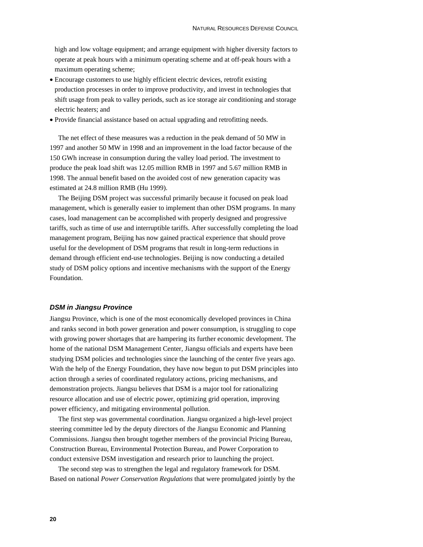high and low voltage equipment; and arrange equipment with higher diversity factors to operate at peak hours with a minimum operating scheme and at off-peak hours with a maximum operating scheme;

- Encourage customers to use highly efficient electric devices, retrofit existing production processes in order to improve productivity, and invest in technologies that shift usage from peak to valley periods, such as ice storage air conditioning and storage electric heaters; and
- Provide financial assistance based on actual upgrading and retrofitting needs.

The net effect of these measures was a reduction in the peak demand of 50 MW in 1997 and another 50 MW in 1998 and an improvement in the load factor because of the 150 GWh increase in consumption during the valley load period. The investment to produce the peak load shift was 12.05 million RMB in 1997 and 5.67 million RMB in 1998. The annual benefit based on the avoided cost of new generation capacity was estimated at 24.8 million RMB (Hu 1999).

The Beijing DSM project was successful primarily because it focused on peak load management, which is generally easier to implement than other DSM programs. In many cases, load management can be accomplished with properly designed and progressive tariffs, such as time of use and interruptible tariffs. After successfully completing the load management program, Beijing has now gained practical experience that should prove useful for the development of DSM programs that result in long-term reductions in demand through efficient end-use technologies. Beijing is now conducting a detailed study of DSM policy options and incentive mechanisms with the support of the Energy Foundation.

#### *DSM in Jiangsu Province*

Jiangsu Province, which is one of the most economically developed provinces in China and ranks second in both power generation and power consumption, is struggling to cope with growing power shortages that are hampering its further economic development. The home of the national DSM Management Center, Jiangsu officials and experts have been studying DSM policies and technologies since the launching of the center five years ago. With the help of the Energy Foundation, they have now begun to put DSM principles into action through a series of coordinated regulatory actions, pricing mechanisms, and demonstration projects. Jiangsu believes that DSM is a major tool for rationalizing resource allocation and use of electric power, optimizing grid operation, improving power efficiency, and mitigating environmental pollution.

The first step was governmental coordination. Jiangsu organized a high-level project steering committee led by the deputy directors of the Jiangsu Economic and Planning Commissions. Jiangsu then brought together members of the provincial Pricing Bureau, Construction Bureau, Environmental Protection Bureau, and Power Corporation to conduct extensive DSM investigation and research prior to launching the project.

The second step was to strengthen the legal and regulatory framework for DSM. Based on national *Power Conservation Regulations* that were promulgated jointly by the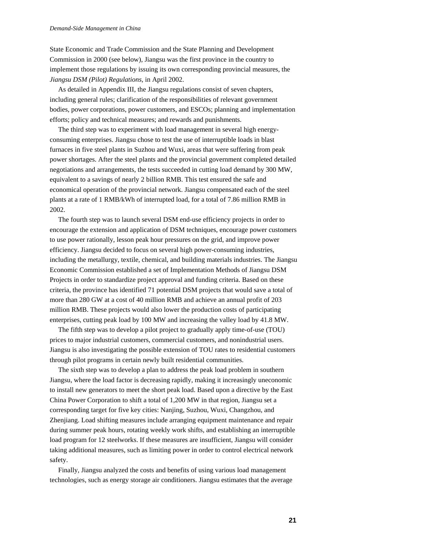State Economic and Trade Commission and the State Planning and Development Commission in 2000 (see below), Jiangsu was the first province in the country to implement those regulations by issuing its own corresponding provincial measures, the *Jiangsu DSM (Pilot) Regulations*, in April 2002.

As detailed in Appendix III, the Jiangsu regulations consist of seven chapters, including general rules; clarification of the responsibilities of relevant government bodies, power corporations, power customers, and ESCOs; planning and implementation efforts; policy and technical measures; and rewards and punishments.

The third step was to experiment with load management in several high energyconsuming enterprises. Jiangsu chose to test the use of interruptible loads in blast furnaces in five steel plants in Suzhou and Wuxi, areas that were suffering from peak power shortages. After the steel plants and the provincial government completed detailed negotiations and arrangements, the tests succeeded in cutting load demand by 300 MW, equivalent to a savings of nearly 2 billion RMB. This test ensured the safe and economical operation of the provincial network. Jiangsu compensated each of the steel plants at a rate of 1 RMB/kWh of interrupted load, for a total of 7.86 million RMB in 2002.

The fourth step was to launch several DSM end-use efficiency projects in order to encourage the extension and application of DSM techniques, encourage power customers to use power rationally, lesson peak hour pressures on the grid, and improve power efficiency. Jiangsu decided to focus on several high power-consuming industries, including the metallurgy, textile, chemical, and building materials industries. The Jiangsu Economic Commission established a set of Implementation Methods of Jiangsu DSM Projects in order to standardize project approval and funding criteria. Based on these criteria, the province has identified 71 potential DSM projects that would save a total of more than 280 GW at a cost of 40 million RMB and achieve an annual profit of 203 million RMB. These projects would also lower the production costs of participating enterprises, cutting peak load by 100 MW and increasing the valley load by 41.8 MW.

The fifth step was to develop a pilot project to gradually apply time-of-use (TOU) prices to major industrial customers, commercial customers, and nonindustrial users. Jiangsu is also investigating the possible extension of TOU rates to residential customers through pilot programs in certain newly built residential communities.

The sixth step was to develop a plan to address the peak load problem in southern Jiangsu, where the load factor is decreasing rapidly, making it increasingly uneconomic to install new generators to meet the short peak load. Based upon a directive by the East China Power Corporation to shift a total of 1,200 MW in that region, Jiangsu set a corresponding target for five key cities: Nanjing, Suzhou, Wuxi, Changzhou, and Zhenjiang. Load shifting measures include arranging equipment maintenance and repair during summer peak hours, rotating weekly work shifts, and establishing an interruptible load program for 12 steelworks. If these measures are insufficient, Jiangsu will consider taking additional measures, such as limiting power in order to control electrical network safety.

Finally, Jiangsu analyzed the costs and benefits of using various load management technologies, such as energy storage air conditioners. Jiangsu estimates that the average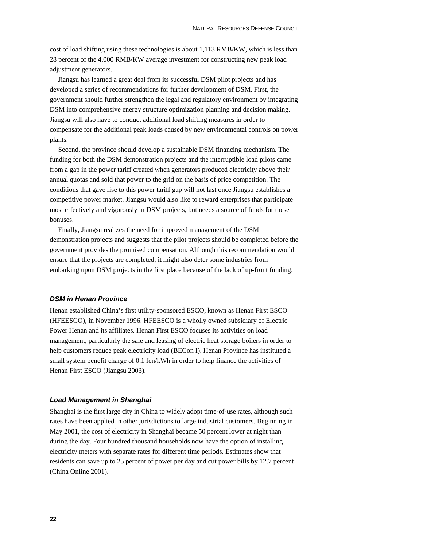cost of load shifting using these technologies is about 1,113 RMB/KW, which is less than 28 percent of the 4,000 RMB/KW average investment for constructing new peak load adjustment generators.

Jiangsu has learned a great deal from its successful DSM pilot projects and has developed a series of recommendations for further development of DSM. First, the government should further strengthen the legal and regulatory environment by integrating DSM into comprehensive energy structure optimization planning and decision making. Jiangsu will also have to conduct additional load shifting measures in order to compensate for the additional peak loads caused by new environmental controls on power plants.

Second, the province should develop a sustainable DSM financing mechanism. The funding for both the DSM demonstration projects and the interruptible load pilots came from a gap in the power tariff created when generators produced electricity above their annual quotas and sold that power to the grid on the basis of price competition. The conditions that gave rise to this power tariff gap will not last once Jiangsu establishes a competitive power market. Jiangsu would also like to reward enterprises that participate most effectively and vigorously in DSM projects, but needs a source of funds for these bonuses.

Finally, Jiangsu realizes the need for improved management of the DSM demonstration projects and suggests that the pilot projects should be completed before the government provides the promised compensation. Although this recommendation would ensure that the projects are completed, it might also deter some industries from embarking upon DSM projects in the first place because of the lack of up-front funding.

#### *DSM in Henan Province*

Henan established China's first utility-sponsored ESCO, known as Henan First ESCO (HFEESCO), in November 1996. HFEESCO is a wholly owned subsidiary of Electric Power Henan and its affiliates. Henan First ESCO focuses its activities on load management, particularly the sale and leasing of electric heat storage boilers in order to help customers reduce peak electricity load (BECon I). Henan Province has instituted a small system benefit charge of 0.1 fen/kWh in order to help finance the activities of Henan First ESCO (Jiangsu 2003).

#### *Load Management in Shanghai*

Shanghai is the first large city in China to widely adopt time-of-use rates, although such rates have been applied in other jurisdictions to large industrial customers. Beginning in May 2001, the cost of electricity in Shanghai became 50 percent lower at night than during the day. Four hundred thousand households now have the option of installing electricity meters with separate rates for different time periods. Estimates show that residents can save up to 25 percent of power per day and cut power bills by 12.7 percent (China Online 2001).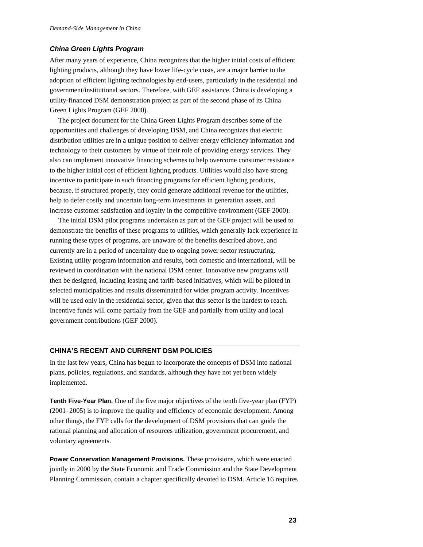## *China Green Lights Program*

After many years of experience, China recognizes that the higher initial costs of efficient lighting products, although they have lower life-cycle costs, are a major barrier to the adoption of efficient lighting technologies by end-users, particularly in the residential and government/institutional sectors. Therefore, with GEF assistance, China is developing a utility-financed DSM demonstration project as part of the second phase of its China Green Lights Program (GEF 2000).

The project document for the China Green Lights Program describes some of the opportunities and challenges of developing DSM, and China recognizes that electric distribution utilities are in a unique position to deliver energy efficiency information and technology to their customers by virtue of their role of providing energy services. They also can implement innovative financing schemes to help overcome consumer resistance to the higher initial cost of efficient lighting products. Utilities would also have strong incentive to participate in such financing programs for efficient lighting products, because, if structured properly, they could generate additional revenue for the utilities, help to defer costly and uncertain long-term investments in generation assets, and increase customer satisfaction and loyalty in the competitive environment (GEF 2000).

The initial DSM pilot programs undertaken as part of the GEF project will be used to demonstrate the benefits of these programs to utilities, which generally lack experience in running these types of programs, are unaware of the benefits described above, and currently are in a period of uncertainty due to ongoing power sector restructuring. Existing utility program information and results, both domestic and international, will be reviewed in coordination with the national DSM center. Innovative new programs will then be designed, including leasing and tariff-based initiatives, which will be piloted in selected municipalities and results disseminated for wider program activity. Incentives will be used only in the residential sector, given that this sector is the hardest to reach. Incentive funds will come partially from the GEF and partially from utility and local government contributions (GEF 2000).

## **CHINA'S RECENT AND CURRENT DSM POLICIES**

In the last few years, China has begun to incorporate the concepts of DSM into national plans, policies, regulations, and standards, although they have not yet been widely implemented.

**Tenth Five-Year Plan.** One of the five major objectives of the tenth five-year plan (FYP) (2001–2005) is to improve the quality and efficiency of economic development. Among other things, the FYP calls for the development of DSM provisions that can guide the rational planning and allocation of resources utilization, government procurement, and voluntary agreements.

**Power Conservation Management Provisions.** These provisions, which were enacted jointly in 2000 by the State Economic and Trade Commission and the State Development Planning Commission, contain a chapter specifically devoted to DSM. Article 16 requires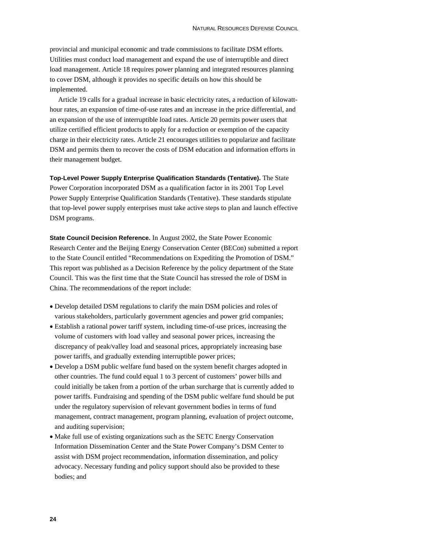provincial and municipal economic and trade commissions to facilitate DSM efforts. Utilities must conduct load management and expand the use of interruptible and direct load management. Article 18 requires power planning and integrated resources planning to cover DSM, although it provides no specific details on how this should be implemented.

Article 19 calls for a gradual increase in basic electricity rates, a reduction of kilowatthour rates, an expansion of time-of-use rates and an increase in the price differential, and an expansion of the use of interruptible load rates. Article 20 permits power users that utilize certified efficient products to apply for a reduction or exemption of the capacity charge in their electricity rates. Article 21 encourages utilities to popularize and facilitate DSM and permits them to recover the costs of DSM education and information efforts in their management budget.

**Top-Level Power Supply Enterprise Qualification Standards (Tentative).** The State Power Corporation incorporated DSM as a qualification factor in its 2001 Top Level Power Supply Enterprise Qualification Standards (Tentative). These standards stipulate that top-level power supply enterprises must take active steps to plan and launch effective DSM programs.

**State Council Decision Reference.** In August 2002, the State Power Economic Research Center and the Beijing Energy Conservation Center (BECon) submitted a report to the State Council entitled "Recommendations on Expediting the Promotion of DSM." This report was published as a Decision Reference by the policy department of the State Council. This was the first time that the State Council has stressed the role of DSM in China. The recommendations of the report include:

- Develop detailed DSM regulations to clarify the main DSM policies and roles of various stakeholders, particularly government agencies and power grid companies;
- Establish a rational power tariff system, including time-of-use prices, increasing the volume of customers with load valley and seasonal power prices, increasing the discrepancy of peak/valley load and seasonal prices, appropriately increasing base power tariffs, and gradually extending interruptible power prices;
- Develop a DSM public welfare fund based on the system benefit charges adopted in other countries. The fund could equal 1 to 3 percent of customers' power bills and could initially be taken from a portion of the urban surcharge that is currently added to power tariffs. Fundraising and spending of the DSM public welfare fund should be put under the regulatory supervision of relevant government bodies in terms of fund management, contract management, program planning, evaluation of project outcome, and auditing supervision;
- Make full use of existing organizations such as the SETC Energy Conservation Information Dissemination Center and the State Power Company's DSM Center to assist with DSM project recommendation, information dissemination, and policy advocacy. Necessary funding and policy support should also be provided to these bodies; and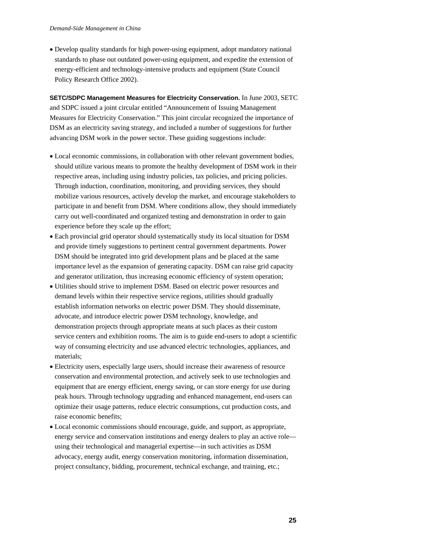• Develop quality standards for high power-using equipment, adopt mandatory national standards to phase out outdated power-using equipment, and expedite the extension of energy-efficient and technology-intensive products and equipment (State Council Policy Research Office 2002).

**SETC/SDPC Management Measures for Electricity Conservation.** In June 2003, SETC and SDPC issued a joint circular entitled "Announcement of Issuing Management Measures for Electricity Conservation." This joint circular recognized the importance of DSM as an electricity saving strategy, and included a number of suggestions for further advancing DSM work in the power sector. These guiding suggestions include:

- Local economic commissions, in collaboration with other relevant government bodies, should utilize various means to promote the healthy development of DSM work in their respective areas, including using industry policies, tax policies, and pricing policies. Through induction, coordination, monitoring, and providing services, they should mobilize various resources, actively develop the market, and encourage stakeholders to participate in and benefit from DSM. Where conditions allow, they should immediately carry out well-coordinated and organized testing and demonstration in order to gain experience before they scale up the effort;
- Each provincial grid operator should systematically study its local situation for DSM and provide timely suggestions to pertinent central government departments. Power DSM should be integrated into grid development plans and be placed at the same importance level as the expansion of generating capacity. DSM can raise grid capacity and generator utilization, thus increasing economic efficiency of system operation;
- Utilities should strive to implement DSM. Based on electric power resources and demand levels within their respective service regions, utilities should gradually establish information networks on electric power DSM. They should disseminate, advocate, and introduce electric power DSM technology, knowledge, and demonstration projects through appropriate means at such places as their custom service centers and exhibition rooms. The aim is to guide end-users to adopt a scientific way of consuming electricity and use advanced electric technologies, appliances, and materials;
- Electricity users, especially large users, should increase their awareness of resource conservation and environmental protection, and actively seek to use technologies and equipment that are energy efficient, energy saving, or can store energy for use during peak hours. Through technology upgrading and enhanced management, end-users can optimize their usage patterns, reduce electric consumptions, cut production costs, and raise economic benefits;
- Local economic commissions should encourage, guide, and support, as appropriate, energy service and conservation institutions and energy dealers to play an active role using their technological and managerial expertise—in such activities as DSM advocacy, energy audit, energy conservation monitoring, information dissemination, project consultancy, bidding, procurement, technical exchange, and training, etc.;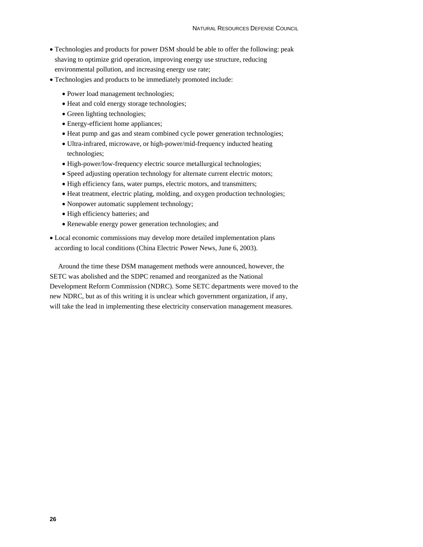- Technologies and products for power DSM should be able to offer the following: peak shaving to optimize grid operation, improving energy use structure, reducing environmental pollution, and increasing energy use rate;
- Technologies and products to be immediately promoted include:
	- Power load management technologies;
	- Heat and cold energy storage technologies;
	- Green lighting technologies;
	- Energy-efficient home appliances;
	- Heat pump and gas and steam combined cycle power generation technologies;
	- Ultra-infrared, microwave, or high-power/mid-frequency inducted heating technologies;
	- High-power/low-frequency electric source metallurgical technologies;
	- Speed adjusting operation technology for alternate current electric motors;
	- High efficiency fans, water pumps, electric motors, and transmitters;
	- Heat treatment, electric plating, molding, and oxygen production technologies;
	- Nonpower automatic supplement technology;
	- High efficiency batteries; and
	- Renewable energy power generation technologies; and
- Local economic commissions may develop more detailed implementation plans according to local conditions (China Electric Power News, June 6, 2003).

Around the time these DSM management methods were announced, however, the SETC was abolished and the SDPC renamed and reorganized as the National Development Reform Commission (NDRC). Some SETC departments were moved to the new NDRC, but as of this writing it is unclear which government organization, if any, will take the lead in implementing these electricity conservation management measures.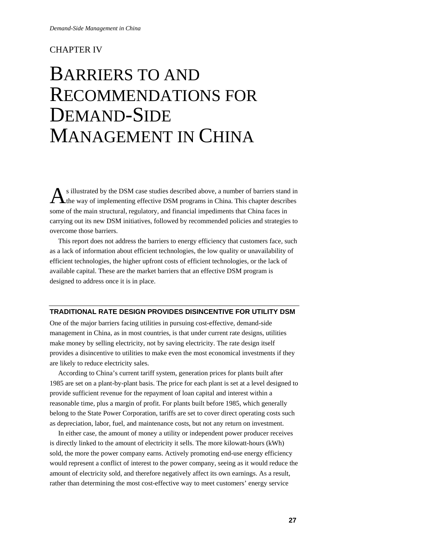## CHAPTER IV

## BARRIERS TO AND RECOMMENDATIONS FOR DEMAND-SIDE MANAGEMENT IN CHINA

s illustrated by the DSM case studies described above, a number of barriers stand in  $A<sup>s</sup>$  illustrated by the DSM case studies described above, a number of barriers stand in the way of implementing effective DSM programs in China. This chapter describes some of the main structural, regulatory, and financial impediments that China faces in carrying out its new DSM initiatives, followed by recommended policies and strategies to overcome those barriers.

This report does not address the barriers to energy efficiency that customers face, such as a lack of information about efficient technologies, the low quality or unavailability of efficient technologies, the higher upfront costs of efficient technologies, or the lack of available capital. These are the market barriers that an effective DSM program is designed to address once it is in place.

## **TRADITIONAL RATE DESIGN PROVIDES DISINCENTIVE FOR UTILITY DSM**

One of the major barriers facing utilities in pursuing cost-effective, demand-side management in China, as in most countries, is that under current rate designs, utilities make money by selling electricity, not by saving electricity. The rate design itself provides a disincentive to utilities to make even the most economical investments if they are likely to reduce electricity sales.

According to China's current tariff system, generation prices for plants built after 1985 are set on a plant-by-plant basis. The price for each plant is set at a level designed to provide sufficient revenue for the repayment of loan capital and interest within a reasonable time, plus a margin of profit. For plants built before 1985, which generally belong to the State Power Corporation, tariffs are set to cover direct operating costs such as depreciation, labor, fuel, and maintenance costs, but not any return on investment.

In either case, the amount of money a utility or independent power producer receives is directly linked to the amount of electricity it sells. The more kilowatt-hours (kWh) sold, the more the power company earns. Actively promoting end-use energy efficiency would represent a conflict of interest to the power company, seeing as it would reduce the amount of electricity sold, and therefore negatively affect its own earnings. As a result, rather than determining the most cost-effective way to meet customers' energy service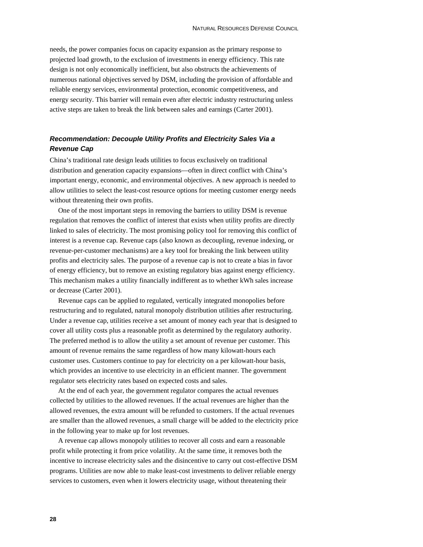needs, the power companies focus on capacity expansion as the primary response to projected load growth, to the exclusion of investments in energy efficiency. This rate design is not only economically inefficient, but also obstructs the achievements of numerous national objectives served by DSM, including the provision of affordable and reliable energy services, environmental protection, economic competitiveness, and energy security. This barrier will remain even after electric industry restructuring unless active steps are taken to break the link between sales and earnings (Carter 2001).

## *Recommendation: Decouple Utility Profits and Electricity Sales Via a Revenue Cap*

China's traditional rate design leads utilities to focus exclusively on traditional distribution and generation capacity expansions—often in direct conflict with China's important energy, economic, and environmental objectives. A new approach is needed to allow utilities to select the least-cost resource options for meeting customer energy needs without threatening their own profits.

One of the most important steps in removing the barriers to utility DSM is revenue regulation that removes the conflict of interest that exists when utility profits are directly linked to sales of electricity. The most promising policy tool for removing this conflict of interest is a revenue cap. Revenue caps (also known as decoupling, revenue indexing, or revenue-per-customer mechanisms) are a key tool for breaking the link between utility profits and electricity sales. The purpose of a revenue cap is not to create a bias in favor of energy efficiency, but to remove an existing regulatory bias against energy efficiency. This mechanism makes a utility financially indifferent as to whether kWh sales increase or decrease (Carter 2001).

Revenue caps can be applied to regulated, vertically integrated monopolies before restructuring and to regulated, natural monopoly distribution utilities after restructuring. Under a revenue cap, utilities receive a set amount of money each year that is designed to cover all utility costs plus a reasonable profit as determined by the regulatory authority. The preferred method is to allow the utility a set amount of revenue per customer. This amount of revenue remains the same regardless of how many kilowatt-hours each customer uses. Customers continue to pay for electricity on a per kilowatt-hour basis, which provides an incentive to use electricity in an efficient manner. The government regulator sets electricity rates based on expected costs and sales.

At the end of each year, the government regulator compares the actual revenues collected by utilities to the allowed revenues. If the actual revenues are higher than the allowed revenues, the extra amount will be refunded to customers. If the actual revenues are smaller than the allowed revenues, a small charge will be added to the electricity price in the following year to make up for lost revenues.

A revenue cap allows monopoly utilities to recover all costs and earn a reasonable profit while protecting it from price volatility. At the same time, it removes both the incentive to increase electricity sales and the disincentive to carry out cost-effective DSM programs. Utilities are now able to make least-cost investments to deliver reliable energy services to customers, even when it lowers electricity usage, without threatening their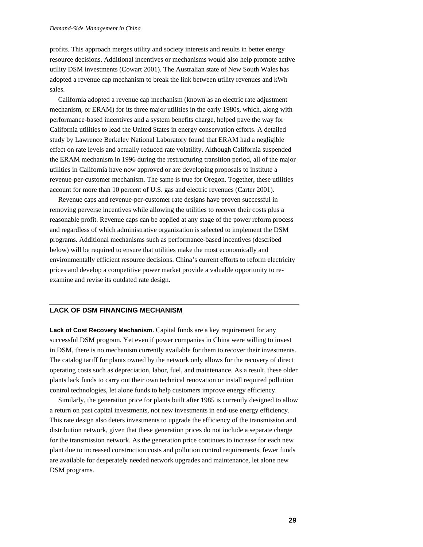profits. This approach merges utility and society interests and results in better energy resource decisions. Additional incentives or mechanisms would also help promote active utility DSM investments (Cowart 2001). The Australian state of New South Wales has adopted a revenue cap mechanism to break the link between utility revenues and kWh sales.

California adopted a revenue cap mechanism (known as an electric rate adjustment mechanism, or ERAM) for its three major utilities in the early 1980s, which, along with performance-based incentives and a system benefits charge, helped pave the way for California utilities to lead the United States in energy conservation efforts. A detailed study by Lawrence Berkeley National Laboratory found that ERAM had a negligible effect on rate levels and actually reduced rate volatility. Although California suspended the ERAM mechanism in 1996 during the restructuring transition period, all of the major utilities in California have now approved or are developing proposals to institute a revenue-per-customer mechanism. The same is true for Oregon. Together, these utilities account for more than 10 percent of U.S. gas and electric revenues (Carter 2001).

Revenue caps and revenue-per-customer rate designs have proven successful in removing perverse incentives while allowing the utilities to recover their costs plus a reasonable profit. Revenue caps can be applied at any stage of the power reform process and regardless of which administrative organization is selected to implement the DSM programs. Additional mechanisms such as performance-based incentives (described below) will be required to ensure that utilities make the most economically and environmentally efficient resource decisions. China's current efforts to reform electricity prices and develop a competitive power market provide a valuable opportunity to reexamine and revise its outdated rate design.

#### **LACK OF DSM FINANCING MECHANISM**

**Lack of Cost Recovery Mechanism.** Capital funds are a key requirement for any successful DSM program. Yet even if power companies in China were willing to invest in DSM, there is no mechanism currently available for them to recover their investments. The catalog tariff for plants owned by the network only allows for the recovery of direct operating costs such as depreciation, labor, fuel, and maintenance. As a result, these older plants lack funds to carry out their own technical renovation or install required pollution control technologies, let alone funds to help customers improve energy efficiency.

Similarly, the generation price for plants built after 1985 is currently designed to allow a return on past capital investments, not new investments in end-use energy efficiency. This rate design also deters investments to upgrade the efficiency of the transmission and distribution network, given that these generation prices do not include a separate charge for the transmission network. As the generation price continues to increase for each new plant due to increased construction costs and pollution control requirements, fewer funds are available for desperately needed network upgrades and maintenance, let alone new DSM programs.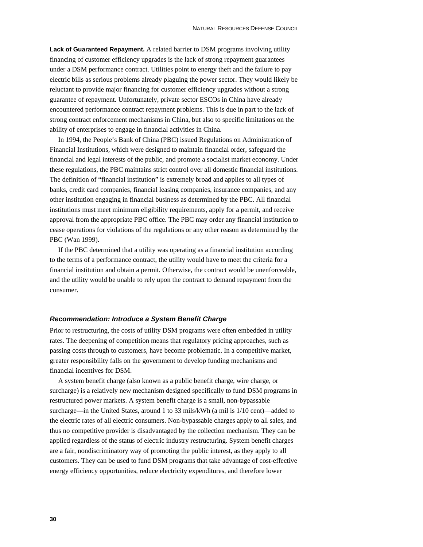**Lack of Guaranteed Repayment.** A related barrier to DSM programs involving utility financing of customer efficiency upgrades is the lack of strong repayment guarantees under a DSM performance contract. Utilities point to energy theft and the failure to pay electric bills as serious problems already plaguing the power sector. They would likely be reluctant to provide major financing for customer efficiency upgrades without a strong guarantee of repayment. Unfortunately, private sector ESCOs in China have already encountered performance contract repayment problems. This is due in part to the lack of strong contract enforcement mechanisms in China, but also to specific limitations on the ability of enterprises to engage in financial activities in China.

In 1994, the People's Bank of China (PBC) issued Regulations on Administration of Financial Institutions*,* which were designed to maintain financial order, safeguard the financial and legal interests of the public, and promote a socialist market economy. Under these regulations, the PBC maintains strict control over all domestic financial institutions. The definition of "financial institution" is extremely broad and applies to all types of banks, credit card companies, financial leasing companies, insurance companies, and any other institution engaging in financial business as determined by the PBC. All financial institutions must meet minimum eligibility requirements, apply for a permit, and receive approval from the appropriate PBC office. The PBC may order any financial institution to cease operations for violations of the regulations or any other reason as determined by the PBC (Wan 1999).

If the PBC determined that a utility was operating as a financial institution according to the terms of a performance contract, the utility would have to meet the criteria for a financial institution and obtain a permit. Otherwise, the contract would be unenforceable, and the utility would be unable to rely upon the contract to demand repayment from the consumer.

## *Recommendation: Introduce a System Benefit Charge*

Prior to restructuring, the costs of utility DSM programs were often embedded in utility rates. The deepening of competition means that regulatory pricing approaches, such as passing costs through to customers, have become problematic. In a competitive market, greater responsibility falls on the government to develop funding mechanisms and financial incentives for DSM.

A system benefit charge (also known as a public benefit charge, wire charge, or surcharge) is a relatively new mechanism designed specifically to fund DSM programs in restructured power markets. A system benefit charge is a small, non-bypassable surcharge**—**in the United States, around 1 to 33 mils/kWh (a mil is 1/10 cent)—added to the electric rates of all electric consumers. Non-bypassable charges apply to all sales, and thus no competitive provider is disadvantaged by the collection mechanism. They can be applied regardless of the status of electric industry restructuring. System benefit charges are a fair, nondiscriminatory way of promoting the public interest, as they apply to all customers. They can be used to fund DSM programs that take advantage of cost-effective energy efficiency opportunities, reduce electricity expenditures, and therefore lower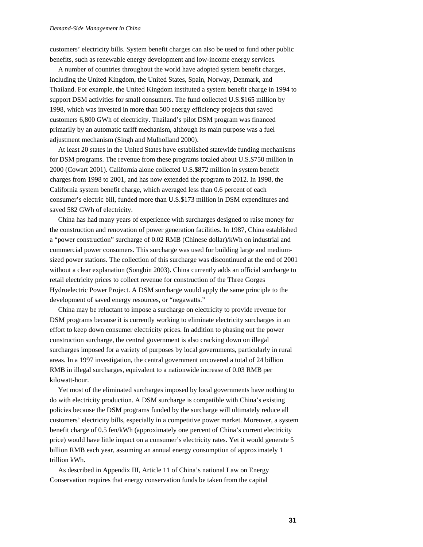customers' electricity bills. System benefit charges can also be used to fund other public benefits, such as renewable energy development and low-income energy services.

A number of countries throughout the world have adopted system benefit charges, including the United Kingdom, the United States, Spain, Norway, Denmark, and Thailand. For example, the United Kingdom instituted a system benefit charge in 1994 to support DSM activities for small consumers. The fund collected U.S.\$165 million by 1998, which was invested in more than 500 energy efficiency projects that saved customers 6,800 GWh of electricity. Thailand's pilot DSM program was financed primarily by an automatic tariff mechanism, although its main purpose was a fuel adjustment mechanism (Singh and Mulholland 2000).

At least 20 states in the United States have established statewide funding mechanisms for DSM programs. The revenue from these programs totaled about U.S.\$750 million in 2000 (Cowart 2001). California alone collected U.S.\$872 million in system benefit charges from 1998 to 2001, and has now extended the program to 2012. In 1998, the California system benefit charge, which averaged less than 0.6 percent of each consumer's electric bill, funded more than U.S.\$173 million in DSM expenditures and saved 582 GWh of electricity.

China has had many years of experience with surcharges designed to raise money for the construction and renovation of power generation facilities. In 1987, China established a "power construction" surcharge of 0.02 RMB (Chinese dollar)/kWh on industrial and commercial power consumers. This surcharge was used for building large and mediumsized power stations. The collection of this surcharge was discontinued at the end of 2001 without a clear explanation (Songbin 2003). China currently adds an official surcharge to retail electricity prices to collect revenue for construction of the Three Gorges Hydroelectric Power Project. A DSM surcharge would apply the same principle to the development of saved energy resources, or "negawatts."

China may be reluctant to impose a surcharge on electricity to provide revenue for DSM programs because it is currently working to eliminate electricity surcharges in an effort to keep down consumer electricity prices. In addition to phasing out the power construction surcharge, the central government is also cracking down on illegal surcharges imposed for a variety of purposes by local governments, particularly in rural areas. In a 1997 investigation, the central government uncovered a total of 24 billion RMB in illegal surcharges, equivalent to a nationwide increase of 0.03 RMB per kilowatt-hour.

Yet most of the eliminated surcharges imposed by local governments have nothing to do with electricity production. A DSM surcharge is compatible with China's existing policies because the DSM programs funded by the surcharge will ultimately reduce all customers' electricity bills, especially in a competitive power market. Moreover, a system benefit charge of 0.5 fen/kWh (approximately one percent of China's current electricity price) would have little impact on a consumer's electricity rates. Yet it would generate 5 billion RMB each year, assuming an annual energy consumption of approximately 1 trillion kWh.

As described in Appendix III, Article 11 of China's national Law on Energy Conservation requires that energy conservation funds be taken from the capital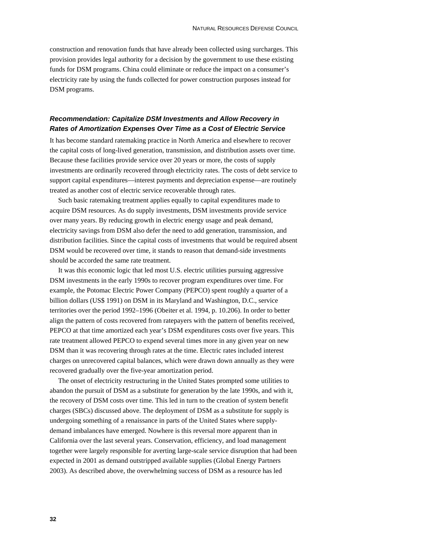construction and renovation funds that have already been collected using surcharges. This provision provides legal authority for a decision by the government to use these existing funds for DSM programs. China could eliminate or reduce the impact on a consumer's electricity rate by using the funds collected for power construction purposes instead for DSM programs.

## *Recommendation: Capitalize DSM Investments and Allow Recovery in Rates of Amortization Expenses Over Time as a Cost of Electric Service*

It has become standard ratemaking practice in North America and elsewhere to recover the capital costs of long-lived generation, transmission, and distribution assets over time. Because these facilities provide service over 20 years or more, the costs of supply investments are ordinarily recovered through electricity rates. The costs of debt service to support capital expenditures—interest payments and depreciation expense—are routinely treated as another cost of electric service recoverable through rates.

Such basic ratemaking treatment applies equally to capital expenditures made to acquire DSM resources. As do supply investments, DSM investments provide service over many years. By reducing growth in electric energy usage and peak demand, electricity savings from DSM also defer the need to add generation, transmission, and distribution facilities. Since the capital costs of investments that would be required absent DSM would be recovered over time, it stands to reason that demand-side investments should be accorded the same rate treatment.

It was this economic logic that led most U.S. electric utilities pursuing aggressive DSM investments in the early 1990s to recover program expenditures over time. For example, the Potomac Electric Power Company (PEPCO) spent roughly a quarter of a billion dollars (US\$ 1991) on DSM in its Maryland and Washington, D.C., service territories over the period 1992–1996 (Obeiter et al. 1994, p. 10.206). In order to better align the pattern of costs recovered from ratepayers with the pattern of benefits received, PEPCO at that time amortized each year's DSM expenditures costs over five years. This rate treatment allowed PEPCO to expend several times more in any given year on new DSM than it was recovering through rates at the time. Electric rates included interest charges on unrecovered capital balances, which were drawn down annually as they were recovered gradually over the five-year amortization period.

The onset of electricity restructuring in the United States prompted some utilities to abandon the pursuit of DSM as a substitute for generation by the late 1990s, and with it, the recovery of DSM costs over time. This led in turn to the creation of system benefit charges (SBCs) discussed above. The deployment of DSM as a substitute for supply is undergoing something of a renaissance in parts of the United States where supplydemand imbalances have emerged. Nowhere is this reversal more apparent than in California over the last several years. Conservation, efficiency, and load management together were largely responsible for averting large-scale service disruption that had been expected in 2001 as demand outstripped available supplies (Global Energy Partners 2003). As described above, the overwhelming success of DSM as a resource has led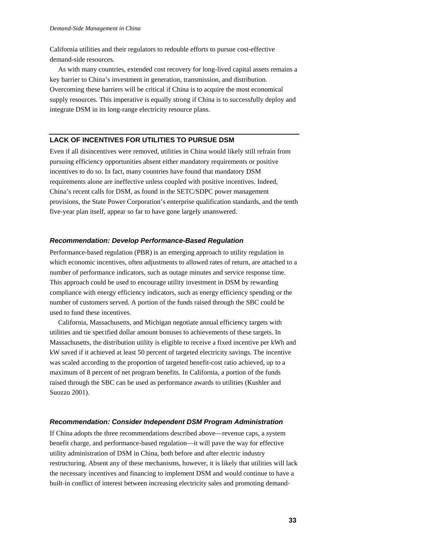California utilities and their regulators to redouble efforts to pursue cost-effective demand-side resources.

As with many countries, extended cost recovery for long-lived capital assets remains a key barrier to China's investment in generation, transmission, and distribution. Overcoming these barriers will be critical if China is to acquire the most economical supply resources. This imperative is equally strong if China is to successfully deploy and integrate DSM in its long-range electricity resource plans.

## **LACK OF INCENTIVES FOR UTILITIES TO PURSUE DSM**

Even if all disincentives were removed, utilities in China would likely still refrain from pursuing efficiency opportunities absent either mandatory requirements or positive incentives to do so. In fact, many countries have found that mandatory DSM requirements alone are ineffective unless coupled with positive incentives. Indeed, China's recent calls for DSM, as found in the SETC/SDPC power management provisions, the State Power Corporation's enterprise qualification standards, and the tenth five-year plan itself, appear so far to have gone largely unanswered.

#### *Recommendation: Develop Performance-Based Regulation*

Performance-based regulation (PBR) is an emerging approach to utility regulation in which economic incentives, often adjustments to allowed rates of return, are attached to a number of performance indicators, such as outage minutes and service response time. This approach could be used to encourage utility investment in DSM by rewarding compliance with energy efficiency indicators, such as energy efficiency spending or the number of customers served. A portion of the funds raised through the SBC could be used to fund these incentives.

California, Massachusetts, and Michigan negotiate annual efficiency targets with utilities and tie specified dollar amount bonuses to achievements of these targets. In Massachusetts, the distribution utility is eligible to receive a fixed incentive per kWh and kW saved if it achieved at least 50 percent of targeted electricity savings. The incentive was scaled according to the proportion of targeted benefit-cost ratio achieved, up to a maximum of 8 percent of net program benefits. In California, a portion of the funds raised through the SBC can be used as performance awards to utilities (Kushler and Suozzo 2001).

### *Recommendation: Consider Independent DSM Program Administration*

If China adopts the three recommendations described above—revenue caps, a system benefit charge, and performance-based regulation—it will pave the way for effective utility administration of DSM in China, both before and after electric industry restructuring. Absent any of these mechanisms, however, it is likely that utilities will lack the necessary incentives and financing to implement DSM and would continue to have a built-in conflict of interest between increasing electricity sales and promoting demand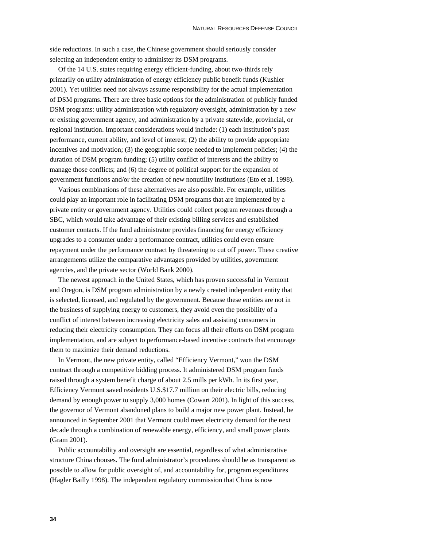side reductions. In such a case, the Chinese government should seriously consider selecting an independent entity to administer its DSM programs.

Of the 14 U.S. states requiring energy efficient-funding, about two-thirds rely primarily on utility administration of energy efficiency public benefit funds (Kushler 2001). Yet utilities need not always assume responsibility for the actual implementation of DSM programs. There are three basic options for the administration of publicly funded DSM programs: utility administration with regulatory oversight, administration by a new or existing government agency, and administration by a private statewide, provincial, or regional institution. Important considerations would include: (1) each institution's past performance, current ability, and level of interest; (2) the ability to provide appropriate incentives and motivation; (3) the geographic scope needed to implement policies; (4) the duration of DSM program funding; (5) utility conflict of interests and the ability to manage those conflicts; and (6) the degree of political support for the expansion of government functions and/or the creation of new nonutility institutions (Eto et al. 1998).

Various combinations of these alternatives are also possible. For example, utilities could play an important role in facilitating DSM programs that are implemented by a private entity or government agency. Utilities could collect program revenues through a SBC, which would take advantage of their existing billing services and established customer contacts. If the fund administrator provides financing for energy efficiency upgrades to a consumer under a performance contract, utilities could even ensure repayment under the performance contract by threatening to cut off power. These creative arrangements utilize the comparative advantages provided by utilities, government agencies, and the private sector (World Bank 2000).

The newest approach in the United States, which has proven successful in Vermont and Oregon, is DSM program administration by a newly created independent entity that is selected, licensed, and regulated by the government. Because these entities are not in the business of supplying energy to customers, they avoid even the possibility of a conflict of interest between increasing electricity sales and assisting consumers in reducing their electricity consumption. They can focus all their efforts on DSM program implementation, and are subject to performance-based incentive contracts that encourage them to maximize their demand reductions.

In Vermont, the new private entity, called "Efficiency Vermont," won the DSM contract through a competitive bidding process. It administered DSM program funds raised through a system benefit charge of about 2.5 mills per kWh. In its first year, Efficiency Vermont saved residents U.S.\$17.7 million on their electric bills, reducing demand by enough power to supply 3,000 homes (Cowart 2001). In light of this success, the governor of Vermont abandoned plans to build a major new power plant. Instead, he announced in September 2001 that Vermont could meet electricity demand for the next decade through a combination of renewable energy, efficiency, and small power plants (Gram 2001).

Public accountability and oversight are essential, regardless of what administrative structure China chooses. The fund administrator's procedures should be as transparent as possible to allow for public oversight of, and accountability for, program expenditures (Hagler Bailly 1998). The independent regulatory commission that China is now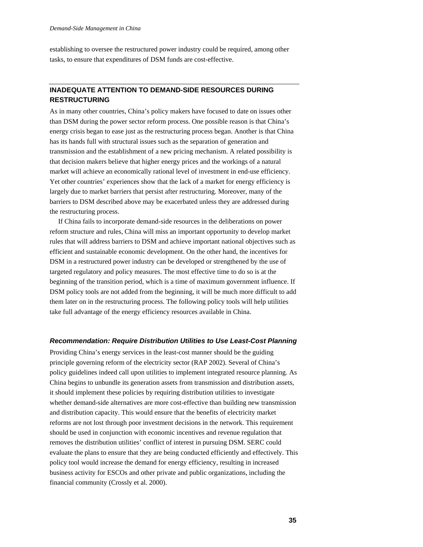establishing to oversee the restructured power industry could be required, among other tasks, to ensure that expenditures of DSM funds are cost-effective.

## **INADEQUATE ATTENTION TO DEMAND-SIDE RESOURCES DURING RESTRUCTURING**

As in many other countries, China's policy makers have focused to date on issues other than DSM during the power sector reform process. One possible reason is that China's energy crisis began to ease just as the restructuring process began. Another is that China has its hands full with structural issues such as the separation of generation and transmission and the establishment of a new pricing mechanism. A related possibility is that decision makers believe that higher energy prices and the workings of a natural market will achieve an economically rational level of investment in end-use efficiency. Yet other countries' experiences show that the lack of a market for energy efficiency is largely due to market barriers that persist after restructuring. Moreover, many of the barriers to DSM described above may be exacerbated unless they are addressed during the restructuring process.

If China fails to incorporate demand-side resources in the deliberations on power reform structure and rules, China will miss an important opportunity to develop market rules that will address barriers to DSM and achieve important national objectives such as efficient and sustainable economic development. On the other hand, the incentives for DSM in a restructured power industry can be developed or strengthened by the use of targeted regulatory and policy measures. The most effective time to do so is at the beginning of the transition period, which is a time of maximum government influence. If DSM policy tools are not added from the beginning, it will be much more difficult to add them later on in the restructuring process. The following policy tools will help utilities take full advantage of the energy efficiency resources available in China.

#### *Recommendation: Require Distribution Utilities to Use Least-Cost Planning*

Providing China's energy services in the least-cost manner should be the guiding principle governing reform of the electricity sector (RAP 2002). Several of China's policy guidelines indeed call upon utilities to implement integrated resource planning. As China begins to unbundle its generation assets from transmission and distribution assets, it should implement these policies by requiring distribution utilities to investigate whether demand-side alternatives are more cost-effective than building new transmission and distribution capacity. This would ensure that the benefits of electricity market reforms are not lost through poor investment decisions in the network. This requirement should be used in conjunction with economic incentives and revenue regulation that removes the distribution utilities' conflict of interest in pursuing DSM. SERC could evaluate the plans to ensure that they are being conducted efficiently and effectively. This policy tool would increase the demand for energy efficiency, resulting in increased business activity for ESCOs and other private and public organizations, including the financial community (Crossly et al. 2000).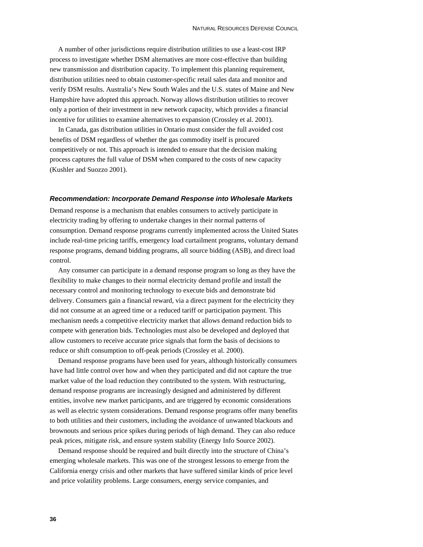A number of other jurisdictions require distribution utilities to use a least-cost IRP process to investigate whether DSM alternatives are more cost-effective than building new transmission and distribution capacity. To implement this planning requirement, distribution utilities need to obtain customer-specific retail sales data and monitor and verify DSM results. Australia's New South Wales and the U.S. states of Maine and New Hampshire have adopted this approach. Norway allows distribution utilities to recover only a portion of their investment in new network capacity, which provides a financial incentive for utilities to examine alternatives to expansion (Crossley et al. 2001).

In Canada, gas distribution utilities in Ontario must consider the full avoided cost benefits of DSM regardless of whether the gas commodity itself is procured competitively or not. This approach is intended to ensure that the decision making process captures the full value of DSM when compared to the costs of new capacity (Kushler and Suozzo 2001).

#### *Recommendation: Incorporate Demand Response into Wholesale Markets*

Demand response is a mechanism that enables consumers to actively participate in electricity trading by offering to undertake changes in their normal patterns of consumption. Demand response programs currently implemented across the United States include real-time pricing tariffs, emergency load curtailment programs, voluntary demand response programs, demand bidding programs, all source bidding (ASB), and direct load control.

Any consumer can participate in a demand response program so long as they have the flexibility to make changes to their normal electricity demand profile and install the necessary control and monitoring technology to execute bids and demonstrate bid delivery. Consumers gain a financial reward, via a direct payment for the electricity they did not consume at an agreed time or a reduced tariff or participation payment. This mechanism needs a competitive electricity market that allows demand reduction bids to compete with generation bids. Technologies must also be developed and deployed that allow customers to receive accurate price signals that form the basis of decisions to reduce or shift consumption to off-peak periods (Crossley et al. 2000).

Demand response programs have been used for years, although historically consumers have had little control over how and when they participated and did not capture the true market value of the load reduction they contributed to the system. With restructuring, demand response programs are increasingly designed and administered by different entities, involve new market participants, and are triggered by economic considerations as well as electric system considerations. Demand response programs offer many benefits to both utilities and their customers, including the avoidance of unwanted blackouts and brownouts and serious price spikes during periods of high demand. They can also reduce peak prices, mitigate risk, and ensure system stability (Energy Info Source 2002).

Demand response should be required and built directly into the structure of China's emerging wholesale markets. This was one of the strongest lessons to emerge from the California energy crisis and other markets that have suffered similar kinds of price level and price volatility problems. Large consumers, energy service companies, and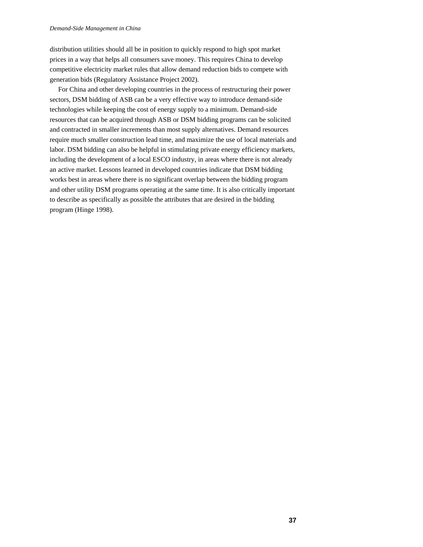distribution utilities should all be in position to quickly respond to high spot market prices in a way that helps all consumers save money. This requires China to develop competitive electricity market rules that allow demand reduction bids to compete with generation bids (Regulatory Assistance Project 2002).

For China and other developing countries in the process of restructuring their power sectors, DSM bidding of ASB can be a very effective way to introduce demand-side technologies while keeping the cost of energy supply to a minimum. Demand-side resources that can be acquired through ASB or DSM bidding programs can be solicited and contracted in smaller increments than most supply alternatives. Demand resources require much smaller construction lead time, and maximize the use of local materials and labor. DSM bidding can also be helpful in stimulating private energy efficiency markets, including the development of a local ESCO industry, in areas where there is not already an active market. Lessons learned in developed countries indicate that DSM bidding works best in areas where there is no significant overlap between the bidding program and other utility DSM programs operating at the same time. It is also critically important to describe as specifically as possible the attributes that are desired in the bidding program (Hinge 1998).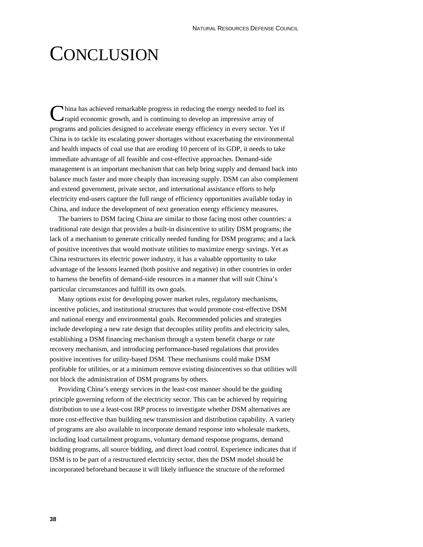# **CONCLUSION**

hina has achieved remarkable progress in reducing the energy needed to fuel its rapid economic growth, and is continuing to develop an impressive array of programs and policies designed to accelerate energy efficiency in every sector. Yet if China is to tackle its escalating power shortages without exacerbating the environmental and health impacts of coal use that are eroding 10 percent of its GDP, it needs to take immediate advantage of all feasible and cost-effective approaches. Demand-side management is an important mechanism that can help bring supply and demand back into balance much faster and more cheaply than increasing supply. DSM can also complement and extend government, private sector, and international assistance efforts to help electricity end-users capture the full range of efficiency opportunities available today in China, and induce the development of next generation energy efficiency measures. C

The barriers to DSM facing China are similar to those facing most other countries: a traditional rate design that provides a built-in disincentive to utility DSM programs; the lack of a mechanism to generate critically needed funding for DSM programs; and a lack of positive incentives that would motivate utilities to maximize energy savings. Yet as China restructures its electric power industry, it has a valuable opportunity to take advantage of the lessons learned (both positive and negative) in other countries in order to harness the benefits of demand-side resources in a manner that will suit China's particular circumstances and fulfill its own goals.

Many options exist for developing power market rules, regulatory mechanisms, incentive policies, and institutional structures that would promote cost-effective DSM and national energy and environmental goals. Recommended policies and strategies include developing a new rate design that decouples utility profits and electricity sales, establishing a DSM financing mechanism through a system benefit charge or rate recovery mechanism, and introducing performance-based regulations that provides positive incentives for utility-based DSM. These mechanisms could make DSM profitable for utilities, or at a minimum remove existing disincentives so that utilities will not block the administration of DSM programs by others.

Providing China's energy services in the least-cost manner should be the guiding principle governing reform of the electricity sector. This can be achieved by requiring distribution to use a least-cost IRP process to investigate whether DSM alternatives are more cost-effective than building new transmission and distribution capability. A variety of programs are also available to incorporate demand response into wholesale markets, including load curtailment programs, voluntary demand response programs, demand bidding programs, all source bidding, and direct load control. Experience indicates that if DSM is to be part of a restructured electricity sector, then the DSM model should be incorporated beforehand because it will likely influence the structure of the reformed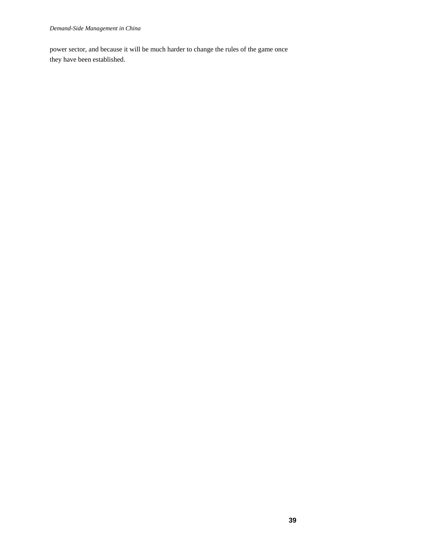power sector, and because it will be much harder to change the rules of the game once they have been established.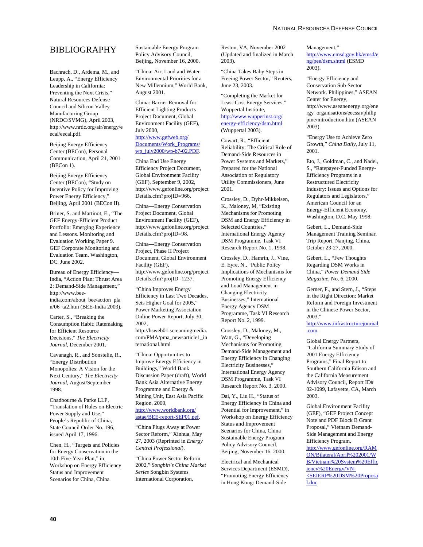## BIBLIOGRAPHY

Bachrach, D., Ardema, M., and Leupp, A., "Energy Efficiency Leadership in California: Preventing the Next Crisis," Natural Resources Defense Council and Silicon Valley Manufacturing Group (NRDC/SVMG), April 2003, http://www.nrdc.org/air/energy/e ecal/eecal.pdf.

Beijing Energy Efficiency Center (BECon), Personal Communication, April 21, 2001 (BECon 1).

Beijing Energy Efficiency Center (BECon), "Study on Incentive Policy for Improving Power Energy Efficiency," Beijing, April 2001 (BECon II).

Briner, S. and Martinot, E., "The GEF Energy-Efficient Product Portfolio: Emerging Experience and Lessons. Monitoring and Evaluation Working Paper 9. GEF Corporate Monitoring and Evaluation Team. Washington, DC. June 2002.

Bureau of Energy Efficiency— India, "Action Plan: Thrust Area 2: Demand-Side Management," http://www.beeindia.com/about\_bee/action\_pla n/06\_ta2.htm (BEE-India 2003).

Carter, S., "Breaking the Consumption Habit: Ratemaking for Efficient Resource Decisions," *The Electricity Journal*, December 2001.

Cavanagh, R., and Sonstelie, R., "Energy Distribution Monopolies: A Vision for the Next Century," *The Electricity Journal*, August/September 1998.

Chadbourne & Parke LLP, "Translation of Rules on Electric Power Supply and Use," People's Republic of China, State Council Order No. 196, issued April 17, 1996.

Chen, H., "Targets and Policies for Energy Conservation in the 10th Five-Year Plan," in Workshop on Energy Efficiency Status and Improvement Scenarios for China, China

Sustainable Energy Program Policy Advisory Council, Beijing, November 16, 2000.

"China: Air, Land and Water— Environmental Priorities for a New Millennium," World Bank, August 2001.

China: Barrier Removal for Efficient Lighting Products Project Document, Global Environment Facility (GEF), July 2000, http://www.gefweb.org/ Documents/Work\_Programs/ wp\_july2000/wp-b7-02.PDF.

China End Use Energy Efficiency Project Document, Global Environment Facility (GEF), September 9, 2002, http://www.gefonline.org/project Details.cfm?projID=966.

China—Energy Conservation Project Document, Global Environment Facility (GEF), http://www.gefonline.org/project Details.cfm?projID=98.

China—Energy Conservation Project, Phase II Project Document, Global Environment Facility (GEF), http://www.gefonline.org/project Details.cfm?projID=1237.

"China Improves Energy Efficiency in Last Two Decades, Sets Higher Goal for 2005," Power Marketing Association Online Power Report, July 30, 2002, http://hsweb01.screamingmedia. com/PMA/pma\_newsarticle1\_in ternational.html

"China: Opportunities to Improve Energy Efficiency in Buildings," World Bank Discussion Paper (draft), World Bank Asia Alternative Energy Programme and Energy & Mining Unit, East Asia Pacific Region, 2000, http://www.worldbank.org/ astae/BEE-report-SEP01.pef.

#### "China Plugs Away at Power Sector Reform," Xinhua, May 27, 2003 (Reprinted in *Energy Central Professional*).

"China Power Sector Reform 2002," *Songbin's China Market Series* Songbin Systems International Corporation,

Reston, VA, November 2002 (Updated and finalized in March 2003).

"China Takes Baby Steps in Freeing Power Sector," Reuters, June 23, 2003.

"Completing the Market for Least-Cost Energy Services," Wuppertal Institute, http://www.wupperinst.org/ energy-efficiency/dsm.html (Wuppertal 2003).

Cowart, R., "Efficient Reliability: The Critical Role of Demand-Side Resources in Power Systems and Markets," Prepared for the National Association of Regulatory Utility Commissioners, June 2001.

Crossley, D., Dyhr-Mikkelsen, K., Maloney, M, "Existing Mechanisms for Promoting DSM and Energy Efficiency in Selected Countries," International Energy Agency DSM Programme, Task VI Research Report No. 1, 1998.

Crossley, D., Hamrin, J., Vine, E, Eyre, N., "Public Policy Implications of Mechanisms for Promoting Energy Efficiency and Load Management in Changing Electricity Businesses," International Energy Agency DSM Programme, Task VI Research Report No. 2, 1999.

Crossley, D., Maloney, M., Watt, G., "Developing Mechanisms for Promoting Demand-Side Management and Energy Efficiency in Changing Electricity Businesses," International Energy Agency DSM Programme, Task VI Research Report No. 3, 2000.

Dai, Y., Liu H., "Status of Energy Efficiency in China and Potential for Improvement," in Workshop on Energy Efficiency Status and Improvement Scenarios for China, China Sustainable Energy Program Policy Advisory Council, Beijing, November 16, 2000.

Electrical and Mechanical Services Department (ESMD), "Promoting Energy Efficiency in Hong Kong: Demand-Side

Management," http://www.emsd.gov.hk/emsd/e ng/pee/dsm.shtml (ESMD 2003).

"Energy Efficiency and Conservation Sub-Sector Network. Philippines," ASEAN Center for Energy, http://www.aseanenergy.org/ene rgy\_organisations/eecssn/philip pine/introduction.htm (ASEAN 2003).

"Energy Use to Achieve Zero Growth," *China Daily*, July 11, 2001.

Eto, J., Goldman, C., and Nadel, S., "Ratepayer-Funded Energy-Efficiency Programs in a Restructured Electricity Industry: Issues and Options for Regulators and Legislators," American Council for an Energy-Efficient Economy, Washington, D.C. May 1998.

Gebert, L., Demand-Side Management Training Seminar, Trip Report, Nanjing, China, October 23-27, 2000.

Gebert, L., "Few Thoughts Regarding DSM Works in China," *Power Demand Side Magazine*, No. 6, 2000.

Gerner, F., and Stern, J., "Steps in the Right Direction: Market Reform and Foreign Investment in the Chinese Power Sector, 2003,"

http://www.infrastructurejournal .com.

Global Energy Partners, "California Summary Study of 2001 Energy Efficiency Programs," Final Report to Southern California Edison and the California Measurement Advisory Council, Report ID# 02-1099, Lafayette, CA, March 2003.

Global Environment Facility (GEF), "GEF Project Concept Note and PDF Block B Grant Proposal," Vietnam Demand-Side Management and Energy Efficiency Program, http://www.gefonline.org/RAM ON/Bilateral/April%202001/W B/Vietnam%20System%20Effic iency%20Energy/VN- <SEIERP%20DSM%20Proposa l.doc.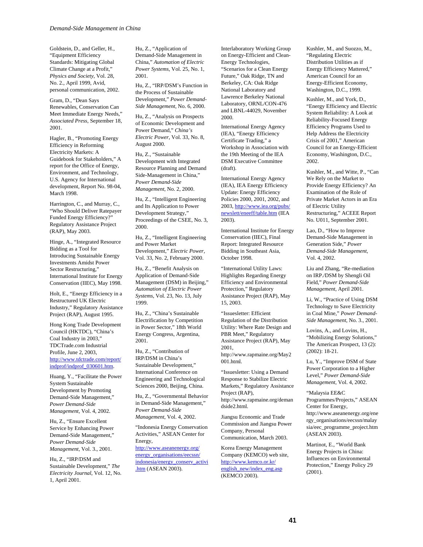Goldstein, D., and Geller, H., "Equipment Efficiency Standards: Mitigating Global Climate Change at a Profit," *Physics and Society*, Vol. 28, No. 2., April 1999, Avid, personal communication, 2002.

Gram, D., "Dean Says Renewables, Conservation Can Meet Immediate Energy Needs," *Associated Press*, September 18, 2001.

Hagler, B., "Promoting Energy Efficiency in Reforming Electricity Markets: A Guidebook for Stakeholders," A report for the Office of Energy, Environment, and Technology, U.S. Agency for International development, Report No. 98-04, March 1998.

Harrington, C., and Murray, C., "Who Should Deliver Ratepayer Funded Energy Efficiency?" Regulatory Assistance Project (RAP), May 2003.

Hinge, A., "Integrated Resource Bidding as a Tool for Introducing Sustainable Energy Investments Amidst Power Sector Restructuring," International Institute for Energy Conservation (IIEC), May 1998.

Holt, E., "Energy Efficiency in a Restructured UK Electric Industry," Regulatory Assistance Project (RAP), August 1995.

Hong Kong Trade Development Council (HKTDC), "China's Coal Industry in 2003," TDCTrade.com Industrial Profile, June 2, 2003, http://www.tdctrade.com/report/ indprof/indprof\_030601.htm.

Huang, Y., "Facilitate the Power System Sustainable Development by Promoting Demand-Side Management," *Power Demand-Side Management*, Vol. 4, 2002.

Hu, Z., "Ensure Excellent Service by Enhancing Power Demand-Side Management," *Power Demand-Side Management*, Vol. 3., 2001.

Hu, Z., "IRP/DSM and Sustainable Development," *The Electricity Journal*, Vol. 12, No. 1, April 2001.

Hu, Z., "Application of Demand-Side Management in China," *Automation of Electric Power Systems*, Vol. 25, No. 1, 2001.

Hu, Z., "IRP/DSM's Function in the Process of Sustainable Development," *Power Demand-Side Management*, No. 6, 2000.

Hu, Z., "Analysis on Prospects of Economic Development and Power Demand," *China's Electric Power*, Vol. 33, No. 8, August 2000.

Hu, Z., "Sustainable Development with Integrated Resource Planning and Demand Side-Management in China," *Power Demand-Side Management*, No. 2, 2000.

Hu, Z., "Intelligent Engineering and Its Application to Power Development Strategy," Proceedings of the CSEE, No. 3, 2000.

Hu, Z., "Intelligent Engineering and Power Market Development," *Electric Power*, Vol. 33, No. 2, February 2000.

Hu, Z., "Benefit Analysis on Application of Demand-Side Management (DSM) in Beijing," *Automation of Electric Power Systems*, Vol. 23, No. 13, July 1999.

Hu, Z., "China's Sustainable Electrification by Competition in Power Sector," 18th World Energy Congress, Argentina, 2001.

Hu, Z., "Contribution of IRP/DSM in China's Sustainable Development," International Conference on Engineering and Technological Sciences 2000, Beijing, China.

Hu, Z., "Governmental Behavior in Demand-Side Management," *Power Demand-Side Management*, Vol. 4, 2002.

"Indonesia Energy Conservation Activities," ASEAN Center for Energy, http://www.aseanenergy.org/

energy\_organisations/eecssn/ indonesia/energy\_conserv\_activi .htm (ASEAN 2003).

Interlaboratory Working Group on Energy-Efficient and Clean-Energy Technologies, "Scenarios for a Clean Energy Future," Oak Ridge, TN and Berkeley, CA: Oak Ridge National Laboratory and Lawrence Berkeley National Laboratory, ORNL/CON-476 and LBNL-44029, November 2000.

International Energy Agency (IEA), "Energy Efficiency Certificate Trading," a Workshop in Association with the 19th Meeting of the IEA DSM Executive Committee (draft).

International Energy Agency (IEA), IEA Energy Efficiency Update: Energy Efficiency Policies 2000, 2001, 2002, and 2003, http://www.iea.org/pubs/ newslett/eneeff/table.htm (IEA 2003).

International Institute for Energy Conservation (IIEC), Final Report: Integrated Resource Bidding in Southeast Asia, October 1998.

"International Utility Laws: Highlights Regarding Energy Efficiency and Environmental Protection," Regulatory Assistance Project (RAP), May 15, 2003.

"Issuesletter: Efficient Regulation of the Distribution Utility: Where Rate Design and PBR Meet," Regulatory Assistance Project (RAP), May 2001, http://www.rapmaine.org/May2 001.html.

"Issuesletter: Using a Demand Response to Stabilize Electric Markets," Regulatory Assistance Project (RAP), http://www.rapmaine.org/deman dside2.html.

Jiangsu Economic and Trade Commission and Jiangsu Power Company, Personal Communication, March 2003.

Korea Energy Management Company (KEMCO) web site, http://www.kemco.or.kr/ english\_new/index\_eng.asp (KEMCO 2003).

Kushler, M., and Suozzo, M., "Regulating Electric Distribution Utilities as if Energy Efficiency Mattered," American Council for an Energy-Efficient Economy, Washington, D.C., 1999.

Kushler, M., and York, D., "Energy Efficiency and Electric System Reliability: A Look at Reliability-Focused Energy Efficiency Programs Used to Help Address the Electricity Crisis of 2001," American Council for an Energy-Efficient Economy, Washington, D.C., 2002.

Kushler, M., and Witte, P., "Can We Rely on the Market to Provide Energy Efficiency? An Examination of the Role of Private Market Actors in an Era of Electric Utility Restructuring," ACEEE Report No. U011, September 2001.

Lao, D., "How to Improve Demand-Side Management in Generation Side," *Power Demand-Side Management*, Vol. 4, 2002.

Liu and Zhang, "Re-mediation on IRP./DSM by Shengli Oil Field," *Power Demand-Side Management*, April 2001.

Li, W., "Practice of Using DSM Technology to Save Electricity in Coal Mine," *Power Demand-Side Management*, No. 3., 2001.

Lovins, A., and Lovins, H., "Mobilizing Energy Solutions," The American Prospect, 13 (2): (2002): 18-21.

Lu, Y., "Improve DSM of State Power Corporation to a Higher Level," *Power Demand-Side Management*, Vol. 4, 2002.

"Malaysia EE&C Programmes/Projects," ASEAN Center for Energy, http://www.aseanenergy.org/ene rgy\_organisations/eecssn/malay sia/eec\_programme\_project.htm

Martinot, E., "World Bank Energy Projects in China: Influences on Environmental Protection," Energy Policy 29 (2001).

(ASEAN 2003).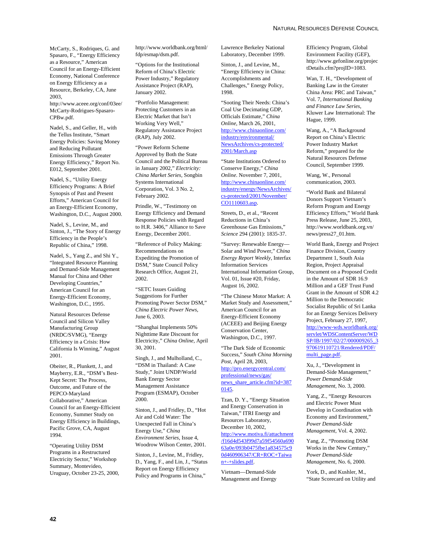McCarty, S., Rodriques, G. and Spasaro, F., "Energy Efficiency as a Resource," American Council for an Energy-Efficient Economy, National Conference on Energy Efficiency as a Resource, Berkeley, CA, June 2003,

http://www.aceee.org/conf/03ee/ McCarty-Rodrigues-Spasaro-CPBw.pdf.

Nadel, S., and Geller, H., with the Tellus Institute, "Smart Energy Policies: Saving Money and Reducing Pollutant Emissions Through Greater Energy Efficiency," Report No. E012, September 2001.

Nadel, S., "Utility Energy Efficiency Programs: A Brief Synopsis of Past and Present Efforts," American Council for an Energy-Efficient Economy, Washington, D.C., August 2000.

Nadel, S., Levine, M., and Sinton, J., "The Story of Energy Efficiency in the People's Republic of China," 1998.

Nadel, S., Yang Z., and Shi Y., "Integrated Resource Planning and Demand-Side Management Manual for China and Other Developing Countries," American Council for an Energy-Efficient Economy, Washington, D.C., 1995.

Natural Resources Defense Council and Silicon Valley Manufacturing Group (NRDC/SVMG), "Energy Efficiency in a Crisis: How California Is Winning," August 2001.

Obeiter, R., Plunkett, J., and Mayberry, E.R., "DSM's Best-Kept Secret: The Process, Outcome, and Future of the PEPCO-Maryland Collaborative," American Council for an Energy-Efficient Economy, Summer Study on Energy Efficiency in Buildings, Pacific Grove, CA, August 1994.

"Operating Utility DSM Programs in a Restructured Electricity Sector," Workshop Summary, Montevideo, Uruguay, October 23-25, 2000, http://www.worldbank.org/html/ fdp/esmap/dsm.pdf.

"Options for the Institutional Reform of China's Electric Power Industry," Regulatory Assistance Project (RAP), January 2002.

"Portfolio Management: Protecting Customers in an Electric Market that Isn't Working Very Well," Regulatory Assistance Project (RAP), July 2002.

"Power Reform Scheme Approved by Both the State Council and the Political Bureau in January 2002," *Electricity: China Market Series,* Songbin Systems International Corporation, Vol. 3 No. 2, February 2002.

Prindle, W., "Testimony on Energy Efficiency and Demand Response Policies with Regard to H.R. 3406," Alliance to Save Energy, December 2001.

"Reference of Policy Making: Recommendations on Expediting the Promotion of DSM," State Council Policy Research Office, August 21, 2002.

"SETC Issues Guiding Suggestions for Further Promoting Power Sector DSM," *China Electric Power News,* June 6, 2003.

"Shanghai Implements 50% Nighttime Rate Discount for Electricity," *China Online,* April 30, 2001.

Singh, J., and Mulholland, C., "DSM in Thailand: A Case Study," Joint UNDP/World Bank Energy Sector Management Assistance Program (ESMAP), October 2000.

Sinton, J., and Fridley, D., "Hot Air and Cold Water: The Unexpected Fall in China's Energy Use," *China Environment Series*, Issue 4, Woodrow Wilson Center, 2001.

Sinton, J., Levine, M., Fridley, D., Yang, F., and Lin, J., "Status Report on Energy Efficiency Policy and Programs in China,"

Lawrence Berkeley National Laboratory, December 1999.

Sinton, J., and Levine, M., "Energy Efficiency in China: Accomplishments and Challenges," Energy Policy*,* 1998.

"Sooting Their Needs: China's Coal Use Decimating GDP, Officials Estimate," *China Online,* March 26, 2001, http://www.chinaonline.com/ industry/environmental/ NewsArchives/cs-protected/ 2001/March.asp

"State Institutions Ordered to Conserve Energy," *China Online*. November 7, 2001, http://www.chinaonline.com/ industry/energy/NewsArchives/ cs-protected/2001/November/ CO1110603.asp.

Streets, D., et al., "Recent Reductions in China's Greenhouse Gas Emissions," *Science* 294 (2001): 1835-37.

"Survey: Renewable Energy— Solar and Wind Power," *China Energy Report Weekly*, Interfax Information Services International Information Group, Vol. 01, Issue #20, Friday, August 16, 2002.

"The Chinese Motor Market: A Market Study and Assessment," American Council for an Energy-Efficient Economy (ACEEE) and Beijing Energy Conservation Center, Washington, D.C., 1997.

"The Dark Side of Economic Success," *South China Morning Post,* April 28, 2003, http://pro.energycentral.com/ professional/news/gas/ news\_share\_article.cfm?id=387 0145.

Tzan, D. Y., "Energy Situation and Energy Conservation in Taiwan," ITRI Energy and Resources Laboratory, December 10, 2002, http://www.motiva.fi/attachment /f16d4d543f99d7a59f54560a690 63a0e/093b0475fbe1a834575c9 0d460906347/CR+ROC+Taiwa n+-+slides.pdf.

Vietnam—Demand-Side Management and Energy

Efficiency Program, Global Environment Facility (GEF), http://www.gefonline.org/projec tDetails.cfm?projID=1083.

Wan, T. H., "Development of Banking Law in the Greater China Area: PRC and Taiwan," Vol. 7, *International Banking and Finance Law Series*, Kluwer Law International: The Hague, 1999.

Wang, A., "A Background Report on China's Electric Power Industry Market Reform," prepared for the Natural Resources Defense Council, September 1999.

Wang, W., Personal communication, 2003.

"World Bank and Bilateral Donors Support Vietnam's Reform Program and Energy Efficiency Efforts," World Bank Press Release, June 25, 2003, http://www.worldbank.org.vn/ news/press27\_01.htm.

World Bank, Energy and Project Finance Division, Country Department 1, South Asia Region, Project Appraisal Document on a Proposed Credit in the Amount of SDR 16.9 Million and a GEF Trust Fund Grant in the Amount of SDR 4.2 Million to the Democratic Socialist Republic of Sri Lanka for an Energy Services Delivery Project, February 27, 1997, http://www-wds.worldbank.org/ servlet/WDSContentServer/WD SP/IB/1997/02/27/000009265\_3 970619110721/Rendered/PDF/ multi\_page.pdf.

Xu, J., "Development in Demand-Side Management," *Power Demand-Side Management*, No. 3, 2000.

Yang, Z., "Energy Resources and Electric Power Must Develop in Coordination with Economy and Environment," *Power Demand-Side Management*, Vol. 4, 2002.

Yang, Z., "Promoting DSM Works in the New Century," *Power Demand-Side Management*, No. 6, 2000.

York, D., and Kushler, M., "State Scorecard on Utility and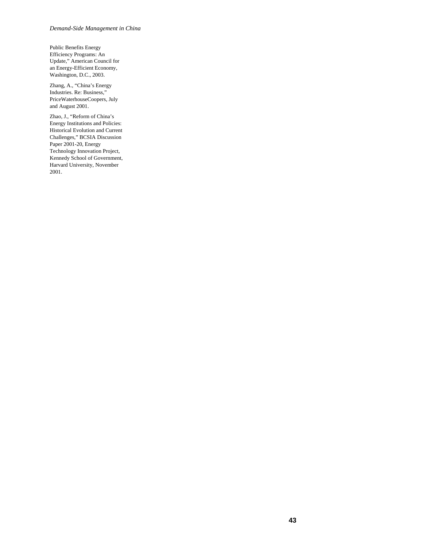#### *Demand-Side Management in China*

Public Benefits Energy Efficiency Programs: An Update," American Council for an Energy-Efficient Economy, Washington, D.C., 2003.

Zhang, A., "China's Energy Industries. Re: Business," PriceWaterhouseCoopers, July and August 2001.

Zhao, J., "Reform of China's Energy Institutions and Policies: Historical Evolution and Current Challenges," BCSIA Discussion Paper 2001-20, Energy Technology Innovation Project, Kennedy School of Government, Harvard University, November 2001.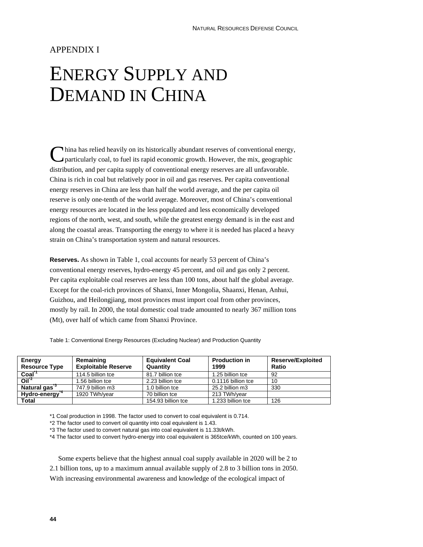## APPENDIX I

# ENERGY SUPPLY AND DEMAND IN CHINA

hina has relied heavily on its historically abundant reserves of conventional energy, particularly coal, to fuel its rapid economic growth. However, the mix, geographic distribution, and per capita supply of conventional energy reserves are all unfavorable. China is rich in coal but relatively poor in oil and gas reserves. Per capita conventional energy reserves in China are less than half the world average, and the per capita oil reserve is only one-tenth of the world average. Moreover, most of China's conventional energy resources are located in the less populated and less economically developed regions of the north, west, and south, while the greatest energy demand is in the east and along the coastal areas. Transporting the energy to where it is needed has placed a heavy strain on China's transportation system and natural resources. C

**Reserves.** As shown in Table 1, coal accounts for nearly 53 percent of China's conventional energy reserves, hydro-energy 45 percent, and oil and gas only 2 percent. Per capita exploitable coal reserves are less than 100 tons, about half the global average. Except for the coal-rich provinces of Shanxi, Inner Mongolia, Shaanxi, Henan, Anhui, Guizhou, and Heilongjiang, most provinces must import coal from other provinces, mostly by rail. In 2000, the total domestic coal trade amounted to nearly 367 million tons (Mt), over half of which came from Shanxi Province.

| Energy<br><b>Resource Type</b> | Remaining<br><b>Exploitable Reserve</b> | <b>Equivalent Coal</b><br>Quantity | <b>Production in</b><br>1999 | <b>Reserve/Exploited</b><br>Ratio |
|--------------------------------|-----------------------------------------|------------------------------------|------------------------------|-----------------------------------|
| Coal <sup>"</sup>              | 114.5 billion tce                       | 81.7 billion tce                   | 1.25 billion tce             | 92                                |
| O <sup>12</sup>                | 1.56 billion tce                        | 2.23 billion tce                   | 0.1116 billion tce           | 10                                |
| Natural gas <sup>3</sup>       | 747.9 billion m3                        | 1.0 billion tce                    | 25.2 billion m3              | 330                               |
| Hydro-energy <sup>4</sup>      | 1920 TWh/vear                           | 70 billion tce                     | 213 TWh/vear                 |                                   |
| Total                          |                                         | 154.93 billion tce                 | 1.233 billion tce            | 126                               |

Table 1: Conventional Energy Resources (Excluding Nuclear) and Production Quantity

\*1 Coal production in 1998. The factor used to convert to coal equivalent is 0.714.

\*2 The factor used to convert oil quantity into coal equivalent is 1.43.

\*3 The factor used to convert natural gas into coal equivalent is 11.33t/kWh.

\*4 The factor used to convert hydro-energy into coal equivalent is 365tce/kWh, counted on 100 years.

Some experts believe that the highest annual coal supply available in 2020 will be 2 to 2.1 billion tons, up to a maximum annual available supply of 2.8 to 3 billion tons in 2050. With increasing environmental awareness and knowledge of the ecological impact of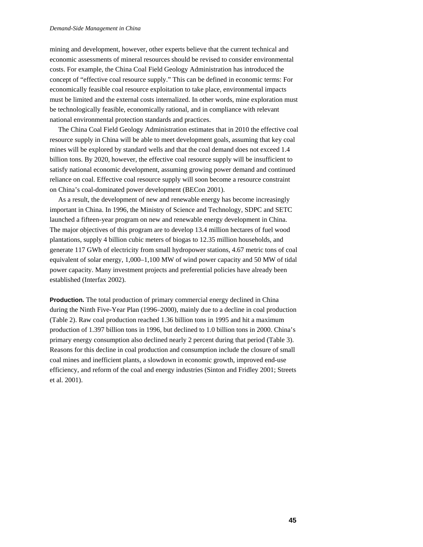#### *Demand-Side Management in China*

mining and development, however, other experts believe that the current technical and economic assessments of mineral resources should be revised to consider environmental costs. For example, the China Coal Field Geology Administration has introduced the concept of "effective coal resource supply." This can be defined in economic terms: For economically feasible coal resource exploitation to take place, environmental impacts must be limited and the external costs internalized. In other words, mine exploration must be technologically feasible, economically rational, and in compliance with relevant national environmental protection standards and practices.

The China Coal Field Geology Administration estimates that in 2010 the effective coal resource supply in China will be able to meet development goals, assuming that key coal mines will be explored by standard wells and that the coal demand does not exceed 1.4 billion tons. By 2020, however, the effective coal resource supply will be insufficient to satisfy national economic development, assuming growing power demand and continued reliance on coal. Effective coal resource supply will soon become a resource constraint on China's coal-dominated power development (BECon 2001).

As a result, the development of new and renewable energy has become increasingly important in China. In 1996, the Ministry of Science and Technology, SDPC and SETC launched a fifteen-year program on new and renewable energy development in China. The major objectives of this program are to develop 13.4 million hectares of fuel wood plantations, supply 4 billion cubic meters of biogas to 12.35 million households, and generate 117 GWh of electricity from small hydropower stations, 4.67 metric tons of coal equivalent of solar energy, 1,000–1,100 MW of wind power capacity and 50 MW of tidal power capacity. Many investment projects and preferential policies have already been established (Interfax 2002).

**Production.** The total production of primary commercial energy declined in China during the Ninth Five-Year Plan (1996–2000), mainly due to a decline in coal production (Table 2). Raw coal production reached 1.36 billion tons in 1995 and hit a maximum production of 1.397 billion tons in 1996, but declined to 1.0 billion tons in 2000. China's primary energy consumption also declined nearly 2 percent during that period (Table 3). Reasons for this decline in coal production and consumption include the closure of small coal mines and inefficient plants, a slowdown in economic growth, improved end-use efficiency, and reform of the coal and energy industries (Sinton and Fridley 2001; Streets et al. 2001).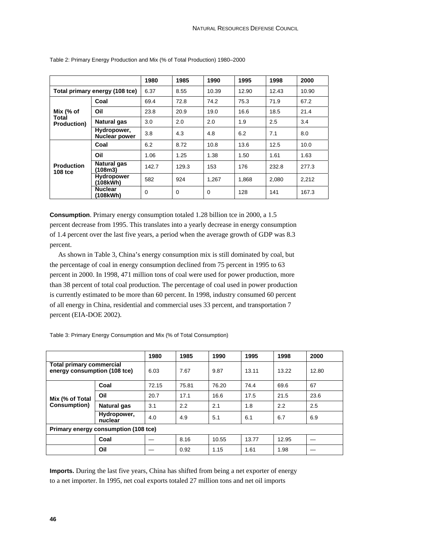|                                             |                               | 1980        | 1985  | 1990     | 1995  | 1998  | 2000  |
|---------------------------------------------|-------------------------------|-------------|-------|----------|-------|-------|-------|
| Total primary energy (108 tce)              |                               | 6.37        | 8.55  | 10.39    | 12.90 | 12.43 | 10.90 |
| Mix $(%$ of<br>Total<br><b>Production</b> ) | Coal                          | 69.4        | 72.8  | 74.2     | 75.3  | 71.9  | 67.2  |
|                                             | Oil                           | 23.8        | 20.9  | 19.0     | 16.6  | 18.5  | 21.4  |
|                                             | Natural gas                   | 3.0         | 2.0   | 2.0      | 1.9   | 2.5   | 3.4   |
|                                             | Hydropower,<br>Nuclear power  | 3.8         | 4.3   | 4.8      | 6.2   | 7.1   | 8.0   |
| <b>Production</b><br><b>108 tce</b>         | Coal                          | 6.2         | 8.72  | 10.8     | 13.6  | 12.5  | 10.0  |
|                                             | Oil                           | 1.06        | 1.25  | 1.38     | 1.50  | 1.61  | 1.63  |
|                                             | Natural gas<br>(108m3)        | 142.7       | 129.3 | 153      | 176   | 232.8 | 277.3 |
|                                             | <b>Hydropower</b><br>(108kWh) | 582         | 924   | 1,267    | 1,868 | 2,080 | 2,212 |
|                                             | <b>Nuclear</b><br>(108kWh)    | $\mathbf 0$ | 0     | $\Omega$ | 128   | 141   | 167.3 |

Table 2: Primary Energy Production and Mix (% of Total Production) 1980–2000

**Consumption**. Primary energy consumption totaled 1.28 billion tce in 2000, a 1.5 percent decrease from 1995. This translates into a yearly decrease in energy consumption of 1.4 percent over the last five years, a period when the average growth of GDP was 8.3 percent.

As shown in Table 3, China's energy consumption mix is still dominated by coal, but the percentage of coal in energy consumption declined from 75 percent in 1995 to 63 percent in 2000. In 1998, 471 million tons of coal were used for power production, more than 38 percent of total coal production. The percentage of coal used in power production is currently estimated to be more than 60 percent. In 1998, industry consumed 60 percent of all energy in China, residential and commercial uses 33 percent, and transportation 7 percent (EIA-DOE 2002).

|                                                                 |                        | 1980  | 1985  | 1990  | 1995  | 1998  | 2000  |  |
|-----------------------------------------------------------------|------------------------|-------|-------|-------|-------|-------|-------|--|
| <b>Total primary commercial</b><br>energy consumption (108 tce) |                        | 6.03  | 7.67  | 9.87  | 13.11 | 13.22 | 12.80 |  |
| Mix (% of Total<br><b>Consumption</b> )                         | Coal                   | 72.15 | 75.81 | 76.20 | 74.4  | 69.6  | 67    |  |
|                                                                 | Oil                    | 20.7  | 17.1  | 16.6  | 17.5  | 21.5  | 23.6  |  |
|                                                                 | <b>Natural gas</b>     | 3.1   | 2.2   | 2.1   | 1.8   | 2.2   | 2.5   |  |
|                                                                 | Hydropower,<br>nuclear | 4.0   | 4.9   | 5.1   | 6.1   | 6.7   | 6.9   |  |
| Primary energy consumption (108 tce)                            |                        |       |       |       |       |       |       |  |
|                                                                 | Coal                   |       | 8.16  | 10.55 | 13.77 | 12.95 |       |  |
|                                                                 | Oil                    |       | 0.92  | 1.15  | 1.61  | 1.98  |       |  |

Table 3: Primary Energy Consumption and Mix (% of Total Consumption)

**Imports.** During the last five years, China has shifted from being a net exporter of energy to a net importer. In 1995, net coal exports totaled 27 million tons and net oil imports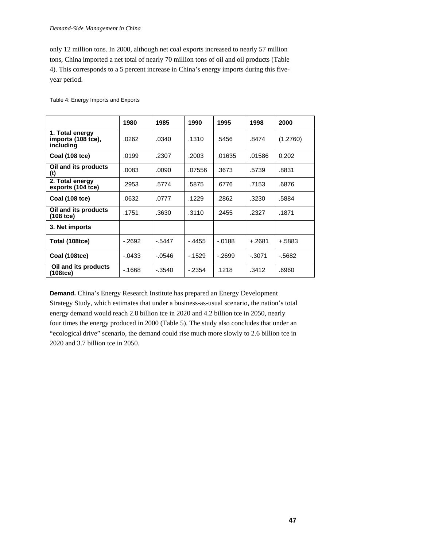#### *Demand-Side Management in China*

only 12 million tons. In 2000, although net coal exports increased to nearly 57 million tons, China imported a net total of nearly 70 million tons of oil and oil products (Table 4). This corresponds to a 5 percent increase in China's energy imports during this fiveyear period.

|                                                    | 1980     | 1985     | 1990     | 1995     | 1998      | 2000     |
|----------------------------------------------------|----------|----------|----------|----------|-----------|----------|
| 1. Total energy<br>imports (108 tce),<br>including | .0262    | .0340    | .1310    | .5456    | .8474     | (1.2760) |
| Coal (108 tce)                                     | .0199    | .2307    | .2003    | .01635   | .01586    | 0.202    |
| Oil and its products<br>(t)                        | .0083    | .0090    | .07556   | .3673    | .5739     | .8831    |
| 2. Total energy<br>exports (104 tce)               | .2953    | .5774    | .5875    | .6776    | .7153     | .6876    |
| <b>Coal (108 tce)</b>                              | .0632    | .0777    | .1229    | .2862    | .3230     | .5884    |
| Oil and its products<br>(108 tce)                  | .1751    | .3630    | .3110    | .2455    | .2327     | .1871    |
| 3. Net imports                                     |          |          |          |          |           |          |
| Total (108tce)                                     | $-2692$  | $-5447$  | $-.4455$ | $-.0188$ | $+.2681$  | $+.5883$ |
| Coal (108tce)                                      | $-.0433$ | $-0546$  | $-1529$  | $-2699$  | $-0.3071$ | $-5682$  |
| Oil and its products<br>(108tce)                   | $-1668$  | $-.3540$ | $-.2354$ | .1218    | .3412     | .6960    |

Table 4: Energy Imports and Exports

**Demand.** China's Energy Research Institute has prepared an Energy Development Strategy Study, which estimates that under a business-as-usual scenario, the nation's total energy demand would reach 2.8 billion tce in 2020 and 4.2 billion tce in 2050, nearly four times the energy produced in 2000 (Table 5). The study also concludes that under an "ecological drive" scenario, the demand could rise much more slowly to 2.6 billion tce in 2020 and 3.7 billion tce in 2050.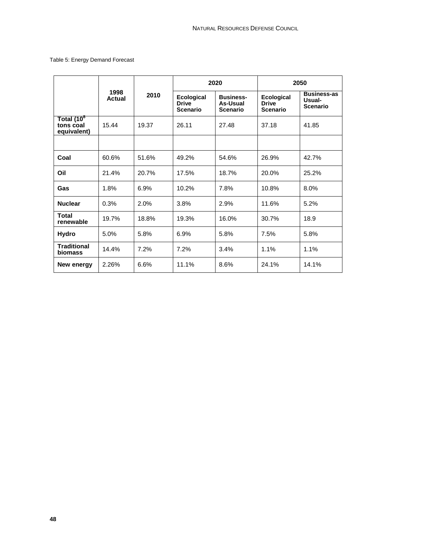## Table 5: Energy Demand Forecast

|                                                    |                |       |                                                      | 2020                                            | 2050                                                 |                                                 |  |
|----------------------------------------------------|----------------|-------|------------------------------------------------------|-------------------------------------------------|------------------------------------------------------|-------------------------------------------------|--|
|                                                    | 1998<br>Actual | 2010  | <b>Ecological</b><br><b>Drive</b><br><b>Scenario</b> | <b>Business-</b><br>As-Usual<br><b>Scenario</b> | <b>Ecological</b><br><b>Drive</b><br><b>Scenario</b> | <b>Business-as</b><br>Usual-<br><b>Scenario</b> |  |
| Total (10 <sup>8</sup><br>tons coal<br>equivalent) | 15.44          | 19.37 | 26.11                                                | 27.48                                           | 37.18                                                | 41.85                                           |  |
|                                                    |                |       |                                                      |                                                 |                                                      |                                                 |  |
| Coal                                               | 60.6%          | 51.6% | 49.2%                                                | 54.6%                                           | 26.9%                                                | 42.7%                                           |  |
| Oil                                                | 21.4%          | 20.7% | 17.5%                                                | 18.7%                                           | 20.0%                                                | 25.2%                                           |  |
| Gas                                                | 1.8%           | 6.9%  | 10.2%                                                | 7.8%                                            | 10.8%                                                | 8.0%                                            |  |
| <b>Nuclear</b>                                     | 0.3%           | 2.0%  | 3.8%                                                 | 2.9%                                            | 11.6%                                                | 5.2%                                            |  |
| <b>Total</b><br>renewable                          | 19.7%          | 18.8% | 19.3%                                                | 16.0%                                           | 30.7%                                                | 18.9                                            |  |
| Hydro                                              | 5.0%           | 5.8%  | 6.9%                                                 | 5.8%                                            | 7.5%                                                 | 5.8%                                            |  |
| <b>Traditional</b><br><b>biomass</b>               | 14.4%          | 7.2%  | 7.2%                                                 | 3.4%                                            | 1.1%                                                 | 1.1%                                            |  |
| New energy                                         | 2.26%          | 6.6%  | 11.1%                                                | 8.6%                                            | 24.1%                                                | 14.1%                                           |  |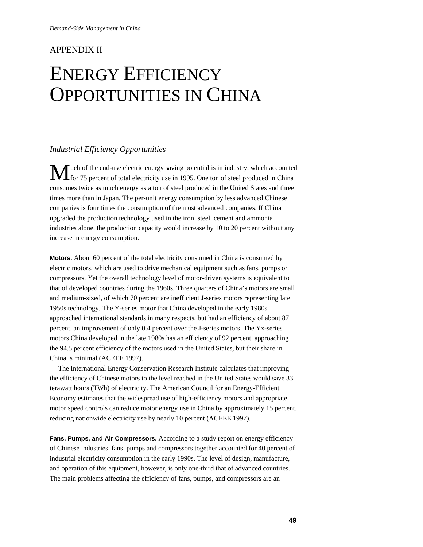# APPENDIX II

# ENERGY EFFICIENCY OPPORTUNITIES IN CHINA

## *Industrial Efficiency Opportunities*

uch of the end-use electric energy saving potential is in industry, which accounted M uch of the end-use electric energy saving potential is in industry, which accounted<br>for 75 percent of total electricity use in 1995. One ton of steel produced in China consumes twice as much energy as a ton of steel produced in the United States and three times more than in Japan. The per-unit energy consumption by less advanced Chinese companies is four times the consumption of the most advanced companies. If China upgraded the production technology used in the iron, steel, cement and ammonia industries alone, the production capacity would increase by 10 to 20 percent without any increase in energy consumption.

**Motors.** About 60 percent of the total electricity consumed in China is consumed by electric motors, which are used to drive mechanical equipment such as fans, pumps or compressors. Yet the overall technology level of motor-driven systems is equivalent to that of developed countries during the 1960s. Three quarters of China's motors are small and medium-sized, of which 70 percent are inefficient J-series motors representing late 1950s technology. The Y-series motor that China developed in the early 1980s approached international standards in many respects, but had an efficiency of about 87 percent, an improvement of only 0.4 percent over the J-series motors. The Yx-series motors China developed in the late 1980s has an efficiency of 92 percent, approaching the 94.5 percent efficiency of the motors used in the United States, but their share in China is minimal (ACEEE 1997).

The International Energy Conservation Research Institute calculates that improving the efficiency of Chinese motors to the level reached in the United States would save 33 terawatt hours (TWh) of electricity. The American Council for an Energy-Efficient Economy estimates that the widespread use of high-efficiency motors and appropriate motor speed controls can reduce motor energy use in China by approximately 15 percent, reducing nationwide electricity use by nearly 10 percent (ACEEE 1997).

**Fans, Pumps, and Air Compressors.** According to a study report on energy efficiency of Chinese industries, fans, pumps and compressors together accounted for 40 percent of industrial electricity consumption in the early 1990s. The level of design, manufacture, and operation of this equipment, however, is only one-third that of advanced countries. The main problems affecting the efficiency of fans, pumps, and compressors are an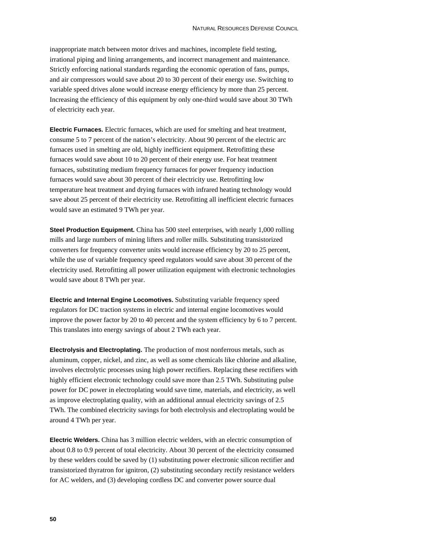inappropriate match between motor drives and machines, incomplete field testing, irrational piping and lining arrangements, and incorrect management and maintenance. Strictly enforcing national standards regarding the economic operation of fans, pumps, and air compressors would save about 20 to 30 percent of their energy use. Switching to variable speed drives alone would increase energy efficiency by more than 25 percent. Increasing the efficiency of this equipment by only one-third would save about 30 TWh of electricity each year.

**Electric Furnaces.** Electric furnaces, which are used for smelting and heat treatment, consume 5 to 7 percent of the nation's electricity. About 90 percent of the electric arc furnaces used in smelting are old, highly inefficient equipment. Retrofitting these furnaces would save about 10 to 20 percent of their energy use. For heat treatment furnaces, substituting medium frequency furnaces for power frequency induction furnaces would save about 30 percent of their electricity use. Retrofitting low temperature heat treatment and drying furnaces with infrared heating technology would save about 25 percent of their electricity use. Retrofitting all inefficient electric furnaces would save an estimated 9 TWh per year.

**Steel Production Equipment.** China has 500 steel enterprises, with nearly 1,000 rolling mills and large numbers of mining lifters and roller mills. Substituting transistorized converters for frequency converter units would increase efficiency by 20 to 25 percent, while the use of variable frequency speed regulators would save about 30 percent of the electricity used. Retrofitting all power utilization equipment with electronic technologies would save about 8 TWh per year.

**Electric and Internal Engine Locomotives.** Substituting variable frequency speed regulators for DC traction systems in electric and internal engine locomotives would improve the power factor by 20 to 40 percent and the system efficiency by 6 to 7 percent. This translates into energy savings of about 2 TWh each year.

**Electrolysis and Electroplating.** The production of most nonferrous metals, such as aluminum, copper, nickel, and zinc, as well as some chemicals like chlorine and alkaline, involves electrolytic processes using high power rectifiers. Replacing these rectifiers with highly efficient electronic technology could save more than 2.5 TWh. Substituting pulse power for DC power in electroplating would save time, materials, and electricity, as well as improve electroplating quality, with an additional annual electricity savings of 2.5 TWh. The combined electricity savings for both electrolysis and electroplating would be around 4 TWh per year.

**Electric Welders.** China has 3 million electric welders, with an electric consumption of about 0.8 to 0.9 percent of total electricity. About 30 percent of the electricity consumed by these welders could be saved by (1) substituting power electronic silicon rectifier and transistorized thyratron for ignitron, (2) substituting secondary rectify resistance welders for AC welders, and (3) developing cordless DC and converter power source dual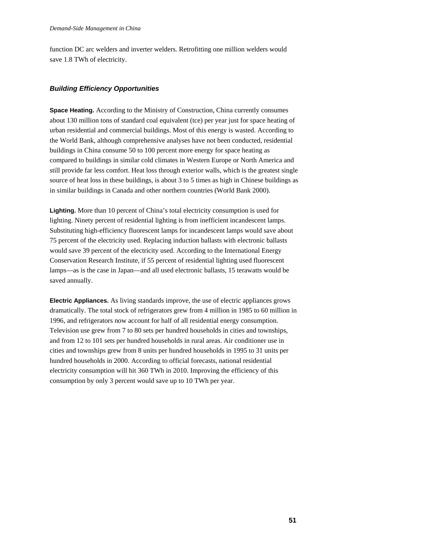function DC arc welders and inverter welders. Retrofitting one million welders would save 1.8 TWh of electricity.

## *Building Efficiency Opportunities*

**Space Heating.** According to the Ministry of Construction, China currently consumes about 130 million tons of standard coal equivalent (tce) per year just for space heating of urban residential and commercial buildings. Most of this energy is wasted. According to the World Bank, although comprehensive analyses have not been conducted, residential buildings in China consume 50 to 100 percent more energy for space heating as compared to buildings in similar cold climates in Western Europe or North America and still provide far less comfort. Heat loss through exterior walls, which is the greatest single source of heat loss in these buildings, is about 3 to 5 times as high in Chinese buildings as in similar buildings in Canada and other northern countries (World Bank 2000).

**Lighting.** More than 10 percent of China's total electricity consumption is used for lighting. Ninety percent of residential lighting is from inefficient incandescent lamps. Substituting high-efficiency fluorescent lamps for incandescent lamps would save about 75 percent of the electricity used. Replacing induction ballasts with electronic ballasts would save 39 percent of the electricity used. According to the International Energy Conservation Research Institute, if 55 percent of residential lighting used fluorescent lamps—as is the case in Japan—and all used electronic ballasts, 15 terawatts would be saved annually.

**Electric Appliances.** As living standards improve, the use of electric appliances grows dramatically. The total stock of refrigerators grew from 4 million in 1985 to 60 million in 1996, and refrigerators now account for half of all residential energy consumption. Television use grew from 7 to 80 sets per hundred households in cities and townships, and from 12 to 101 sets per hundred households in rural areas. Air conditioner use in cities and townships grew from 8 units per hundred households in 1995 to 31 units per hundred households in 2000. According to official forecasts, national residential electricity consumption will hit 360 TWh in 2010. Improving the efficiency of this consumption by only 3 percent would save up to 10 TWh per year.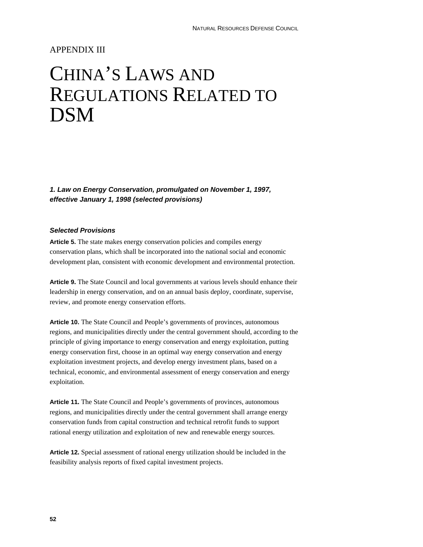# APPENDIX III

# CHINA'S LAWS AND REGULATIONS RELATED TO DSM

*1. Law on Energy Conservation, promulgated on November 1, 1997, effective January 1, 1998 (selected provisions)* 

## *Selected Provisions*

**Article 5.** The state makes energy conservation policies and compiles energy conservation plans, which shall be incorporated into the national social and economic development plan, consistent with economic development and environmental protection.

**Article 9.** The State Council and local governments at various levels should enhance their leadership in energy conservation, and on an annual basis deploy, coordinate, supervise, review, and promote energy conservation efforts.

**Article 10.** The State Council and People's governments of provinces, autonomous regions, and municipalities directly under the central government should, according to the principle of giving importance to energy conservation and energy exploitation, putting energy conservation first, choose in an optimal way energy conservation and energy exploitation investment projects, and develop energy investment plans, based on a technical, economic, and environmental assessment of energy conservation and energy exploitation.

**Article 11.** The State Council and People's governments of provinces, autonomous regions, and municipalities directly under the central government shall arrange energy conservation funds from capital construction and technical retrofit funds to support rational energy utilization and exploitation of new and renewable energy sources.

**Article 12.** Special assessment of rational energy utilization should be included in the feasibility analysis reports of fixed capital investment projects.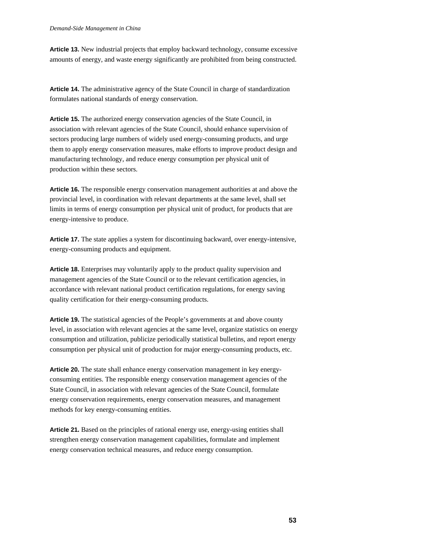**Article 13.** New industrial projects that employ backward technology, consume excessive amounts of energy, and waste energy significantly are prohibited from being constructed.

**Article 14.** The administrative agency of the State Council in charge of standardization formulates national standards of energy conservation.

**Article 15.** The authorized energy conservation agencies of the State Council, in association with relevant agencies of the State Council, should enhance supervision of sectors producing large numbers of widely used energy-consuming products, and urge them to apply energy conservation measures, make efforts to improve product design and manufacturing technology, and reduce energy consumption per physical unit of production within these sectors.

**Article 16.** The responsible energy conservation management authorities at and above the provincial level, in coordination with relevant departments at the same level, shall set limits in terms of energy consumption per physical unit of product, for products that are energy-intensive to produce.

**Article 17.** The state applies a system for discontinuing backward, over energy-intensive, energy-consuming products and equipment.

**Article 18.** Enterprises may voluntarily apply to the product quality supervision and management agencies of the State Council or to the relevant certification agencies, in accordance with relevant national product certification regulations, for energy saving quality certification for their energy-consuming products.

**Article 19.** The statistical agencies of the People's governments at and above county level, in association with relevant agencies at the same level, organize statistics on energy consumption and utilization, publicize periodically statistical bulletins, and report energy consumption per physical unit of production for major energy-consuming products, etc.

**Article 20.** The state shall enhance energy conservation management in key energyconsuming entities. The responsible energy conservation management agencies of the State Council, in association with relevant agencies of the State Council, formulate energy conservation requirements, energy conservation measures, and management methods for key energy-consuming entities.

**Article 21.** Based on the principles of rational energy use, energy-using entities shall strengthen energy conservation management capabilities, formulate and implement energy conservation technical measures, and reduce energy consumption.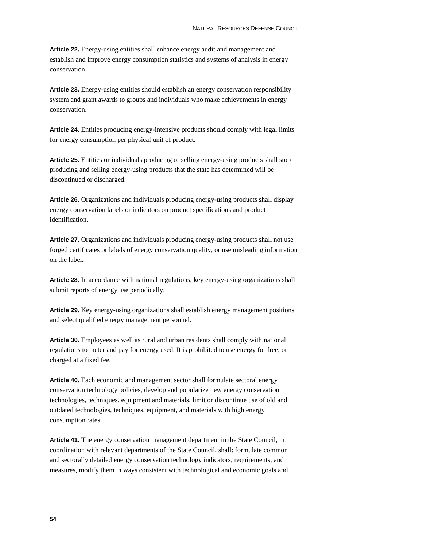**Article 22.** Energy-using entities shall enhance energy audit and management and establish and improve energy consumption statistics and systems of analysis in energy conservation.

**Article 23.** Energy-using entities should establish an energy conservation responsibility system and grant awards to groups and individuals who make achievements in energy conservation.

**Article 24.** Entities producing energy-intensive products should comply with legal limits for energy consumption per physical unit of product.

**Article 25.** Entities or individuals producing or selling energy-using products shall stop producing and selling energy-using products that the state has determined will be discontinued or discharged.

**Article 26.** Organizations and individuals producing energy-using products shall display energy conservation labels or indicators on product specifications and product identification.

**Article 27.** Organizations and individuals producing energy-using products shall not use forged certificates or labels of energy conservation quality, or use misleading information on the label.

**Article 28.** In accordance with national regulations, key energy-using organizations shall submit reports of energy use periodically.

**Article 29.** Key energy-using organizations shall establish energy management positions and select qualified energy management personnel.

**Article 30.** Employees as well as rural and urban residents shall comply with national regulations to meter and pay for energy used. It is prohibited to use energy for free, or charged at a fixed fee.

**Article 40.** Each economic and management sector shall formulate sectoral energy conservation technology policies, develop and popularize new energy conservation technologies, techniques, equipment and materials, limit or discontinue use of old and outdated technologies, techniques, equipment, and materials with high energy consumption rates.

**Article 41.** The energy conservation management department in the State Council, in coordination with relevant departments of the State Council, shall: formulate common and sectorally detailed energy conservation technology indicators, requirements, and measures, modify them in ways consistent with technological and economic goals and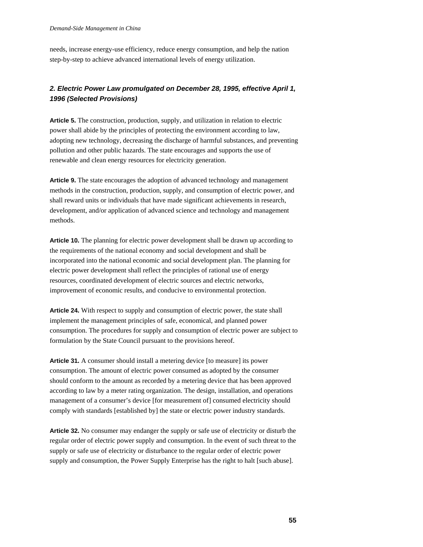needs, increase energy-use efficiency, reduce energy consumption, and help the nation step-by-step to achieve advanced international levels of energy utilization.

# *2. Electric Power Law promulgated on December 28, 1995, effective April 1, 1996 (Selected Provisions)*

**Article 5.** The construction, production, supply, and utilization in relation to electric power shall abide by the principles of protecting the environment according to law, adopting new technology, decreasing the discharge of harmful substances, and preventing pollution and other public hazards. The state encourages and supports the use of renewable and clean energy resources for electricity generation.

**Article 9.** The state encourages the adoption of advanced technology and management methods in the construction, production, supply, and consumption of electric power, and shall reward units or individuals that have made significant achievements in research, development, and/or application of advanced science and technology and management methods.

**Article 10.** The planning for electric power development shall be drawn up according to the requirements of the national economy and social development and shall be incorporated into the national economic and social development plan. The planning for electric power development shall reflect the principles of rational use of energy resources, coordinated development of electric sources and electric networks, improvement of economic results, and conducive to environmental protection.

**Article 24.** With respect to supply and consumption of electric power, the state shall implement the management principles of safe, economical, and planned power consumption. The procedures for supply and consumption of electric power are subject to formulation by the State Council pursuant to the provisions hereof.

**Article 31.** A consumer should install a metering device [to measure] its power consumption. The amount of electric power consumed as adopted by the consumer should conform to the amount as recorded by a metering device that has been approved according to law by a meter rating organization. The design, installation, and operations management of a consumer's device [for measurement of] consumed electricity should comply with standards [established by] the state or electric power industry standards.

**Article 32.** No consumer may endanger the supply or safe use of electricity or disturb the regular order of electric power supply and consumption. In the event of such threat to the supply or safe use of electricity or disturbance to the regular order of electric power supply and consumption, the Power Supply Enterprise has the right to halt [such abuse].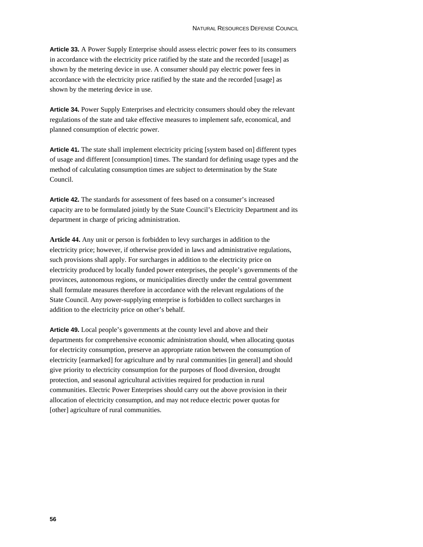**Article 33.** A Power Supply Enterprise should assess electric power fees to its consumers in accordance with the electricity price ratified by the state and the recorded [usage] as shown by the metering device in use. A consumer should pay electric power fees in accordance with the electricity price ratified by the state and the recorded [usage] as shown by the metering device in use.

**Article 34.** Power Supply Enterprises and electricity consumers should obey the relevant regulations of the state and take effective measures to implement safe, economical, and planned consumption of electric power.

**Article 41.** The state shall implement electricity pricing [system based on] different types of usage and different [consumption] times. The standard for defining usage types and the method of calculating consumption times are subject to determination by the State Council.

**Article 42.** The standards for assessment of fees based on a consumer's increased capacity are to be formulated jointly by the State Council's Electricity Department and its department in charge of pricing administration.

**Article 44.** Any unit or person is forbidden to levy surcharges in addition to the electricity price; however, if otherwise provided in laws and administrative regulations, such provisions shall apply. For surcharges in addition to the electricity price on electricity produced by locally funded power enterprises, the people's governments of the provinces, autonomous regions, or municipalities directly under the central government shall formulate measures therefore in accordance with the relevant regulations of the State Council. Any power-supplying enterprise is forbidden to collect surcharges in addition to the electricity price on other's behalf.

**Article 49.** Local people's governments at the county level and above and their departments for comprehensive economic administration should, when allocating quotas for electricity consumption, preserve an appropriate ration between the consumption of electricity [earmarked] for agriculture and by rural communities [in general] and should give priority to electricity consumption for the purposes of flood diversion, drought protection, and seasonal agricultural activities required for production in rural communities. Electric Power Enterprises should carry out the above provision in their allocation of electricity consumption, and may not reduce electric power quotas for [other] agriculture of rural communities.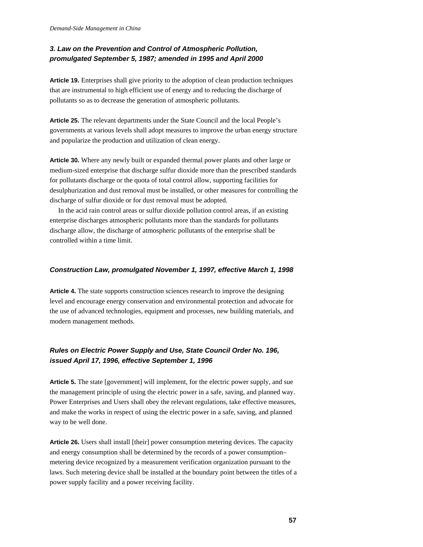# *3. Law on the Prevention and Control of Atmospheric Pollution, promulgated September 5, 1987; amended in 1995 and April 2000*

**Article 19.** Enterprises shall give priority to the adoption of clean production techniques that are instrumental to high efficient use of energy and to reducing the discharge of pollutants so as to decrease the generation of atmospheric pollutants.

**Article 25.** The relevant departments under the State Council and the local People's governments at various levels shall adopt measures to improve the urban energy structure and popularize the production and utilization of clean energy.

**Article 30.** Where any newly built or expanded thermal power plants and other large or medium-sized enterprise that discharge sulfur dioxide more than the prescribed standards for pollutants discharge or the quota of total control allow, supporting facilities for desulphurization and dust removal must be installed, or other measures for controlling the discharge of sulfur dioxide or for dust removal must be adopted.

In the acid rain control areas or sulfur dioxide pollution control areas, if an existing enterprise discharges atmospheric pollutants more than the standards for pollutants discharge allow, the discharge of atmospheric pollutants of the enterprise shall be controlled within a time limit.

## *Construction Law, promulgated November 1, 1997, effective March 1, 1998*

**Article 4.** The state supports construction sciences research to improve the designing level and encourage energy conservation and environmental protection and advocate for the use of advanced technologies, equipment and processes, new building materials, and modern management methods.

# *Rules on Electric Power Supply and Use, State Council Order No. 196, issued April 17, 1996, effective September 1, 1996*

**Article 5.** The state [government] will implement, for the electric power supply, and sue the management principle of using the electric power in a safe, saving, and planned way. Power Enterprises and Users shall obey the relevant regulations, take effective measures, and make the works in respect of using the electric power in a safe, saving, and planned way to be well done.

**Article 26.** Users shall install [their] power consumption metering devices. The capacity and energy consumption shall be determined by the records of a power consumption– metering device recognized by a measurement verification organization pursuant to the laws. Such metering device shall be installed at the boundary point between the titles of a power supply facility and a power receiving facility.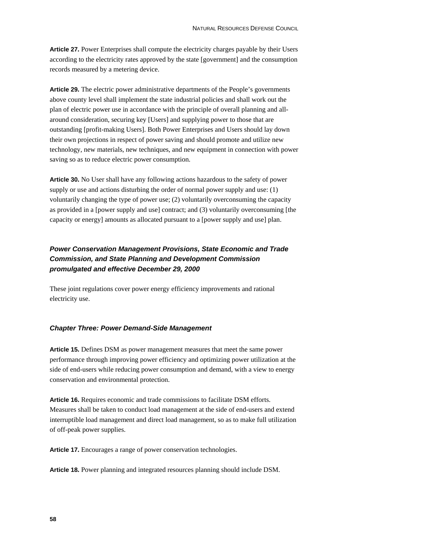**Article 27.** Power Enterprises shall compute the electricity charges payable by their Users according to the electricity rates approved by the state [government] and the consumption records measured by a metering device.

**Article 29.** The electric power administrative departments of the People's governments above county level shall implement the state industrial policies and shall work out the plan of electric power use in accordance with the principle of overall planning and allaround consideration, securing key [Users] and supplying power to those that are outstanding [profit-making Users]. Both Power Enterprises and Users should lay down their own projections in respect of power saving and should promote and utilize new technology, new materials, new techniques, and new equipment in connection with power saving so as to reduce electric power consumption.

**Article 30.** No User shall have any following actions hazardous to the safety of power supply or use and actions disturbing the order of normal power supply and use: (1) voluntarily changing the type of power use; (2) voluntarily overconsuming the capacity as provided in a [power supply and use] contract; and (3) voluntarily overconsuming [the capacity or energy] amounts as allocated pursuant to a [power supply and use] plan.

# *Power Conservation Management Provisions, State Economic and Trade Commission, and State Planning and Development Commission promulgated and effective December 29, 2000*

These joint regulations cover power energy efficiency improvements and rational electricity use.

### *Chapter Three: Power Demand-Side Management*

**Article 15.** Defines DSM as power management measures that meet the same power performance through improving power efficiency and optimizing power utilization at the side of end-users while reducing power consumption and demand, with a view to energy conservation and environmental protection.

**Article 16.** Requires economic and trade commissions to facilitate DSM efforts. Measures shall be taken to conduct load management at the side of end-users and extend interruptible load management and direct load management, so as to make full utilization of off-peak power supplies.

**Article 17.** Encourages a range of power conservation technologies.

**Article 18.** Power planning and integrated resources planning should include DSM.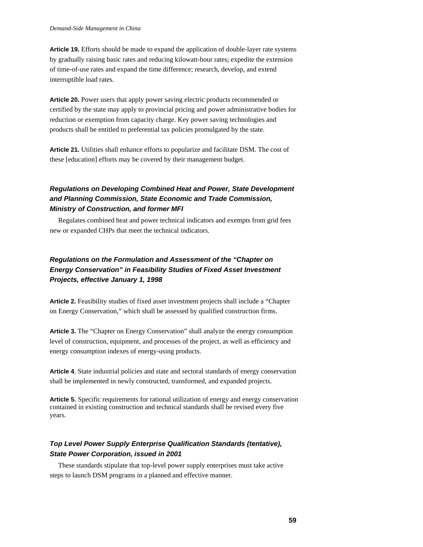**Article 19.** Efforts should be made to expand the application of double-layer rate systems by gradually raising basic rates and reducing kilowatt-hour rates; expedite the extension of time-of-use rates and expand the time difference; research, develop, and extend interruptible load rates.

**Article 20.** Power users that apply power saving electric products recommended or certified by the state may apply to provincial pricing and power administrative bodies for reduction or exemption from capacity charge. Key power saving technologies and products shall be entitled to preferential tax policies promulgated by the state.

**Article 21.** Utilities shall enhance efforts to popularize and facilitate DSM. The cost of these [education] efforts may be covered by their management budget.

# *Regulations on Developing Combined Heat and Power, State Development and Planning Commission, State Economic and Trade Commission, Ministry of Construction, and former MFI*

Regulates combined heat and power technical indicators and exempts from grid fees new or expanded CHPs that meet the technical indicators.

# *Regulations on the Formulation and Assessment of the "Chapter on Energy Conservation" in Feasibility Studies of Fixed Asset Investment Projects, effective January 1, 1998*

**Article 2.** Feasibility studies of fixed asset investment projects shall include a "Chapter on Energy Conservation," which shall be assessed by qualified construction firms.

**Article 3.** The "Chapter on Energy Conservation" shall analyze the energy consumption level of construction, equipment, and processes of the project, as well as efficiency and energy consumption indexes of energy-using products.

**Article 4**. State industrial policies and state and sectoral standards of energy conservation shall be implemented in newly constructed, transformed, and expanded projects.

**Article 5.** Specific requirements for rational utilization of energy and energy conservation contained in existing construction and technical standards shall be revised every five years.

## *Top Level Power Supply Enterprise Qualification Standards (tentative), State Power Corporation, issued in 2001*

These standards stipulate that top-level power supply enterprises must take active steps to launch DSM programs in a planned and effective manner.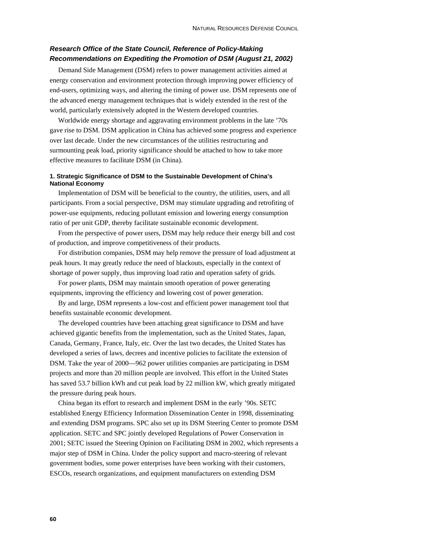# *Research Office of the State Council, Reference of Policy-Making Recommendations on Expediting the Promotion of DSM (August 21, 2002)*

Demand Side Management (DSM) refers to power management activities aimed at energy conservation and environment protection through improving power efficiency of end-users, optimizing ways, and altering the timing of power use. DSM represents one of the advanced energy management techniques that is widely extended in the rest of the world, particularly extensively adopted in the Western developed countries.

Worldwide energy shortage and aggravating environment problems in the late '70s gave rise to DSM. DSM application in China has achieved some progress and experience over last decade. Under the new circumstances of the utilities restructuring and surmounting peak load, priority significance should be attached to how to take more effective measures to facilitate DSM (in China).

### **1. Strategic Significance of DSM to the Sustainable Development of China's National Economy**

Implementation of DSM will be beneficial to the country, the utilities, users, and all participants. From a social perspective, DSM may stimulate upgrading and retrofiting of power-use equipments, reducing pollutant emission and lowering energy consumption ratio of per unit GDP, thereby facilitate sustainable economic development.

From the perspective of power users, DSM may help reduce their energy bill and cost of production, and improve competitiveness of their products.

For distribution companies, DSM may help remove the pressure of load adjustment at peak hours. It may greatly reduce the need of blackouts, especially in the context of shortage of power supply, thus improving load ratio and operation safety of grids.

For power plants, DSM may maintain smooth operation of power generating equipments, improving the efficiency and lowering cost of power generation.

By and large, DSM represents a low-cost and efficient power management tool that benefits sustainable economic development.

The developed countries have been attaching great significance to DSM and have achieved gigantic benefits from the implementation, such as the United States, Japan, Canada, Germany, France, Italy, etc. Over the last two decades, the United States has developed a series of laws, decrees and incentive policies to facilitate the extension of DSM. Take the year of 2000—962 power utilities companies are participating in DSM projects and more than 20 million people are involved. This effort in the United States has saved 53.7 billion kWh and cut peak load by 22 million kW, which greatly mitigated the pressure during peak hours.

China began its effort to research and implement DSM in the early '90s. SETC established Energy Efficiency Information Dissemination Center in 1998, disseminating and extending DSM programs. SPC also set up its DSM Steering Center to promote DSM application. SETC and SPC jointly developed Regulations of Power Conservation in 2001; SETC issued the Steering Opinion on Facilitating DSM in 2002, which represents a major step of DSM in China. Under the policy support and macro-steering of relevant government bodies, some power enterprises have been working with their customers, ESCOs, research organizations, and equipment manufacturers on extending DSM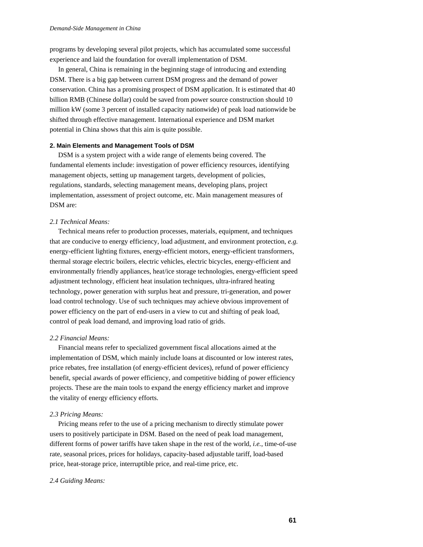programs by developing several pilot projects, which has accumulated some successful experience and laid the foundation for overall implementation of DSM.

In general, China is remaining in the beginning stage of introducing and extending DSM. There is a big gap between current DSM progress and the demand of power conservation. China has a promising prospect of DSM application. It is estimated that 40 billion RMB (Chinese dollar) could be saved from power source construction should 10 million kW (some 3 percent of installed capacity nationwide) of peak load nationwide be shifted through effective management. International experience and DSM market potential in China shows that this aim is quite possible.

#### **2. Main Elements and Management Tools of DSM**

DSM is a system project with a wide range of elements being covered. The fundamental elements include: investigation of power efficiency resources, identifying management objects, setting up management targets, development of policies, regulations, standards, selecting management means, developing plans, project implementation, assessment of project outcome, etc. Main management measures of DSM are:

#### *2.1 Technical Means:*

Technical means refer to production processes, materials, equipment, and techniques that are conducive to energy efficiency, load adjustment, and environment protection, *e.g.* energy-efficient lighting fixtures, energy-efficient motors, energy-efficient transformers, thermal storage electric boilers, electric vehicles, electric bicycles, energy-efficient and environmentally friendly appliances, heat/ice storage technologies, energy-efficient speed adjustment technology, efficient heat insulation techniques, ultra-infrared heating technology, power generation with surplus heat and pressure, tri-generation, and power load control technology. Use of such techniques may achieve obvious improvement of power efficiency on the part of end-users in a view to cut and shifting of peak load, control of peak load demand, and improving load ratio of grids.

## *2.2 Financial Means:*

Financial means refer to specialized government fiscal allocations aimed at the implementation of DSM, which mainly include loans at discounted or low interest rates, price rebates, free installation (of energy-efficient devices), refund of power efficiency benefit, special awards of power efficiency, and competitive bidding of power efficiency projects. These are the main tools to expand the energy efficiency market and improve the vitality of energy efficiency efforts.

## *2.3 Pricing Means:*

Pricing means refer to the use of a pricing mechanism to directly stimulate power users to positively participate in DSM. Based on the need of peak load management, different forms of power tariffs have taken shape in the rest of the world, *i.e.*, time-of-use rate, seasonal prices, prices for holidays, capacity-based adjustable tariff, load-based price, heat-storage price, interruptible price, and real-time price, etc.

#### *2.4 Guiding Means:*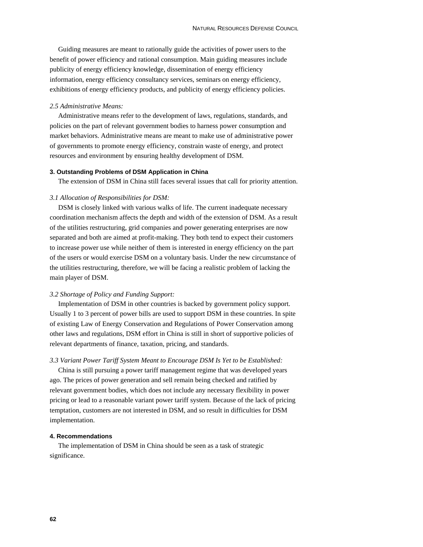Guiding measures are meant to rationally guide the activities of power users to the benefit of power efficiency and rational consumption. Main guiding measures include publicity of energy efficiency knowledge, dissemination of energy efficiency information, energy efficiency consultancy services, seminars on energy efficiency, exhibitions of energy efficiency products, and publicity of energy efficiency policies.

#### *2.5 Administrative Means:*

Administrative means refer to the development of laws, regulations, standards, and policies on the part of relevant government bodies to harness power consumption and market behaviors. Administrative means are meant to make use of administrative power of governments to promote energy efficiency, constrain waste of energy, and protect resources and environment by ensuring healthy development of DSM.

#### **3. Outstanding Problems of DSM Application in China**

The extension of DSM in China still faces several issues that call for priority attention.

### *3.1 Allocation of Responsibilities for DSM:*

DSM is closely linked with various walks of life. The current inadequate necessary coordination mechanism affects the depth and width of the extension of DSM. As a result of the utilities restructuring, grid companies and power generating enterprises are now separated and both are aimed at profit-making. They both tend to expect their customers to increase power use while neither of them is interested in energy efficiency on the part of the users or would exercise DSM on a voluntary basis. Under the new circumstance of the utilities restructuring, therefore, we will be facing a realistic problem of lacking the main player of DSM.

#### *3.2 Shortage of Policy and Funding Support:*

Implementation of DSM in other countries is backed by government policy support. Usually 1 to 3 percent of power bills are used to support DSM in these countries. In spite of existing Law of Energy Conservation and Regulations of Power Conservation among other laws and regulations, DSM effort in China is still in short of supportive policies of relevant departments of finance, taxation, pricing, and standards.

#### *3.3 Variant Power Tariff System Meant to Encourage DSM Is Yet to be Established:*

China is still pursuing a power tariff management regime that was developed years ago. The prices of power generation and sell remain being checked and ratified by relevant government bodies, which does not include any necessary flexibility in power pricing or lead to a reasonable variant power tariff system. Because of the lack of pricing temptation, customers are not interested in DSM, and so result in difficulties for DSM implementation.

### **4. Recommendations**

The implementation of DSM in China should be seen as a task of strategic significance.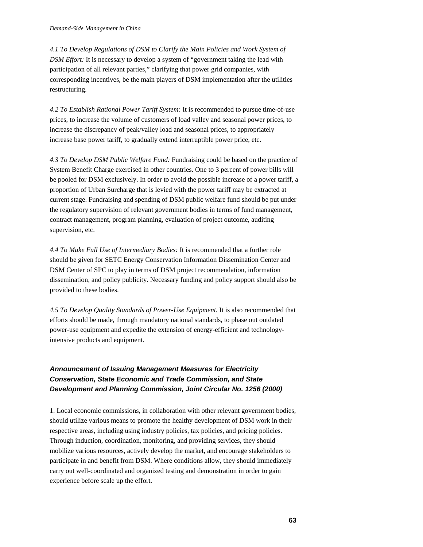*4.1 To Develop Regulations of DSM to Clarify the Main Policies and Work System of DSM Effort:* It is necessary to develop a system of "government taking the lead with participation of all relevant parties," clarifying that power grid companies, with corresponding incentives, be the main players of DSM implementation after the utilities restructuring.

*4.2 To Establish Rational Power Tariff System:* It is recommended to pursue time-of-use prices, to increase the volume of customers of load valley and seasonal power prices, to increase the discrepancy of peak/valley load and seasonal prices, to appropriately increase base power tariff, to gradually extend interruptible power price, etc.

*4.3 To Develop DSM Public Welfare Fund:* Fundraising could be based on the practice of System Benefit Charge exercised in other countries. One to 3 percent of power bills will be pooled for DSM exclusively. In order to avoid the possible increase of a power tariff, a proportion of Urban Surcharge that is levied with the power tariff may be extracted at current stage. Fundraising and spending of DSM public welfare fund should be put under the regulatory supervision of relevant government bodies in terms of fund management, contract management, program planning, evaluation of project outcome, auditing supervision, etc.

*4.4 To Make Full Use of Intermediary Bodies:* It is recommended that a further role should be given for SETC Energy Conservation Information Dissemination Center and DSM Center of SPC to play in terms of DSM project recommendation, information dissemination, and policy publicity. Necessary funding and policy support should also be provided to these bodies.

*4.5 To Develop Quality Standards of Power-Use Equipment.* It is also recommended that efforts should be made, through mandatory national standards, to phase out outdated power-use equipment and expedite the extension of energy-efficient and technologyintensive products and equipment.

# *Announcement of Issuing Management Measures for Electricity Conservation, State Economic and Trade Commission, and State Development and Planning Commission, Joint Circular No. 1256 (2000)*

1. Local economic commissions, in collaboration with other relevant government bodies, should utilize various means to promote the healthy development of DSM work in their respective areas, including using industry policies, tax policies, and pricing policies. Through induction, coordination, monitoring, and providing services, they should mobilize various resources, actively develop the market, and encourage stakeholders to participate in and benefit from DSM. Where conditions allow, they should immediately carry out well-coordinated and organized testing and demonstration in order to gain experience before scale up the effort.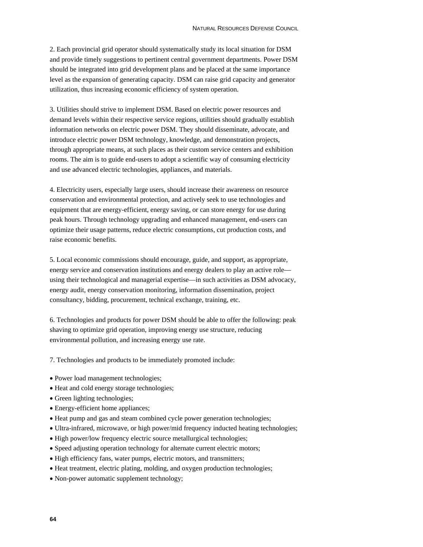2. Each provincial grid operator should systematically study its local situation for DSM and provide timely suggestions to pertinent central government departments. Power DSM should be integrated into grid development plans and be placed at the same importance level as the expansion of generating capacity. DSM can raise grid capacity and generator utilization, thus increasing economic efficiency of system operation.

3. Utilities should strive to implement DSM. Based on electric power resources and demand levels within their respective service regions, utilities should gradually establish information networks on electric power DSM. They should disseminate, advocate, and introduce electric power DSM technology, knowledge, and demonstration projects, through appropriate means, at such places as their custom service centers and exhibition rooms. The aim is to guide end-users to adopt a scientific way of consuming electricity and use advanced electric technologies, appliances, and materials.

4. Electricity users, especially large users, should increase their awareness on resource conservation and environmental protection, and actively seek to use technologies and equipment that are energy-efficient, energy saving, or can store energy for use during peak hours. Through technology upgrading and enhanced management, end-users can optimize their usage patterns, reduce electric consumptions, cut production costs, and raise economic benefits.

5. Local economic commissions should encourage, guide, and support, as appropriate, energy service and conservation institutions and energy dealers to play an active role using their technological and managerial expertise—in such activities as DSM advocacy, energy audit, energy conservation monitoring, information dissemination, project consultancy, bidding, procurement, technical exchange, training, etc.

6. Technologies and products for power DSM should be able to offer the following: peak shaving to optimize grid operation, improving energy use structure, reducing environmental pollution, and increasing energy use rate.

7. Technologies and products to be immediately promoted include:

- Power load management technologies;
- Heat and cold energy storage technologies;
- Green lighting technologies;
- Energy-efficient home appliances;
- Heat pump and gas and steam combined cycle power generation technologies;
- Ultra-infrared, microwave, or high power/mid frequency inducted heating technologies;
- High power/low frequency electric source metallurgical technologies;
- Speed adjusting operation technology for alternate current electric motors;
- High efficiency fans, water pumps, electric motors, and transmitters;
- Heat treatment, electric plating, molding, and oxygen production technologies;
- Non-power automatic supplement technology;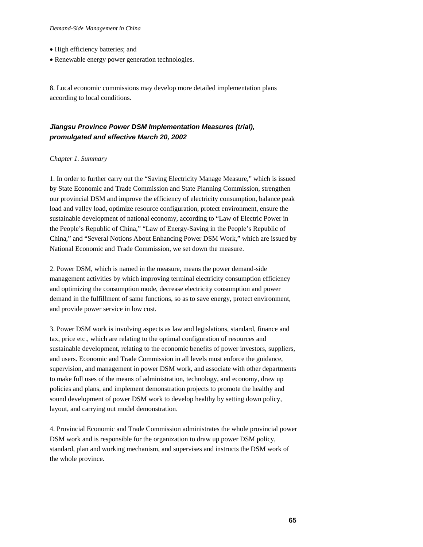- High efficiency batteries; and
- Renewable energy power generation technologies.

8. Local economic commissions may develop more detailed implementation plans according to local conditions.

## *Jiangsu Province Power DSM Implementation Measures (trial), promulgated and effective March 20, 2002*

## *Chapter 1. Summary*

1. In order to further carry out the "Saving Electricity Manage Measure," which is issued by State Economic and Trade Commission and State Planning Commission, strengthen our provincial DSM and improve the efficiency of electricity consumption, balance peak load and valley load, optimize resource configuration, protect environment, ensure the sustainable development of national economy, according to "Law of Electric Power in the People's Republic of China," "Law of Energy-Saving in the People's Republic of China," and "Several Notions About Enhancing Power DSM Work," which are issued by National Economic and Trade Commission, we set down the measure.

2. Power DSM, which is named in the measure, means the power demand-side management activities by which improving terminal electricity consumption efficiency and optimizing the consumption mode, decrease electricity consumption and power demand in the fulfillment of same functions, so as to save energy, protect environment, and provide power service in low cost.

3. Power DSM work is involving aspects as law and legislations, standard, finance and tax, price etc., which are relating to the optimal configuration of resources and sustainable development, relating to the economic benefits of power investors, suppliers, and users. Economic and Trade Commission in all levels must enforce the guidance, supervision, and management in power DSM work, and associate with other departments to make full uses of the means of administration, technology, and economy, draw up policies and plans, and implement demonstration projects to promote the healthy and sound development of power DSM work to develop healthy by setting down policy, layout, and carrying out model demonstration.

4. Provincial Economic and Trade Commission administrates the whole provincial power DSM work and is responsible for the organization to draw up power DSM policy, standard, plan and working mechanism, and supervises and instructs the DSM work of the whole province.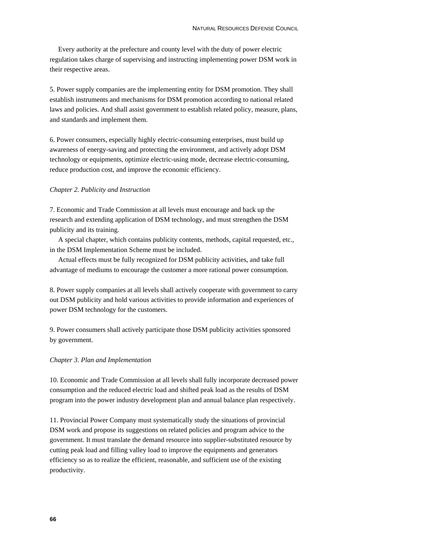Every authority at the prefecture and county level with the duty of power electric regulation takes charge of supervising and instructing implementing power DSM work in their respective areas.

5. Power supply companies are the implementing entity for DSM promotion. They shall establish instruments and mechanisms for DSM promotion according to national related laws and policies. And shall assist government to establish related policy, measure, plans, and standards and implement them.

6. Power consumers, especially highly electric-consuming enterprises, must build up awareness of energy-saving and protecting the environment, and actively adopt DSM technology or equipments, optimize electric-using mode, decrease electric-consuming, reduce production cost, and improve the economic efficiency.

### *Chapter 2. Publicity and Instruction*

7. Economic and Trade Commission at all levels must encourage and back up the research and extending application of DSM technology, and must strengthen the DSM publicity and its training.

A special chapter, which contains publicity contents, methods, capital requested, etc., in the DSM Implementation Scheme must be included.

Actual effects must be fully recognized for DSM publicity activities, and take full advantage of mediums to encourage the customer a more rational power consumption.

8. Power supply companies at all levels shall actively cooperate with government to carry out DSM publicity and hold various activities to provide information and experiences of power DSM technology for the customers.

9. Power consumers shall actively participate those DSM publicity activities sponsored by government.

#### *Chapter 3. Plan and Implementation*

10. Economic and Trade Commission at all levels shall fully incorporate decreased power consumption and the reduced electric load and shifted peak load as the results of DSM program into the power industry development plan and annual balance plan respectively.

11. Provincial Power Company must systematically study the situations of provincial DSM work and propose its suggestions on related policies and program advice to the government. It must translate the demand resource into supplier-substituted resource by cutting peak load and filling valley load to improve the equipments and generators efficiency so as to realize the efficient, reasonable, and sufficient use of the existing productivity.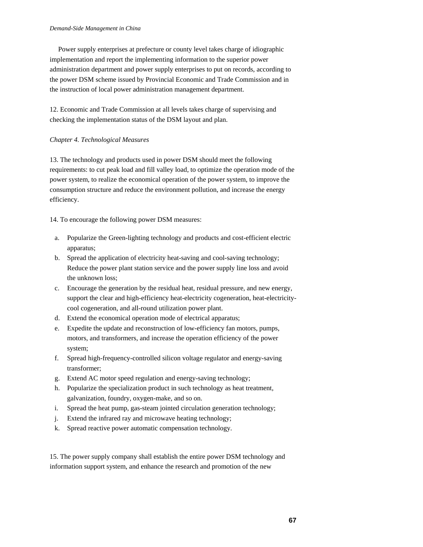Power supply enterprises at prefecture or county level takes charge of idiographic implementation and report the implementing information to the superior power administration department and power supply enterprises to put on records, according to the power DSM scheme issued by Provincial Economic and Trade Commission and in the instruction of local power administration management department.

12. Economic and Trade Commission at all levels takes charge of supervising and checking the implementation status of the DSM layout and plan.

#### *Chapter 4. Technological Measures*

13. The technology and products used in power DSM should meet the following requirements: to cut peak load and fill valley load, to optimize the operation mode of the power system, to realize the economical operation of the power system, to improve the consumption structure and reduce the environment pollution, and increase the energy efficiency.

14. To encourage the following power DSM measures:

- a. Popularize the Green-lighting technology and products and cost-efficient electric apparatus;
- b. Spread the application of electricity heat-saving and cool-saving technology; Reduce the power plant station service and the power supply line loss and avoid the unknown loss;
- c. Encourage the generation by the residual heat, residual pressure, and new energy, support the clear and high-efficiency heat-electricity cogeneration, heat-electricitycool cogeneration, and all-round utilization power plant.
- d. Extend the economical operation mode of electrical apparatus;
- e. Expedite the update and reconstruction of low-efficiency fan motors, pumps, motors, and transformers, and increase the operation efficiency of the power system;
- f. Spread high-frequency-controlled silicon voltage regulator and energy-saving transformer;
- g. Extend AC motor speed regulation and energy-saving technology;
- h. Popularize the specialization product in such technology as heat treatment, galvanization, foundry, oxygen-make, and so on.
- i. Spread the heat pump, gas-steam jointed circulation generation technology;
- j. Extend the infrared ray and microwave heating technology;
- k. Spread reactive power automatic compensation technology.

15. The power supply company shall establish the entire power DSM technology and information support system, and enhance the research and promotion of the new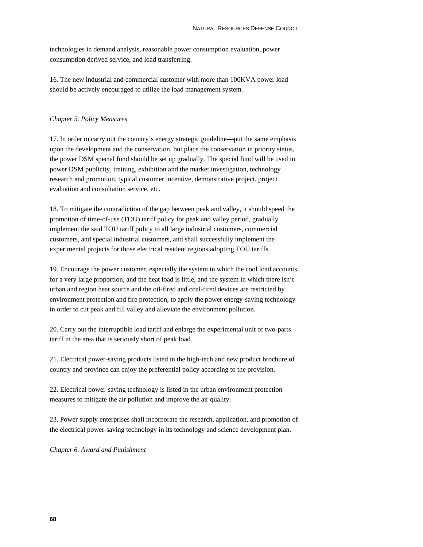technologies in demand analysis, reasonable power consumption evaluation, power consumption derived service, and load transferring.

16. The new industrial and commercial customer with more than 100KVA power load should be actively encouraged to utilize the load management system.

#### *Chapter 5. Policy Measures*

17. In order to carry out the country's energy strategic guideline—put the same emphasis upon the development and the conservation, but place the conservation in priority status, the power DSM special fund should be set up gradually. The special fund will be used in power DSM publicity, training, exhibition and the market investigation, technology research and promotion, typical customer incentive, demonstrative project, project evaluation and consultation service, etc.

18. To mitigate the contradiction of the gap between peak and valley, it should speed the promotion of time-of-use (TOU) tariff policy for peak and valley period, gradually implement the said TOU tariff policy to all large industrial customers, commercial customers, and special industrial customers, and shall successfully implement the experimental projects for those electrical resident regions adopting TOU tariffs.

19. Encourage the power customer, especially the system in which the cool load accounts for a very large proportion, and the heat load is little, and the system in which there isn't urban and region heat source and the oil-fired and coal-fired devices are restricted by environment protection and fire protection, to apply the power energy-saving technology in order to cut peak and fill valley and alleviate the environment pollution.

20. Carry out the interruptible load tariff and enlarge the experimental unit of two-parts tariff in the area that is seriously short of peak load.

21. Electrical power-saving products listed in the high-tech and new product brochure of country and province can enjoy the preferential policy according to the provision.

22. Electrical power-saving technology is listed in the urban environment protection measures to mitigate the air pollution and improve the air quality.

23. Power supply enterprises shall incorporate the research, application, and promotion of the electrical power-saving technology in its technology and science development plan.

*Chapter 6. Award and Punishment*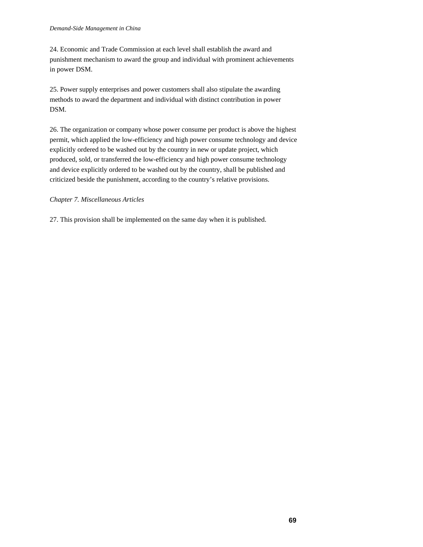24. Economic and Trade Commission at each level shall establish the award and punishment mechanism to award the group and individual with prominent achievements in power DSM.

25. Power supply enterprises and power customers shall also stipulate the awarding methods to award the department and individual with distinct contribution in power DSM.

26. The organization or company whose power consume per product is above the highest permit, which applied the low-efficiency and high power consume technology and device explicitly ordered to be washed out by the country in new or update project, which produced, sold, or transferred the low-efficiency and high power consume technology and device explicitly ordered to be washed out by the country, shall be published and criticized beside the punishment, according to the country's relative provisions.

#### *Chapter 7. Miscellaneous Articles*

27. This provision shall be implemented on the same day when it is published.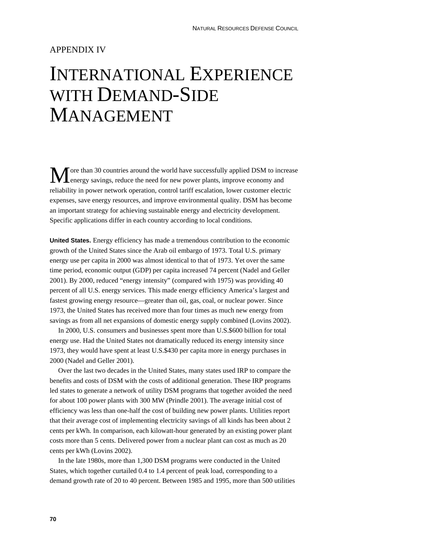## APPENDIX IV

# INTERNATIONAL EXPERIENCE WITH DEMAND-SIDE MANAGEMENT

ore than 30 countries around the world have successfully applied DSM to increase energy savings, reduce the need for new power plants, improve economy and reliability in power network operation, control tariff escalation, lower customer electric expenses, save energy resources, and improve environmental quality. DSM has become an important strategy for achieving sustainable energy and electricity development. Specific applications differ in each country according to local conditions.  $\mathbf{M}$ <sub>en</sub>

**United States.** Energy efficiency has made a tremendous contribution to the economic growth of the United States since the Arab oil embargo of 1973. Total U.S. primary energy use per capita in 2000 was almost identical to that of 1973. Yet over the same time period, economic output (GDP) per capita increased 74 percent (Nadel and Geller 2001). By 2000, reduced "energy intensity" (compared with 1975) was providing 40 percent of all U.S. energy services. This made energy efficiency America's largest and fastest growing energy resource—greater than oil, gas, coal, or nuclear power. Since 1973, the United States has received more than four times as much new energy from savings as from all net expansions of domestic energy supply combined (Lovins 2002).

In 2000, U.S. consumers and businesses spent more than U.S.\$600 billion for total energy use. Had the United States not dramatically reduced its energy intensity since 1973, they would have spent at least U.S.\$430 per capita more in energy purchases in 2000 (Nadel and Geller 2001).

Over the last two decades in the United States, many states used IRP to compare the benefits and costs of DSM with the costs of additional generation. These IRP programs led states to generate a network of utility DSM programs that together avoided the need for about 100 power plants with 300 MW (Prindle 2001). The average initial cost of efficiency was less than one-half the cost of building new power plants. Utilities report that their average cost of implementing electricity savings of all kinds has been about 2 cents per kWh. In comparison, each kilowatt-hour generated by an existing power plant costs more than 5 cents. Delivered power from a nuclear plant can cost as much as 20 cents per kWh (Lovins 2002).

In the late 1980s, more than 1,300 DSM programs were conducted in the United States, which together curtailed 0.4 to 1.4 percent of peak load, corresponding to a demand growth rate of 20 to 40 percent. Between 1985 and 1995, more than 500 utilities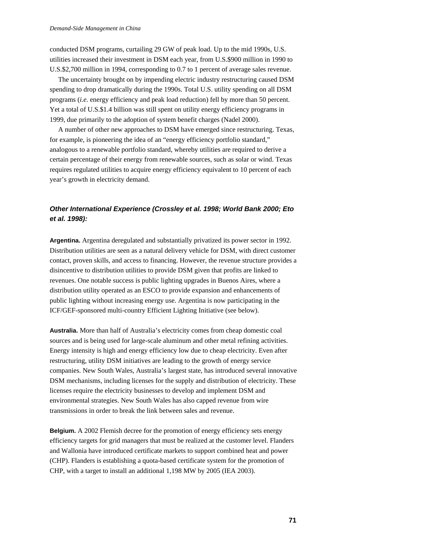conducted DSM programs, curtailing 29 GW of peak load. Up to the mid 1990s, U.S. utilities increased their investment in DSM each year, from U.S.\$900 million in 1990 to U.S.\$2,700 million in 1994, corresponding to 0.7 to 1 percent of average sales revenue.

The uncertainty brought on by impending electric industry restructuring caused DSM spending to drop dramatically during the 1990s. Total U.S. utility spending on all DSM programs (*i.e.* energy efficiency and peak load reduction) fell by more than 50 percent. Yet a total of U.S.\$1.4 billion was still spent on utility energy efficiency programs in 1999, due primarily to the adoption of system benefit charges (Nadel 2000).

A number of other new approaches to DSM have emerged since restructuring. Texas, for example, is pioneering the idea of an "energy efficiency portfolio standard," analogous to a renewable portfolio standard, whereby utilities are required to derive a certain percentage of their energy from renewable sources, such as solar or wind. Texas requires regulated utilities to acquire energy efficiency equivalent to 10 percent of each year's growth in electricity demand.

## *Other International Experience (Crossley et al. 1998; World Bank 2000; Eto et al. 1998):*

**Argentina.** Argentina deregulated and substantially privatized its power sector in 1992. Distribution utilities are seen as a natural delivery vehicle for DSM, with direct customer contact, proven skills, and access to financing. However, the revenue structure provides a disincentive to distribution utilities to provide DSM given that profits are linked to revenues. One notable success is public lighting upgrades in Buenos Aires, where a distribution utility operated as an ESCO to provide expansion and enhancements of public lighting without increasing energy use. Argentina is now participating in the ICF/GEF-sponsored multi-country Efficient Lighting Initiative (see below).

**Australia.** More than half of Australia's electricity comes from cheap domestic coal sources and is being used for large-scale aluminum and other metal refining activities. Energy intensity is high and energy efficiency low due to cheap electricity. Even after restructuring, utility DSM initiatives are leading to the growth of energy service companies. New South Wales, Australia's largest state, has introduced several innovative DSM mechanisms, including licenses for the supply and distribution of electricity. These licenses require the electricity businesses to develop and implement DSM and environmental strategies. New South Wales has also capped revenue from wire transmissions in order to break the link between sales and revenue.

**Belgium.** A 2002 Flemish decree for the promotion of energy efficiency sets energy efficiency targets for grid managers that must be realized at the customer level. Flanders and Wallonia have introduced certificate markets to support combined heat and power (CHP). Flanders is establishing a quota-based certificate system for the promotion of CHP, with a target to install an additional 1,198 MW by 2005 (IEA 2003).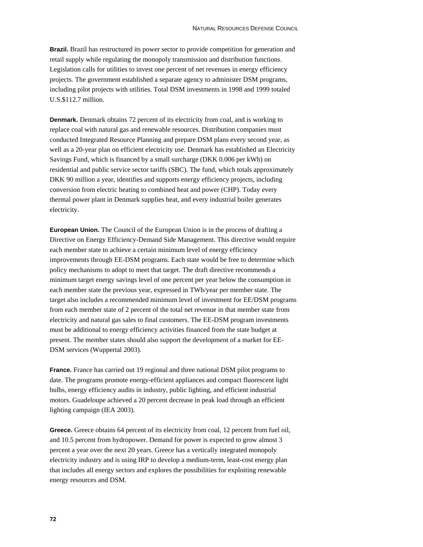**Brazil.** Brazil has restructured its power sector to provide competition for generation and retail supply while regulating the monopoly transmission and distribution functions. Legislation calls for utilities to invest one percent of net revenues in energy efficiency projects. The government established a separate agency to administer DSM programs, including pilot projects with utilities. Total DSM investments in 1998 and 1999 totaled U.S.\$112.7 million.

**Denmark.** Denmark obtains 72 percent of its electricity from coal, and is working to replace coal with natural gas and renewable resources. Distribution companies must conducted Integrated Resource Planning and prepare DSM plans every second year, as well as a 20-year plan on efficient electricity use. Denmark has established an Electricity Savings Fund, which is financed by a small surcharge (DKK 0.006 per kWh) on residential and public service sector tariffs (SBC). The fund, which totals approximately DKK 90 million a year, identifies and supports energy efficiency projects, including conversion from electric heating to combined heat and power (CHP). Today every thermal power plant in Denmark supplies heat, and every industrial boiler generates electricity.

**European Union.** The Council of the European Union is in the process of drafting a Directive on Energy Efficiency-Demand Side Management. This directive would require each member state to achieve a certain minimum level of energy efficiency improvements through EE-DSM programs. Each state would be free to determine which policy mechanisms to adopt to meet that target. The draft directive recommends a minimum target energy savings level of one percent per year below the consumption in each member state the previous year, expressed in TWh/year per member state. The target also includes a recommended minimum level of investment for EE/DSM programs from each member state of 2 percent of the total net revenue in that member state from electricity and natural gas sales to final customers. The EE-DSM program investments must be additional to energy efficiency activities financed from the state budget at present. The member states should also support the development of a market for EE-DSM services (Wuppertal 2003).

**France.** France has carried out 19 regional and three national DSM pilot programs to date. The programs promote energy-efficient appliances and compact fluorescent light bulbs, energy efficiency audits in industry, public lighting, and efficient industrial motors. Guadeloupe achieved a 20 percent decrease in peak load through an efficient lighting campaign (IEA 2003).

Greece. Greece obtains 64 percent of its electricity from coal, 12 percent from fuel oil, and 10.5 percent from hydropower. Demand for power is expected to grow almost 3 percent a year over the next 20 years. Greece has a vertically integrated monopoly electricity industry and is using IRP to develop a medium-term, least-cost energy plan that includes all energy sectors and explores the possibilities for exploiting renewable energy resources and DSM.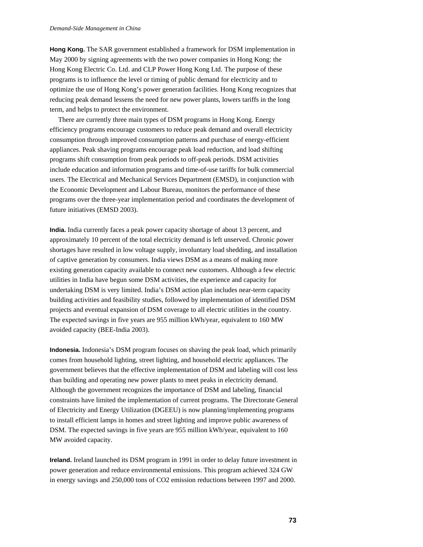**Hong Kong.** The SAR government established a framework for DSM implementation in May 2000 by signing agreements with the two power companies in Hong Kong: the Hong Kong Electric Co. Ltd. and CLP Power Hong Kong Ltd. The purpose of these programs is to influence the level or timing of public demand for electricity and to optimize the use of Hong Kong's power generation facilities. Hong Kong recognizes that reducing peak demand lessens the need for new power plants, lowers tariffs in the long term, and helps to protect the environment.

There are currently three main types of DSM programs in Hong Kong. Energy efficiency programs encourage customers to reduce peak demand and overall electricity consumption through improved consumption patterns and purchase of energy-efficient appliances. Peak shaving programs encourage peak load reduction, and load shifting programs shift consumption from peak periods to off-peak periods. DSM activities include education and information programs and time-of-use tariffs for bulk commercial users. The Electrical and Mechanical Services Department (EMSD), in conjunction with the Economic Development and Labour Bureau, monitors the performance of these programs over the three-year implementation period and coordinates the development of future initiatives (EMSD 2003).

**India.** India currently faces a peak power capacity shortage of about 13 percent, and approximately 10 percent of the total electricity demand is left unserved. Chronic power shortages have resulted in low voltage supply, involuntary load shedding, and installation of captive generation by consumers. India views DSM as a means of making more existing generation capacity available to connect new customers. Although a few electric utilities in India have begun some DSM activities, the experience and capacity for undertaking DSM is very limited. India's DSM action plan includes near-term capacity building activities and feasibility studies, followed by implementation of identified DSM projects and eventual expansion of DSM coverage to all electric utilities in the country. The expected savings in five years are 955 million kWh/year, equivalent to 160 MW avoided capacity (BEE-India 2003).

**Indonesia.** Indonesia's DSM program focuses on shaving the peak load, which primarily comes from household lighting, street lighting, and household electric appliances. The government believes that the effective implementation of DSM and labeling will cost less than building and operating new power plants to meet peaks in electricity demand. Although the government recognizes the importance of DSM and labeling, financial constraints have limited the implementation of current programs. The Directorate General of Electricity and Energy Utilization (DGEEU) is now planning/implementing programs to install efficient lamps in homes and street lighting and improve public awareness of DSM. The expected savings in five years are 955 million kWh/year, equivalent to 160 MW avoided capacity.

**Ireland.** Ireland launched its DSM program in 1991 in order to delay future investment in power generation and reduce environmental emissions. This program achieved 324 GW in energy savings and 250,000 tons of CO2 emission reductions between 1997 and 2000.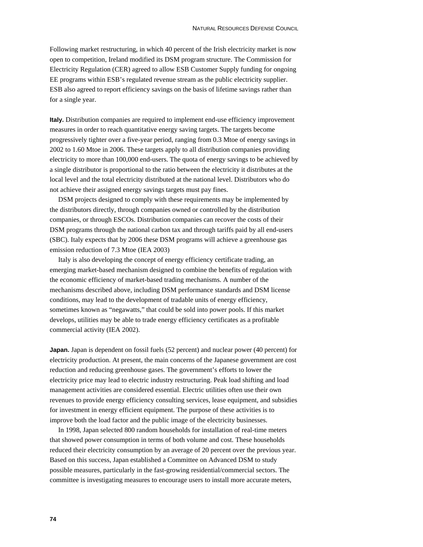Following market restructuring, in which 40 percent of the Irish electricity market is now open to competition, Ireland modified its DSM program structure. The Commission for Electricity Regulation (CER) agreed to allow ESB Customer Supply funding for ongoing EE programs within ESB's regulated revenue stream as the public electricity supplier. ESB also agreed to report efficiency savings on the basis of lifetime savings rather than for a single year.

**Italy.** Distribution companies are required to implement end-use efficiency improvement measures in order to reach quantitative energy saving targets. The targets become progressively tighter over a five-year period, ranging from 0.3 Mtoe of energy savings in 2002 to 1.60 Mtoe in 2006. These targets apply to all distribution companies providing electricity to more than 100,000 end-users. The quota of energy savings to be achieved by a single distributor is proportional to the ratio between the electricity it distributes at the local level and the total electricity distributed at the national level. Distributors who do not achieve their assigned energy savings targets must pay fines.

DSM projects designed to comply with these requirements may be implemented by the distributors directly, through companies owned or controlled by the distribution companies, or through ESCOs. Distribution companies can recover the costs of their DSM programs through the national carbon tax and through tariffs paid by all end-users (SBC). Italy expects that by 2006 these DSM programs will achieve a greenhouse gas emission reduction of 7.3 Mtoe (IEA 2003)

Italy is also developing the concept of energy efficiency certificate trading, an emerging market-based mechanism designed to combine the benefits of regulation with the economic efficiency of market-based trading mechanisms. A number of the mechanisms described above, including DSM performance standards and DSM license conditions, may lead to the development of tradable units of energy efficiency, sometimes known as "negawatts," that could be sold into power pools. If this market develops, utilities may be able to trade energy efficiency certificates as a profitable commercial activity (IEA 2002).

**Japan.** Japan is dependent on fossil fuels (52 percent) and nuclear power (40 percent) for electricity production. At present, the main concerns of the Japanese government are cost reduction and reducing greenhouse gases. The government's efforts to lower the electricity price may lead to electric industry restructuring. Peak load shifting and load management activities are considered essential. Electric utilities often use their own revenues to provide energy efficiency consulting services, lease equipment, and subsidies for investment in energy efficient equipment. The purpose of these activities is to improve both the load factor and the public image of the electricity businesses.

In 1998, Japan selected 800 random households for installation of real-time meters that showed power consumption in terms of both volume and cost. These households reduced their electricity consumption by an average of 20 percent over the previous year. Based on this success, Japan established a Committee on Advanced DSM to study possible measures, particularly in the fast-growing residential/commercial sectors. The committee is investigating measures to encourage users to install more accurate meters,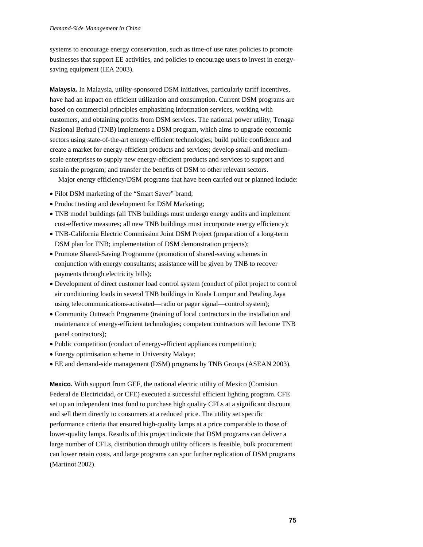systems to encourage energy conservation, such as time-of use rates policies to promote businesses that support EE activities, and policies to encourage users to invest in energysaving equipment (IEA 2003).

**Malaysia.** In Malaysia, utility-sponsored DSM initiatives, particularly tariff incentives, have had an impact on efficient utilization and consumption. Current DSM programs are based on commercial principles emphasizing information services, working with customers, and obtaining profits from DSM services. The national power utility, Tenaga Nasional Berhad (TNB) implements a DSM program, which aims to upgrade economic sectors using state-of-the-art energy-efficient technologies; build public confidence and create a market for energy-efficient products and services; develop small-and mediumscale enterprises to supply new energy-efficient products and services to support and sustain the program; and transfer the benefits of DSM to other relevant sectors.

Major energy efficiency/DSM programs that have been carried out or planned include:

- Pilot DSM marketing of the "Smart Saver" brand;
- Product testing and development for DSM Marketing;
- TNB model buildings (all TNB buildings must undergo energy audits and implement cost-effective measures; all new TNB buildings must incorporate energy efficiency);
- TNB-California Electric Commission Joint DSM Project (preparation of a long-term DSM plan for TNB; implementation of DSM demonstration projects);
- Promote Shared-Saving Programme (promotion of shared-saving schemes in conjunction with energy consultants; assistance will be given by TNB to recover payments through electricity bills);
- Development of direct customer load control system (conduct of pilot project to control air conditioning loads in several TNB buildings in Kuala Lumpur and Petaling Jaya using telecommunications-activated—radio or pager signal—control system);
- Community Outreach Programme (training of local contractors in the installation and maintenance of energy-efficient technologies; competent contractors will become TNB panel contractors);
- Public competition (conduct of energy-efficient appliances competition);
- Energy optimisation scheme in University Malaya;
- EE and demand-side management (DSM) programs by TNB Groups (ASEAN 2003).

**Mexico.** With support from GEF, the national electric utility of Mexico (Comision Federal de Electricidad, or CFE) executed a successful efficient lighting program. CFE set up an independent trust fund to purchase high quality CFLs at a significant discount and sell them directly to consumers at a reduced price. The utility set specific performance criteria that ensured high-quality lamps at a price comparable to those of lower-quality lamps. Results of this project indicate that DSM programs can deliver a large number of CFLs, distribution through utility officers is feasible, bulk procurement can lower retain costs, and large programs can spur further replication of DSM programs (Martinot 2002).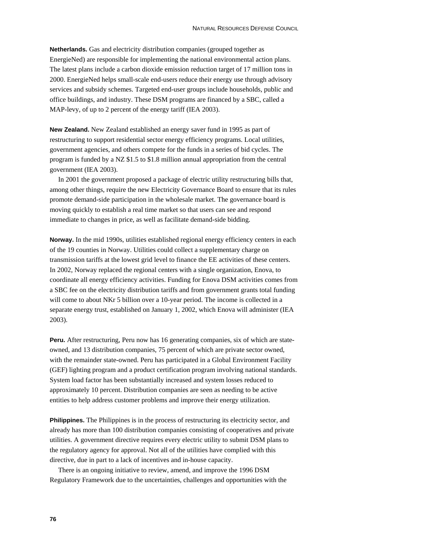**Netherlands.** Gas and electricity distribution companies (grouped together as EnergieNed) are responsible for implementing the national environmental action plans. The latest plans include a carbon dioxide emission reduction target of 17 million tons in 2000. EnergieNed helps small-scale end-users reduce their energy use through advisory services and subsidy schemes. Targeted end-user groups include households, public and office buildings, and industry. These DSM programs are financed by a SBC, called a MAP-levy, of up to 2 percent of the energy tariff (IEA 2003).

**New Zealand.** New Zealand established an energy saver fund in 1995 as part of restructuring to support residential sector energy efficiency programs. Local utilities, government agencies, and others compete for the funds in a series of bid cycles. The program is funded by a NZ \$1.5 to \$1.8 million annual appropriation from the central government (IEA 2003).

In 2001 the government proposed a package of electric utility restructuring bills that, among other things, require the new Electricity Governance Board to ensure that its rules promote demand-side participation in the wholesale market. The governance board is moving quickly to establish a real time market so that users can see and respond immediate to changes in price, as well as facilitate demand-side bidding.

**Norway.** In the mid 1990s, utilities established regional energy efficiency centers in each of the 19 counties in Norway. Utilities could collect a supplementary charge on transmission tariffs at the lowest grid level to finance the EE activities of these centers. In 2002, Norway replaced the regional centers with a single organization, Enova, to coordinate all energy efficiency activities. Funding for Enova DSM activities comes from a SBC fee on the electricity distribution tariffs and from government grants total funding will come to about NKr 5 billion over a 10-year period. The income is collected in a separate energy trust, established on January 1, 2002, which Enova will administer (IEA 2003).

**Peru.** After restructuring, Peru now has 16 generating companies, six of which are stateowned, and 13 distribution companies, 75 percent of which are private sector owned, with the remainder state-owned. Peru has participated in a Global Environment Facility (GEF) lighting program and a product certification program involving national standards. System load factor has been substantially increased and system losses reduced to approximately 10 percent. Distribution companies are seen as needing to be active entities to help address customer problems and improve their energy utilization.

**Philippines.** The Philippines is in the process of restructuring its electricity sector, and already has more than 100 distribution companies consisting of cooperatives and private utilities. A government directive requires every electric utility to submit DSM plans to the regulatory agency for approval. Not all of the utilities have complied with this directive, due in part to a lack of incentives and in-house capacity.

There is an ongoing initiative to review, amend, and improve the 1996 DSM Regulatory Framework due to the uncertainties, challenges and opportunities with the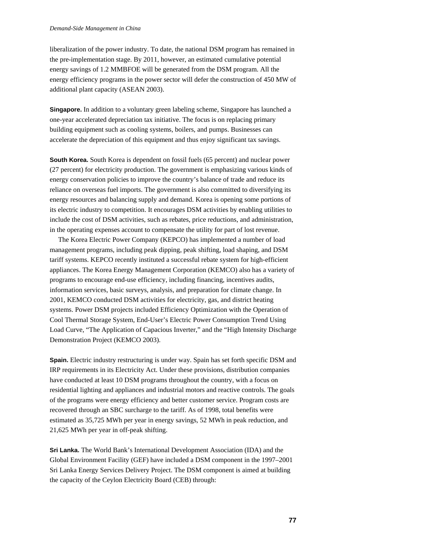#### *Demand-Side Management in China*

liberalization of the power industry. To date, the national DSM program has remained in the pre-implementation stage. By 2011, however, an estimated cumulative potential energy savings of 1.2 MMBFOE will be generated from the DSM program. All the energy efficiency programs in the power sector will defer the construction of 450 MW of additional plant capacity (ASEAN 2003).

**Singapore.** In addition to a voluntary green labeling scheme, Singapore has launched a one-year accelerated depreciation tax initiative. The focus is on replacing primary building equipment such as cooling systems, boilers, and pumps. Businesses can accelerate the depreciation of this equipment and thus enjoy significant tax savings.

**South Korea.** South Korea is dependent on fossil fuels (65 percent) and nuclear power (27 percent) for electricity production. The government is emphasizing various kinds of energy conservation policies to improve the country's balance of trade and reduce its reliance on overseas fuel imports. The government is also committed to diversifying its energy resources and balancing supply and demand. Korea is opening some portions of its electric industry to competition. It encourages DSM activities by enabling utilities to include the cost of DSM activities, such as rebates, price reductions, and administration, in the operating expenses account to compensate the utility for part of lost revenue.

The Korea Electric Power Company (KEPCO) has implemented a number of load management programs, including peak dipping, peak shifting, load shaping, and DSM tariff systems. KEPCO recently instituted a successful rebate system for high-efficient appliances. The Korea Energy Management Corporation (KEMCO) also has a variety of programs to encourage end-use efficiency, including financing, incentives audits, information services, basic surveys, analysis, and preparation for climate change. In 2001, KEMCO conducted DSM activities for electricity, gas, and district heating systems. Power DSM projects included Efficiency Optimization with the Operation of Cool Thermal Storage System, End-User's Electric Power Consumption Trend Using Load Curve, "The Application of Capacious Inverter," and the "High Intensity Discharge Demonstration Project (KEMCO 2003).

**Spain.** Electric industry restructuring is under way. Spain has set forth specific DSM and IRP requirements in its Electricity Act. Under these provisions, distribution companies have conducted at least 10 DSM programs throughout the country, with a focus on residential lighting and appliances and industrial motors and reactive controls. The goals of the programs were energy efficiency and better customer service. Program costs are recovered through an SBC surcharge to the tariff. As of 1998, total benefits were estimated as 35,725 MWh per year in energy savings, 52 MWh in peak reduction, and 21,625 MWh per year in off-peak shifting.

**Sri Lanka.** The World Bank's International Development Association (IDA) and the Global Environment Facility (GEF) have included a DSM component in the 1997–2001 Sri Lanka Energy Services Delivery Project. The DSM component is aimed at building the capacity of the Ceylon Electricity Board (CEB) through: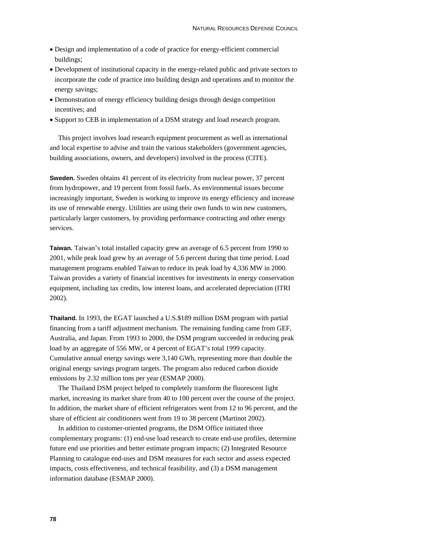- Design and implementation of a code of practice for energy-efficient commercial buildings;
- Development of institutional capacity in the energy-related public and private sectors to incorporate the code of practice into building design and operations and to monitor the energy savings;
- Demonstration of energy efficiency building design through design competition incentives; and
- Support to CEB in implementation of a DSM strategy and load research program.

This project involves load research equipment procurement as well as international and local expertise to advise and train the various stakeholders (government agencies, building associations, owners, and developers) involved in the process (CITE).

**Sweden.** Sweden obtains 41 percent of its electricity from nuclear power, 37 percent from hydropower, and 19 percent from fossil fuels. As environmental issues become increasingly important, Sweden is working to improve its energy efficiency and increase its use of renewable energy. Utilities are using their own funds to win new customers, particularly larger customers, by providing performance contracting and other energy services.

**Taiwan.** Taiwan's total installed capacity grew an average of 6.5 percent from 1990 to 2001, while peak load grew by an average of 5.6 percent during that time period. Load management programs enabled Taiwan to reduce its peak load by 4,336 MW in 2000. Taiwan provides a variety of financial incentives for investments in energy conservation equipment, including tax credits, low interest loans, and accelerated depreciation (ITRI 2002).

**Thailand.** In 1993, the EGAT launched a U.S.\$189 million DSM program with partial financing from a tariff adjustment mechanism. The remaining funding came from GEF, Australia, and Japan. From 1993 to 2000, the DSM program succeeded in reducing peak load by an aggregate of 556 MW, or 4 percent of EGAT's total 1999 capacity. Cumulative annual energy savings were 3,140 GWh, representing more than double the original energy savings program targets. The program also reduced carbon dioxide emissions by 2.32 million tons per year (ESMAP 2000).

The Thailand DSM project helped to completely transform the fluorescent light market, increasing its market share from 40 to 100 percent over the course of the project. In addition, the market share of efficient refrigerators went from 12 to 96 percent, and the share of efficient air conditioners went from 19 to 38 percent (Martinot 2002).

In addition to customer-oriented programs, the DSM Office initiated three complementary programs: (1) end-use load research to create end-use profiles, determine future end use priorities and better estimate program impacts; (2) Integrated Resource Planning to catalogue end-uses and DSM measures for each sector and assess expected impacts, costs effectiveness, and technical feasibility, and (3) a DSM management information database (ESMAP 2000).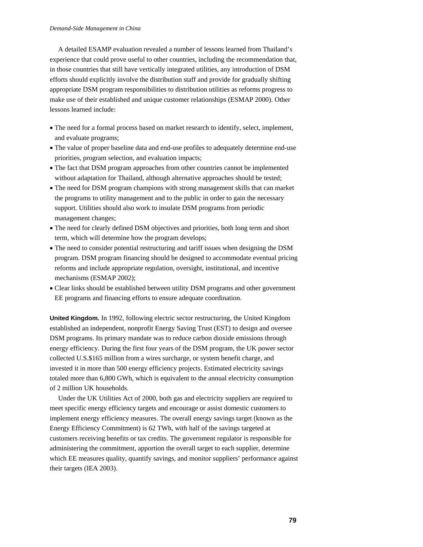A detailed ESAMP evaluation revealed a number of lessons learned from Thailand's experience that could prove useful to other countries, including the recommendation that, in those countries that still have vertically integrated utilities, any introduction of DSM efforts should explicitly involve the distribution staff and provide for gradually shifting appropriate DSM program responsibilities to distribution utilities as reforms progress to make use of their established and unique customer relationships (ESMAP 2000). Other lessons learned include:

- The need for a formal process based on market research to identify, select, implement, and evaluate programs;
- The value of proper baseline data and end-use profiles to adequately determine end-use priorities, program selection, and evaluation impacts;
- The fact that DSM program approaches from other countries cannot be implemented without adaptation for Thailand, although alternative approaches should be tested;
- The need for DSM program champions with strong management skills that can market the programs to utility management and to the public in order to gain the necessary support. Utilities should also work to insulate DSM programs from periodic management changes;
- The need for clearly defined DSM objectives and priorities, both long term and short term, which will determine how the program develops;
- The need to consider potential restructuring and tariff issues when designing the DSM program. DSM program financing should be designed to accommodate eventual pricing reforms and include appropriate regulation, oversight, institutional, and incentive mechanisms (ESMAP 2002);
- Clear links should be established between utility DSM programs and other government EE programs and financing efforts to ensure adequate coordination.

**United Kingdom.** In 1992, following electric sector restructuring, the United Kingdom established an independent, nonprofit Energy Saving Trust (EST) to design and oversee DSM programs. Its primary mandate was to reduce carbon dioxide emissions through energy efficiency. During the first four years of the DSM program, the UK power sector collected U.S.\$165 million from a wires surcharge, or system benefit charge, and invested it in more than 500 energy efficiency projects. Estimated electricity savings totaled more than 6,800 GWh, which is equivalent to the annual electricity consumption of 2 million UK households.

Under the UK Utilities Act of 2000, both gas and electricity suppliers are required to meet specific energy efficiency targets and encourage or assist domestic customers to implement energy efficiency measures. The overall energy savings target (known as the Energy Efficiency Commitment) is 62 TWh, with half of the savings targeted at customers receiving benefits or tax credits. The government regulator is responsible for administering the commitment, apportion the overall target to each supplier, determine which EE measures quality, quantify savings, and monitor suppliers' performance against their targets (IEA 2003).